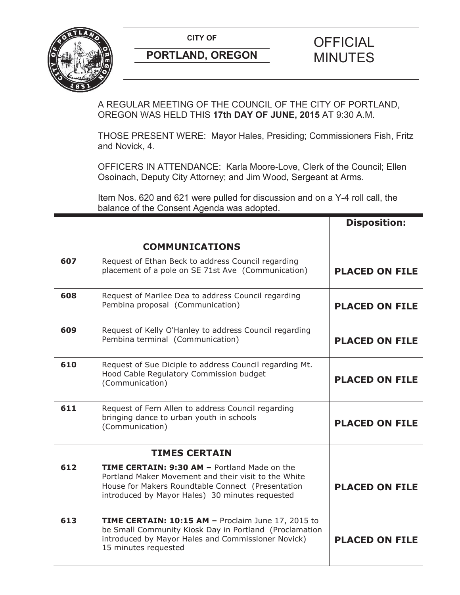

A REGULAR MEETING OF THE COUNCIL OF THE CITY OF PORTLAND, OREGON WAS HELD THIS **17th DAY OF JUNE, 2015** AT 9:30 A.M.

THOSE PRESENT WERE: Mayor Hales, Presiding; Commissioners Fish, Fritz and Novick, 4.

OFFICERS IN ATTENDANCE: Karla Moore-Love, Clerk of the Council; Ellen Osoinach, Deputy City Attorney; and Jim Wood, Sergeant at Arms.

Item Nos. 620 and 621 were pulled for discussion and on a Y-4 roll call, the balance of the Consent Agenda was adopted.

|     |                                                                                                                                                                                                                     | <b>Disposition:</b>   |
|-----|---------------------------------------------------------------------------------------------------------------------------------------------------------------------------------------------------------------------|-----------------------|
|     | <b>COMMUNICATIONS</b>                                                                                                                                                                                               |                       |
| 607 | Request of Ethan Beck to address Council regarding<br>placement of a pole on SE 71st Ave (Communication)                                                                                                            | <b>PLACED ON FILE</b> |
| 608 | Request of Marilee Dea to address Council regarding<br>Pembina proposal (Communication)                                                                                                                             | <b>PLACED ON FILE</b> |
| 609 | Request of Kelly O'Hanley to address Council regarding<br>Pembina terminal (Communication)                                                                                                                          | <b>PLACED ON FILE</b> |
| 610 | Request of Sue Diciple to address Council regarding Mt.<br>Hood Cable Regulatory Commission budget<br>(Communication)                                                                                               | <b>PLACED ON FILE</b> |
| 611 | Request of Fern Allen to address Council regarding<br>bringing dance to urban youth in schools<br>(Communication)                                                                                                   | <b>PLACED ON FILE</b> |
|     | <b>TIMES CERTAIN</b>                                                                                                                                                                                                |                       |
| 612 | <b>TIME CERTAIN: 9:30 AM - Portland Made on the</b><br>Portland Maker Movement and their visit to the White<br>House for Makers Roundtable Connect (Presentation<br>introduced by Mayor Hales) 30 minutes requested | <b>PLACED ON FILE</b> |
| 613 | TIME CERTAIN: 10:15 AM - Proclaim June 17, 2015 to<br>be Small Community Kiosk Day in Portland (Proclamation<br>introduced by Mayor Hales and Commissioner Novick)<br>15 minutes requested                          | <b>PLACED ON FILE</b> |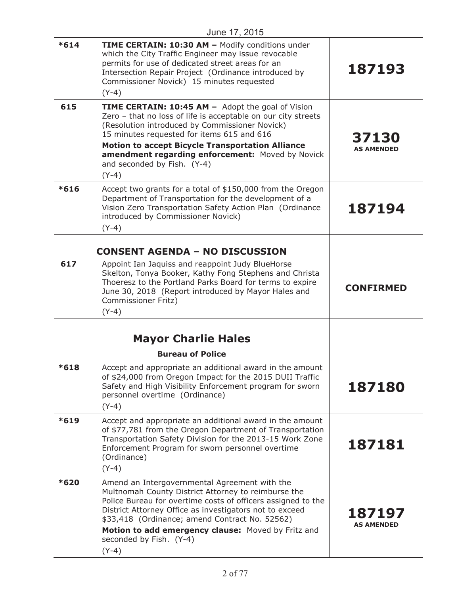| June 17, 2015 |                                                                                                                                                                                                                                                                                                                                                                                    |                             |
|---------------|------------------------------------------------------------------------------------------------------------------------------------------------------------------------------------------------------------------------------------------------------------------------------------------------------------------------------------------------------------------------------------|-----------------------------|
| $*614$        | <b>TIME CERTAIN: 10:30 AM - Modify conditions under</b><br>which the City Traffic Engineer may issue revocable<br>permits for use of dedicated street areas for an<br>Intersection Repair Project (Ordinance introduced by<br>Commissioner Novick) 15 minutes requested<br>$(Y-4)$                                                                                                 | 187193                      |
| 615           | <b>TIME CERTAIN: 10:45 AM - Adopt the goal of Vision</b><br>Zero - that no loss of life is acceptable on our city streets<br>(Resolution introduced by Commissioner Novick)<br>15 minutes requested for items 615 and 616<br><b>Motion to accept Bicycle Transportation Alliance</b><br>amendment regarding enforcement: Moved by Novick<br>and seconded by Fish. (Y-4)<br>$(Y-4)$ | 37130<br><b>AS AMENDED</b>  |
| $*616$        | Accept two grants for a total of \$150,000 from the Oregon<br>Department of Transportation for the development of a<br>Vision Zero Transportation Safety Action Plan (Ordinance<br>introduced by Commissioner Novick)<br>$(Y-4)$                                                                                                                                                   | 187194                      |
| 617           | <b>CONSENT AGENDA - NO DISCUSSION</b><br>Appoint Ian Jaquiss and reappoint Judy BlueHorse<br>Skelton, Tonya Booker, Kathy Fong Stephens and Christa<br>Thoeresz to the Portland Parks Board for terms to expire<br>June 30, 2018 (Report introduced by Mayor Hales and<br>Commissioner Fritz)<br>$(Y-4)$                                                                           | <b>CONFIRMED</b>            |
| $*618$        | <b>Mayor Charlie Hales</b><br><b>Bureau of Police</b><br>Accept and appropriate an additional award in the amount<br>of \$24,000 from Oregon Impact for the 2015 DUII Traffic<br>Safety and High Visibility Enforcement program for sworn<br>personnel overtime (Ordinance)                                                                                                        | 187180                      |
| $*619$        | $(Y-4)$<br>Accept and appropriate an additional award in the amount<br>of \$77,781 from the Oregon Department of Transportation<br>Transportation Safety Division for the 2013-15 Work Zone<br>Enforcement Program for sworn personnel overtime<br>(Ordinance)<br>$(Y-4)$                                                                                                          | 187181                      |
| *620          | Amend an Intergovernmental Agreement with the<br>Multnomah County District Attorney to reimburse the<br>Police Bureau for overtime costs of officers assigned to the<br>District Attorney Office as investigators not to exceed<br>\$33,418 (Ordinance; amend Contract No. 52562)<br>Motion to add emergency clause: Moved by Fritz and<br>seconded by Fish. (Y-4)<br>$(Y-4)$      | 187197<br><b>AS AMENDED</b> |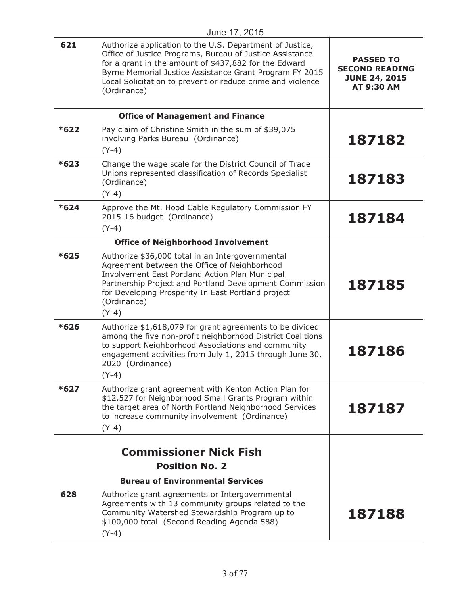|        | June 17, 2015                                                                                                                                                                                                                                                                                                         |                                                                                        |
|--------|-----------------------------------------------------------------------------------------------------------------------------------------------------------------------------------------------------------------------------------------------------------------------------------------------------------------------|----------------------------------------------------------------------------------------|
| 621    | Authorize application to the U.S. Department of Justice,<br>Office of Justice Programs, Bureau of Justice Assistance<br>for a grant in the amount of \$437,882 for the Edward<br>Byrne Memorial Justice Assistance Grant Program FY 2015<br>Local Solicitation to prevent or reduce crime and violence<br>(Ordinance) | <b>PASSED TO</b><br><b>SECOND READING</b><br><b>JUNE 24, 2015</b><br><b>AT 9:30 AM</b> |
|        | <b>Office of Management and Finance</b>                                                                                                                                                                                                                                                                               |                                                                                        |
| *622   | Pay claim of Christine Smith in the sum of \$39,075<br>involving Parks Bureau (Ordinance)<br>$(Y-4)$                                                                                                                                                                                                                  | 187182                                                                                 |
| $*623$ | Change the wage scale for the District Council of Trade<br>Unions represented classification of Records Specialist<br>(Ordinance)<br>$(Y-4)$                                                                                                                                                                          | 187183                                                                                 |
| $*624$ | Approve the Mt. Hood Cable Regulatory Commission FY<br>2015-16 budget (Ordinance)<br>$(Y-4)$                                                                                                                                                                                                                          | 187184                                                                                 |
|        | <b>Office of Neighborhood Involvement</b>                                                                                                                                                                                                                                                                             |                                                                                        |
| $*625$ | Authorize \$36,000 total in an Intergovernmental<br>Agreement between the Office of Neighborhood<br>Involvement East Portland Action Plan Municipal<br>Partnership Project and Portland Development Commission<br>for Developing Prosperity In East Portland project<br>(Ordinance)<br>$(Y-4)$                        | 187185                                                                                 |
| $*626$ | Authorize \$1,618,079 for grant agreements to be divided<br>among the five non-profit neighborhood District Coalitions<br>to support Neighborhood Associations and community<br>engagement activities from July 1, 2015 through June 30,<br>2020 (Ordinance)<br>$(Y-4)$                                               | 187186                                                                                 |
| $*627$ | Authorize grant agreement with Kenton Action Plan for<br>\$12,527 for Neighborhood Small Grants Program within<br>the target area of North Portland Neighborhood Services<br>to increase community involvement (Ordinance)<br>$(Y-4)$                                                                                 | 187187                                                                                 |
|        | <b>Commissioner Nick Fish</b>                                                                                                                                                                                                                                                                                         |                                                                                        |
|        | <b>Position No. 2</b>                                                                                                                                                                                                                                                                                                 |                                                                                        |
|        | <b>Bureau of Environmental Services</b>                                                                                                                                                                                                                                                                               |                                                                                        |
| 628    | Authorize grant agreements or Intergovernmental<br>Agreements with 13 community groups related to the<br>Community Watershed Stewardship Program up to<br>\$100,000 total (Second Reading Agenda 588)<br>$(Y-4)$                                                                                                      | 187188                                                                                 |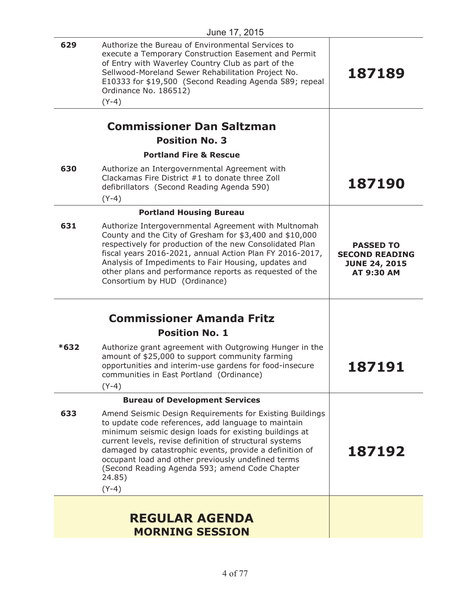| 629    | Authorize the Bureau of Environmental Services to<br>execute a Temporary Construction Easement and Permit<br>of Entry with Waverley Country Club as part of the<br>Sellwood-Moreland Sewer Rehabilitation Project No.<br>E10333 for \$19,500 (Second Reading Agenda 589; repeal<br>Ordinance No. 186512)<br>$(Y-4)$                                                                                                          | 187189                                                                                 |
|--------|------------------------------------------------------------------------------------------------------------------------------------------------------------------------------------------------------------------------------------------------------------------------------------------------------------------------------------------------------------------------------------------------------------------------------|----------------------------------------------------------------------------------------|
|        |                                                                                                                                                                                                                                                                                                                                                                                                                              |                                                                                        |
|        | <b>Commissioner Dan Saltzman</b>                                                                                                                                                                                                                                                                                                                                                                                             |                                                                                        |
|        | <b>Position No. 3</b>                                                                                                                                                                                                                                                                                                                                                                                                        |                                                                                        |
|        | <b>Portland Fire &amp; Rescue</b>                                                                                                                                                                                                                                                                                                                                                                                            |                                                                                        |
| 630    | Authorize an Intergovernmental Agreement with<br>Clackamas Fire District #1 to donate three Zoll<br>defibrillators (Second Reading Agenda 590)<br>$(Y-4)$                                                                                                                                                                                                                                                                    | 187190                                                                                 |
|        | <b>Portland Housing Bureau</b>                                                                                                                                                                                                                                                                                                                                                                                               |                                                                                        |
| 631    | Authorize Intergovernmental Agreement with Multnomah<br>County and the City of Gresham for \$3,400 and \$10,000<br>respectively for production of the new Consolidated Plan<br>fiscal years 2016-2021, annual Action Plan FY 2016-2017,<br>Analysis of Impediments to Fair Housing, updates and<br>other plans and performance reports as requested of the<br>Consortium by HUD (Ordinance)                                  | <b>PASSED TO</b><br><b>SECOND READING</b><br><b>JUNE 24, 2015</b><br><b>AT 9:30 AM</b> |
|        | <b>Commissioner Amanda Fritz</b><br><b>Position No. 1</b>                                                                                                                                                                                                                                                                                                                                                                    |                                                                                        |
| $*632$ | Authorize grant agreement with Outgrowing Hunger in the<br>amount of \$25,000 to support community farming<br>opportunities and interim-use gardens for food-insecure<br>communities in East Portland (Ordinance)<br>$(Y-4)$                                                                                                                                                                                                 | <b>187191</b>                                                                          |
|        | <b>Bureau of Development Services</b>                                                                                                                                                                                                                                                                                                                                                                                        |                                                                                        |
| 633    | Amend Seismic Design Requirements for Existing Buildings<br>to update code references, add language to maintain<br>minimum seismic design loads for existing buildings at<br>current levels, revise definition of structural systems<br>damaged by catastrophic events, provide a definition of<br>occupant load and other previously undefined terms<br>(Second Reading Agenda 593; amend Code Chapter<br>24.85)<br>$(Y-4)$ | 187192                                                                                 |
|        | <b>REGULAR AGENDA</b><br><b>MORNING SESSION</b>                                                                                                                                                                                                                                                                                                                                                                              |                                                                                        |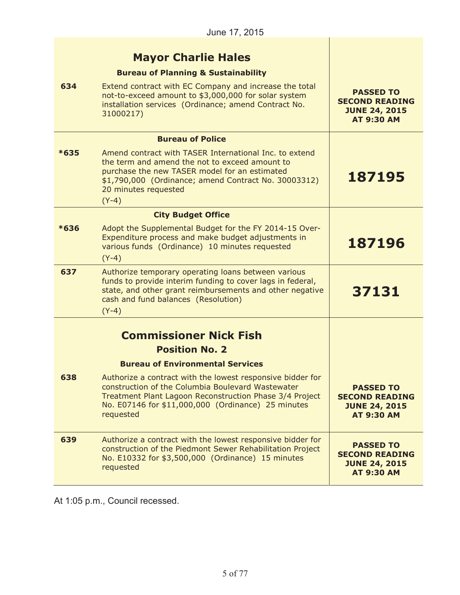|  | <b>Mayor Charlie Hales</b> |  |
|--|----------------------------|--|
|--|----------------------------|--|

|        | <b>Payor Charne Hales</b>                                                                                                                                                                                                                            |                                                                                        |
|--------|------------------------------------------------------------------------------------------------------------------------------------------------------------------------------------------------------------------------------------------------------|----------------------------------------------------------------------------------------|
|        | <b>Bureau of Planning &amp; Sustainability</b>                                                                                                                                                                                                       |                                                                                        |
| 634    | Extend contract with EC Company and increase the total<br>not-to-exceed amount to \$3,000,000 for solar system<br>installation services (Ordinance; amend Contract No.<br>31000217)                                                                  | <b>PASSED TO</b><br><b>SECOND READING</b><br><b>JUNE 24, 2015</b><br><b>AT 9:30 AM</b> |
|        | <b>Bureau of Police</b>                                                                                                                                                                                                                              |                                                                                        |
| $*635$ | Amend contract with TASER International Inc. to extend<br>the term and amend the not to exceed amount to<br>purchase the new TASER model for an estimated<br>\$1,790,000 (Ordinance; amend Contract No. 30003312)<br>20 minutes requested<br>$(Y-4)$ | 187195                                                                                 |
|        | <b>City Budget Office</b>                                                                                                                                                                                                                            |                                                                                        |
| $*636$ | Adopt the Supplemental Budget for the FY 2014-15 Over-<br>Expenditure process and make budget adjustments in<br>various funds (Ordinance) 10 minutes requested<br>$(Y-4)$                                                                            | 187196                                                                                 |
| 637    | Authorize temporary operating loans between various<br>funds to provide interim funding to cover lags in federal,<br>state, and other grant reimbursements and other negative<br>cash and fund balances (Resolution)<br>$(Y-4)$                      | 37131                                                                                  |
|        | <b>Commissioner Nick Fish</b>                                                                                                                                                                                                                        |                                                                                        |
|        | <b>Position No. 2</b>                                                                                                                                                                                                                                |                                                                                        |
|        | <b>Bureau of Environmental Services</b>                                                                                                                                                                                                              |                                                                                        |
| 638    | Authorize a contract with the lowest responsive bidder for<br>construction of the Columbia Boulevard Wastewater<br>Treatment Plant Lagoon Reconstruction Phase 3/4 Project<br>No. E07146 for \$11,000,000 (Ordinance) 25 minutes<br>requested        | <b>PASSED TO</b><br><b>SECOND READING</b><br><b>JUNE 24, 2015</b><br><b>AT 9:30 AM</b> |
| 639    | Authorize a contract with the lowest responsive bidder for<br>construction of the Piedmont Sewer Rehabilitation Project<br>No. E10332 for \$3,500,000 (Ordinance) 15 minutes<br>requested                                                            | <b>PASSED TO</b><br><b>SECOND READING</b><br><b>JUNE 24, 2015</b><br><b>AT 9:30 AM</b> |

At 1:05 p.m., Council recessed.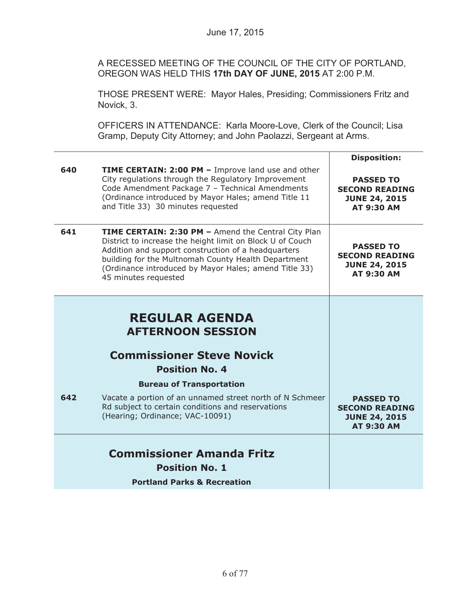A RECESSED MEETING OF THE COUNCIL OF THE CITY OF PORTLAND, OREGON WAS HELD THIS **17th DAY OF JUNE, 2015** AT 2:00 P.M.

THOSE PRESENT WERE: Mayor Hales, Presiding; Commissioners Fritz and Novick, 3.

OFFICERS IN ATTENDANCE: Karla Moore-Love, Clerk of the Council; Lisa Gramp, Deputy City Attorney; and John Paolazzi, Sergeant at Arms.

| 640 | <b>TIME CERTAIN: 2:00 PM - Improve land use and other</b><br>City regulations through the Regulatory Improvement<br>Code Amendment Package 7 - Technical Amendments<br>(Ordinance introduced by Mayor Hales; amend Title 11<br>and Title 33) 30 minutes requested                                               | <b>Disposition:</b><br><b>PASSED TO</b><br><b>SECOND READING</b><br><b>JUNE 24, 2015</b><br><b>AT 9:30 AM</b> |
|-----|-----------------------------------------------------------------------------------------------------------------------------------------------------------------------------------------------------------------------------------------------------------------------------------------------------------------|---------------------------------------------------------------------------------------------------------------|
| 641 | TIME CERTAIN: 2:30 PM - Amend the Central City Plan<br>District to increase the height limit on Block U of Couch<br>Addition and support construction of a headquarters<br>building for the Multnomah County Health Department<br>(Ordinance introduced by Mayor Hales; amend Title 33)<br>45 minutes requested | <b>PASSED TO</b><br><b>SECOND READING</b><br><b>JUNE 24, 2015</b><br>AT 9:30 AM                               |
|     | <b>REGULAR AGENDA</b><br><b>AFTERNOON SESSION</b><br><b>Commissioner Steve Novick</b><br><b>Position No. 4</b>                                                                                                                                                                                                  |                                                                                                               |
|     | <b>Bureau of Transportation</b>                                                                                                                                                                                                                                                                                 |                                                                                                               |
| 642 | Vacate a portion of an unnamed street north of N Schmeer<br>Rd subject to certain conditions and reservations<br>(Hearing; Ordinance; VAC-10091)                                                                                                                                                                | <b>PASSED TO</b><br><b>SECOND READING</b><br><b>JUNE 24, 2015</b><br><b>AT 9:30 AM</b>                        |
|     | <b>Commissioner Amanda Fritz</b><br><b>Position No. 1</b>                                                                                                                                                                                                                                                       |                                                                                                               |
|     | <b>Portland Parks &amp; Recreation</b>                                                                                                                                                                                                                                                                          |                                                                                                               |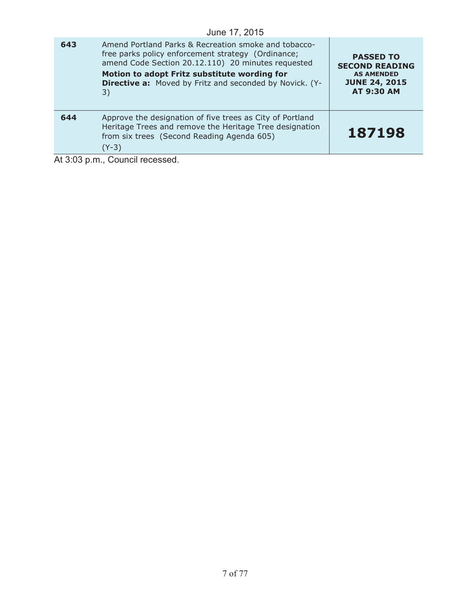|     | June 17, 2015                                                                                                                                                                                                                                                                                                                                                                                                          |                                                                                                             |
|-----|------------------------------------------------------------------------------------------------------------------------------------------------------------------------------------------------------------------------------------------------------------------------------------------------------------------------------------------------------------------------------------------------------------------------|-------------------------------------------------------------------------------------------------------------|
| 643 | Amend Portland Parks & Recreation smoke and tobacco-<br>free parks policy enforcement strategy (Ordinance;<br>amend Code Section 20.12.110) 20 minutes requested<br>Motion to adopt Fritz substitute wording for<br><b>Directive a:</b> Moved by Fritz and seconded by Novick. (Y-<br>3)                                                                                                                               | <b>PASSED TO</b><br><b>SECOND READING</b><br><b>AS AMENDED</b><br><b>JUNE 24, 2015</b><br><b>AT 9:30 AM</b> |
| 644 | Approve the designation of five trees as City of Portland<br>Heritage Trees and remove the Heritage Tree designation<br>from six trees (Second Reading Agenda 605)<br>$(Y-3)$                                                                                                                                                                                                                                          | 187198                                                                                                      |
|     | $\mathbf{A} \mathbf{A} \mathbf{A} \mathbf{A} \mathbf{A} \mathbf{A} \mathbf{A} \mathbf{A} \mathbf{A} \mathbf{A} \mathbf{A} \mathbf{A} \mathbf{A} \mathbf{A} \mathbf{A} \mathbf{A} \mathbf{A} \mathbf{A} \mathbf{A} \mathbf{A} \mathbf{A} \mathbf{A} \mathbf{A} \mathbf{A} \mathbf{A} \mathbf{A} \mathbf{A} \mathbf{A} \mathbf{A} \mathbf{A} \mathbf{A} \mathbf{A} \mathbf{A} \mathbf{A} \mathbf{A} \mathbf{A} \mathbf{$ |                                                                                                             |

 $\overline{\phantom{a}}$ 

At 3:03 p.m., Council recessed.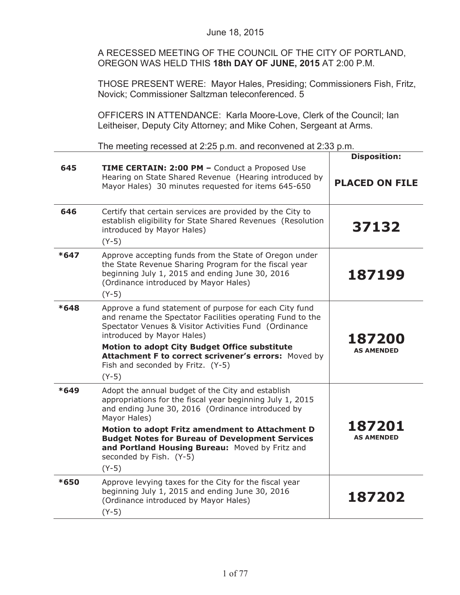A RECESSED MEETING OF THE COUNCIL OF THE CITY OF PORTLAND, OREGON WAS HELD THIS **18th DAY OF JUNE, 2015** AT 2:00 P.M.

THOSE PRESENT WERE: Mayor Hales, Presiding; Commissioners Fish, Fritz, Novick; Commissioner Saltzman teleconferenced. 5

OFFICERS IN ATTENDANCE: Karla Moore-Love, Clerk of the Council; Ian Leitheiser, Deputy City Attorney; and Mike Cohen, Sergeant at Arms.

The meeting recessed at 2:25 p.m. and reconvened at 2:33 p.m.

|        |                                                                                                                                                                                                                                                                                                                                                                                           | <b>Disposition:</b>         |
|--------|-------------------------------------------------------------------------------------------------------------------------------------------------------------------------------------------------------------------------------------------------------------------------------------------------------------------------------------------------------------------------------------------|-----------------------------|
| 645    | TIME CERTAIN: 2:00 PM - Conduct a Proposed Use<br>Hearing on State Shared Revenue (Hearing introduced by<br>Mayor Hales) 30 minutes requested for items 645-650                                                                                                                                                                                                                           | <b>PLACED ON FILE</b>       |
| 646    | Certify that certain services are provided by the City to<br>establish eligibility for State Shared Revenues (Resolution<br>introduced by Mayor Hales)<br>$(Y-5)$                                                                                                                                                                                                                         | 37132                       |
| $*647$ | Approve accepting funds from the State of Oregon under<br>the State Revenue Sharing Program for the fiscal year<br>beginning July 1, 2015 and ending June 30, 2016<br>(Ordinance introduced by Mayor Hales)<br>$(Y-5)$                                                                                                                                                                    | 187199                      |
| $*648$ | Approve a fund statement of purpose for each City fund<br>and rename the Spectator Facilities operating Fund to the<br>Spectator Venues & Visitor Activities Fund (Ordinance<br>introduced by Mayor Hales)<br>Motion to adopt City Budget Office substitute<br>Attachment F to correct scrivener's errors: Moved by<br>Fish and seconded by Fritz. (Y-5)<br>$(Y-5)$                       | 187200<br><b>AS AMENDED</b> |
| $*649$ | Adopt the annual budget of the City and establish<br>appropriations for the fiscal year beginning July 1, 2015<br>and ending June 30, 2016 (Ordinance introduced by<br>Mayor Hales)<br>Motion to adopt Fritz amendment to Attachment D<br><b>Budget Notes for Bureau of Development Services</b><br>and Portland Housing Bureau: Moved by Fritz and<br>seconded by Fish. (Y-5)<br>$(Y-5)$ | 187201<br><b>AS AMENDED</b> |
| *650   | Approve levying taxes for the City for the fiscal year<br>beginning July 1, 2015 and ending June 30, 2016<br>(Ordinance introduced by Mayor Hales)<br>$(Y-5)$                                                                                                                                                                                                                             | 187202                      |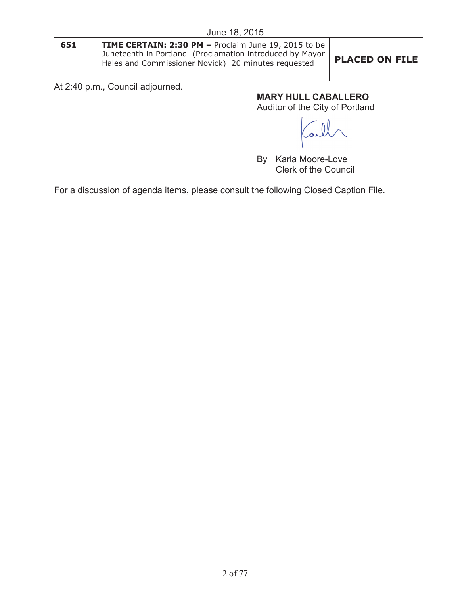**651 TIME CERTAIN: 2:30 PM –** Proclaim June 19, 2015 to be Juneteenth in Portland (Proclamation introduced by Mayor Hales and Commissioner Novick) 20 minutes requested **PLACED ON FILE**

At 2:40 p.m., Council adjourned.

**MARY HULL CABALLERO**

Auditor of the City of Portland

By Karla Moore-Love Clerk of the Council

For a discussion of agenda items, please consult the following Closed Caption File.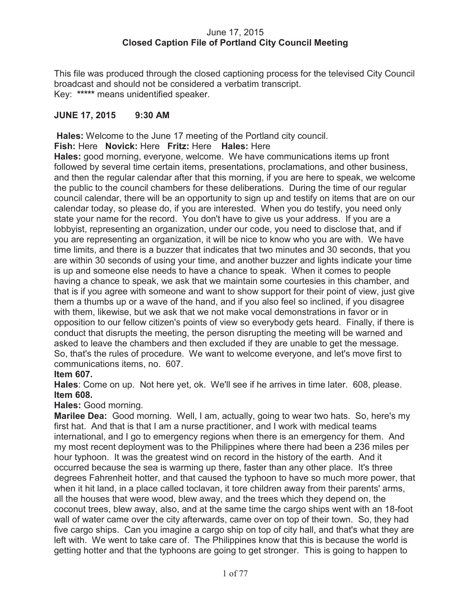### June 17, 2015 **Closed Caption File of Portland City Council Meeting**

This file was produced through the closed captioning process for the televised City Council broadcast and should not be considered a verbatim transcript. Key: **\*\*\*\*\*** means unidentified speaker.

## **JUNE 17, 2015 9:30 AM**

**Hales:** Welcome to the June 17 meeting of the Portland city council.

**Fish:** Here **Novick:** Here **Fritz:** Here **Hales:** Here

**Hales:** good morning, everyone, welcome. We have communications items up front followed by several time certain items, presentations, proclamations, and other business, and then the regular calendar after that this morning, if you are here to speak, we welcome the public to the council chambers for these deliberations. During the time of our regular council calendar, there will be an opportunity to sign up and testify on items that are on our calendar today, so please do, if you are interested. When you do testify, you need only state your name for the record. You don't have to give us your address. If you are a lobbyist, representing an organization, under our code, you need to disclose that, and if you are representing an organization, it will be nice to know who you are with. We have time limits, and there is a buzzer that indicates that two minutes and 30 seconds, that you are within 30 seconds of using your time, and another buzzer and lights indicate your time is up and someone else needs to have a chance to speak. When it comes to people having a chance to speak, we ask that we maintain some courtesies in this chamber, and that is if you agree with someone and want to show support for their point of view, just give them a thumbs up or a wave of the hand, and if you also feel so inclined, if you disagree with them, likewise, but we ask that we not make vocal demonstrations in favor or in opposition to our fellow citizen's points of view so everybody gets heard. Finally, if there is conduct that disrupts the meeting, the person disrupting the meeting will be warned and asked to leave the chambers and then excluded if they are unable to get the message. So, that's the rules of procedure. We want to welcome everyone, and let's move first to communications items, no. 607.

## **Item 607.**

**Hales**: Come on up. Not here yet, ok. We'll see if he arrives in time later. 608, please. **Item 608.** 

**Hales:** Good morning.

**Marilee Dea:** Good morning. Well, I am, actually, going to wear two hats. So, here's my first hat. And that is that I am a nurse practitioner, and I work with medical teams international, and I go to emergency regions when there is an emergency for them. And my most recent deployment was to the Philippines where there had been a 236 miles per hour typhoon. It was the greatest wind on record in the history of the earth. And it occurred because the sea is warming up there, faster than any other place. It's three degrees Fahrenheit hotter, and that caused the typhoon to have so much more power, that when it hit land, in a place called toclavan, it tore children away from their parents' arms, all the houses that were wood, blew away, and the trees which they depend on, the coconut trees, blew away, also, and at the same time the cargo ships went with an 18-foot wall of water came over the city afterwards, came over on top of their town. So, they had five cargo ships. Can you imagine a cargo ship on top of city hall, and that's what they are left with. We went to take care of. The Philippines know that this is because the world is getting hotter and that the typhoons are going to get stronger. This is going to happen to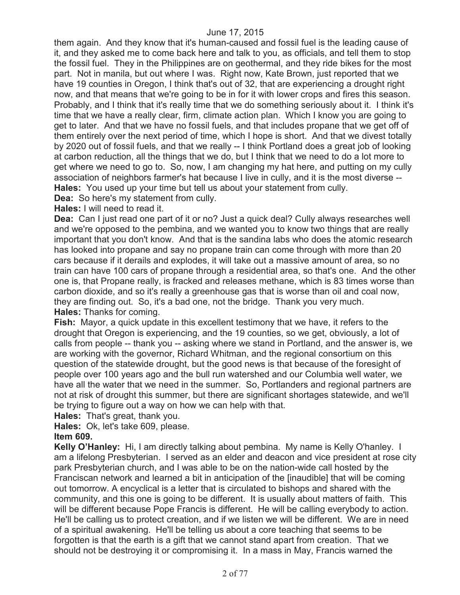them again. And they know that it's human-caused and fossil fuel is the leading cause of it, and they asked me to come back here and talk to you, as officials, and tell them to stop the fossil fuel. They in the Philippines are on geothermal, and they ride bikes for the most part. Not in manila, but out where I was. Right now, Kate Brown, just reported that we have 19 counties in Oregon, I think that's out of 32, that are experiencing a drought right now, and that means that we're going to be in for it with lower crops and fires this season. Probably, and I think that it's really time that we do something seriously about it. I think it's time that we have a really clear, firm, climate action plan. Which I know you are going to get to later. And that we have no fossil fuels, and that includes propane that we get off of them entirely over the next period of time, which I hope is short. And that we divest totally by 2020 out of fossil fuels, and that we really -- I think Portland does a great job of looking at carbon reduction, all the things that we do, but I think that we need to do a lot more to get where we need to go to. So, now, I am changing my hat here, and putting on my cully association of neighbors farmer's hat because I live in cully, and it is the most diverse -- **Hales:** You used up your time but tell us about your statement from cully.

**Dea:** So here's my statement from cully.

### **Hales:** I will need to read it.

**Dea:** Can I just read one part of it or no? Just a quick deal? Cully always researches well and we're opposed to the pembina, and we wanted you to know two things that are really important that you don't know. And that is the sandina labs who does the atomic research has looked into propane and say no propane train can come through with more than 20 cars because if it derails and explodes, it will take out a massive amount of area, so no train can have 100 cars of propane through a residential area, so that's one. And the other one is, that Propane really, is fracked and releases methane, which is 83 times worse than carbon dioxide, and so it's really a greenhouse gas that is worse than oil and coal now, they are finding out. So, it's a bad one, not the bridge. Thank you very much. **Hales:** Thanks for coming.

**Fish:** Mayor, a quick update in this excellent testimony that we have, it refers to the drought that Oregon is experiencing, and the 19 counties, so we get, obviously, a lot of calls from people -- thank you -- asking where we stand in Portland, and the answer is, we are working with the governor, Richard Whitman, and the regional consortium on this question of the statewide drought, but the good news is that because of the foresight of people over 100 years ago and the bull run watershed and our Columbia well water, we have all the water that we need in the summer. So, Portlanders and regional partners are not at risk of drought this summer, but there are significant shortages statewide, and we'll be trying to figure out a way on how we can help with that.

**Hales:** That's great, thank you.

**Hales:** Ok, let's take 609, please.

#### **Item 609.**

**Kelly O'Hanley:** Hi, I am directly talking about pembina. My name is Kelly O'hanley. I am a lifelong Presbyterian. I served as an elder and deacon and vice president at rose city park Presbyterian church, and I was able to be on the nation-wide call hosted by the Franciscan network and learned a bit in anticipation of the [inaudible] that will be coming out tomorrow. A encyclical is a letter that is circulated to bishops and shared with the community, and this one is going to be different. It is usually about matters of faith. This will be different because Pope Francis is different. He will be calling everybody to action. He'll be calling us to protect creation, and if we listen we will be different. We are in need of a spiritual awakening. He'll be telling us about a core teaching that seems to be forgotten is that the earth is a gift that we cannot stand apart from creation. That we should not be destroying it or compromising it. In a mass in May, Francis warned the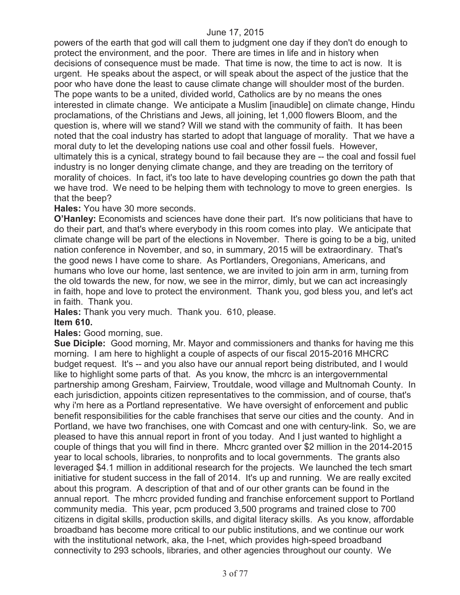powers of the earth that god will call them to judgment one day if they don't do enough to protect the environment, and the poor. There are times in life and in history when decisions of consequence must be made. That time is now, the time to act is now. It is urgent. He speaks about the aspect, or will speak about the aspect of the justice that the poor who have done the least to cause climate change will shoulder most of the burden. The pope wants to be a united, divided world, Catholics are by no means the ones interested in climate change. We anticipate a Muslim [inaudible] on climate change, Hindu proclamations, of the Christians and Jews, all joining, let 1,000 flowers Bloom, and the question is, where will we stand? Will we stand with the community of faith. It has been noted that the coal industry has started to adopt that language of morality. That we have a moral duty to let the developing nations use coal and other fossil fuels. However, ultimately this is a cynical, strategy bound to fail because they are -- the coal and fossil fuel industry is no longer denying climate change, and they are treading on the territory of morality of choices. In fact, it's too late to have developing countries go down the path that we have trod. We need to be helping them with technology to move to green energies. Is that the beep?

#### **Hales:** You have 30 more seconds.

**O'Hanley:** Economists and sciences have done their part. It's now politicians that have to do their part, and that's where everybody in this room comes into play. We anticipate that climate change will be part of the elections in November. There is going to be a big, united nation conference in November, and so, in summary, 2015 will be extraordinary. That's the good news I have come to share. As Portlanders, Oregonians, Americans, and humans who love our home, last sentence, we are invited to join arm in arm, turning from the old towards the new, for now, we see in the mirror, dimly, but we can act increasingly in faith, hope and love to protect the environment. Thank you, god bless you, and let's act in faith. Thank you.

**Hales:** Thank you very much. Thank you. 610, please.

#### **Item 610.**

**Hales:** Good morning, sue.

**Sue Diciple:** Good morning, Mr. Mayor and commissioners and thanks for having me this morning. I am here to highlight a couple of aspects of our fiscal 2015-2016 MHCRC budget request. It's -- and you also have our annual report being distributed, and I would like to highlight some parts of that. As you know, the mhcrc is an intergovernmental partnership among Gresham, Fairview, Troutdale, wood village and Multnomah County. In each jurisdiction, appoints citizen representatives to the commission, and of course, that's why i'm here as a Portland representative. We have oversight of enforcement and public benefit responsibilities for the cable franchises that serve our cities and the county. And in Portland, we have two franchises, one with Comcast and one with century-link. So, we are pleased to have this annual report in front of you today. And I just wanted to highlight a couple of things that you will find in there. Mhcrc granted over \$2 million in the 2014-2015 year to local schools, libraries, to nonprofits and to local governments. The grants also leveraged \$4.1 million in additional research for the projects. We launched the tech smart initiative for student success in the fall of 2014. It's up and running. We are really excited about this program. A description of that and of our other grants can be found in the annual report. The mhcrc provided funding and franchise enforcement support to Portland community media. This year, pcm produced 3,500 programs and trained close to 700 citizens in digital skills, production skills, and digital literacy skills. As you know, affordable broadband has become more critical to our public institutions, and we continue our work with the institutional network, aka, the I-net, which provides high-speed broadband connectivity to 293 schools, libraries, and other agencies throughout our county. We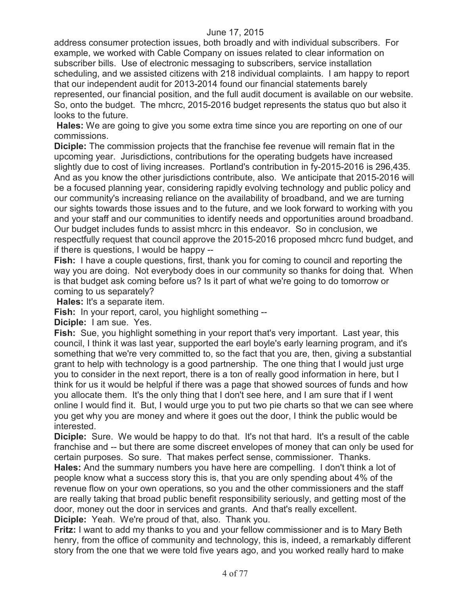address consumer protection issues, both broadly and with individual subscribers. For example, we worked with Cable Company on issues related to clear information on subscriber bills. Use of electronic messaging to subscribers, service installation scheduling, and we assisted citizens with 218 individual complaints. I am happy to report that our independent audit for 2013-2014 found our financial statements barely represented, our financial position, and the full audit document is available on our website. So, onto the budget. The mhcrc, 2015-2016 budget represents the status quo but also it looks to the future.

**Hales:** We are going to give you some extra time since you are reporting on one of our commissions.

**Diciple:** The commission projects that the franchise fee revenue will remain flat in the upcoming year. Jurisdictions, contributions for the operating budgets have increased slightly due to cost of living increases. Portland's contribution in fy-2015-2016 is 296,435. And as you know the other jurisdictions contribute, also. We anticipate that 2015-2016 will be a focused planning year, considering rapidly evolving technology and public policy and our community's increasing reliance on the availability of broadband, and we are turning our sights towards those issues and to the future, and we look forward to working with you and your staff and our communities to identify needs and opportunities around broadband. Our budget includes funds to assist mhcrc in this endeavor. So in conclusion, we respectfully request that council approve the 2015-2016 proposed mhcrc fund budget, and if there is questions, I would be happy --

**Fish:** I have a couple questions, first, thank you for coming to council and reporting the way you are doing. Not everybody does in our community so thanks for doing that. When is that budget ask coming before us? Is it part of what we're going to do tomorrow or coming to us separately?

**Hales:** It's a separate item.

**Fish:** In your report, carol, you highlight something --

**Diciple:** I am sue. Yes.

**Fish:** Sue, you highlight something in your report that's very important. Last year, this council, I think it was last year, supported the earl boyle's early learning program, and it's something that we're very committed to, so the fact that you are, then, giving a substantial grant to help with technology is a good partnership. The one thing that I would just urge you to consider in the next report, there is a ton of really good information in here, but I think for us it would be helpful if there was a page that showed sources of funds and how you allocate them. It's the only thing that I don't see here, and I am sure that if I went online I would find it. But, I would urge you to put two pie charts so that we can see where you get why you are money and where it goes out the door, I think the public would be interested.

**Diciple:** Sure. We would be happy to do that. It's not that hard. It's a result of the cable franchise and -- but there are some discreet envelopes of money that can only be used for certain purposes. So sure. That makes perfect sense, commissioner. Thanks.

**Hales:** And the summary numbers you have here are compelling. I don't think a lot of people know what a success story this is, that you are only spending about 4% of the revenue flow on your own operations, so you and the other commissioners and the staff are really taking that broad public benefit responsibility seriously, and getting most of the door, money out the door in services and grants. And that's really excellent. **Diciple:** Yeah. We're proud of that, also. Thank you.

**Fritz:** I want to add my thanks to you and your fellow commissioner and is to Mary Beth henry, from the office of community and technology, this is, indeed, a remarkably different story from the one that we were told five years ago, and you worked really hard to make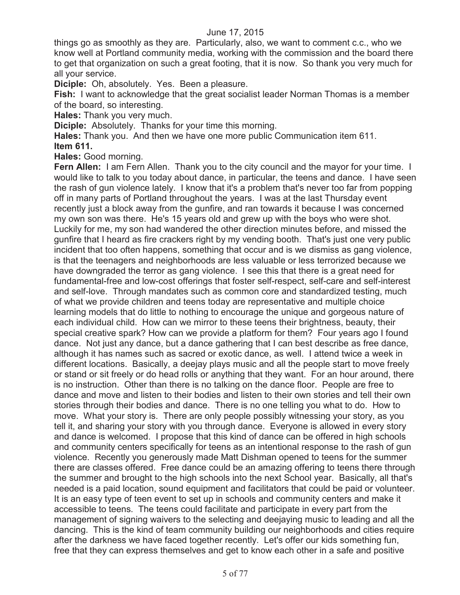things go as smoothly as they are. Particularly, also, we want to comment c.c., who we know well at Portland community media, working with the commission and the board there to get that organization on such a great footing, that it is now. So thank you very much for all your service.

**Diciple:** Oh, absolutely. Yes. Been a pleasure.

**Fish:** I want to acknowledge that the great socialist leader Norman Thomas is a member of the board, so interesting.

**Hales:** Thank you very much.

**Diciple:** Absolutely. Thanks for your time this morning.

**Hales:** Thank you. And then we have one more public Communication item 611. **Item 611.**

**Hales:** Good morning.

**Fern Allen:** I am Fern Allen. Thank you to the city council and the mayor for your time. I would like to talk to you today about dance, in particular, the teens and dance. I have seen the rash of gun violence lately. I know that it's a problem that's never too far from popping off in many parts of Portland throughout the years. I was at the last Thursday event recently just a block away from the gunfire, and ran towards it because I was concerned my own son was there. He's 15 years old and grew up with the boys who were shot. Luckily for me, my son had wandered the other direction minutes before, and missed the gunfire that I heard as fire crackers right by my vending booth. That's just one very public incident that too often happens, something that occur and is we dismiss as gang violence, is that the teenagers and neighborhoods are less valuable or less terrorized because we have downgraded the terror as gang violence. I see this that there is a great need for fundamental-free and low-cost offerings that foster self-respect, self-care and self-interest and self-love. Through mandates such as common core and standardized testing, much of what we provide children and teens today are representative and multiple choice learning models that do little to nothing to encourage the unique and gorgeous nature of each individual child. How can we mirror to these teens their brightness, beauty, their special creative spark? How can we provide a platform for them? Four years ago I found dance. Not just any dance, but a dance gathering that I can best describe as free dance, although it has names such as sacred or exotic dance, as well. I attend twice a week in different locations. Basically, a deejay plays music and all the people start to move freely or stand or sit freely or do head rolls or anything that they want. For an hour around, there is no instruction. Other than there is no talking on the dance floor. People are free to dance and move and listen to their bodies and listen to their own stories and tell their own stories through their bodies and dance. There is no one telling you what to do. How to move. What your story is. There are only people possibly witnessing your story, as you tell it, and sharing your story with you through dance. Everyone is allowed in every story and dance is welcomed. I propose that this kind of dance can be offered in high schools and community centers specifically for teens as an intentional response to the rash of gun violence. Recently you generously made Matt Dishman opened to teens for the summer there are classes offered. Free dance could be an amazing offering to teens there through the summer and brought to the high schools into the next School year. Basically, all that's needed is a paid location, sound equipment and facilitators that could be paid or volunteer. It is an easy type of teen event to set up in schools and community centers and make it accessible to teens. The teens could facilitate and participate in every part from the management of signing waivers to the selecting and deejaying music to leading and all the dancing. This is the kind of team community building our neighborhoods and cities require after the darkness we have faced together recently. Let's offer our kids something fun, free that they can express themselves and get to know each other in a safe and positive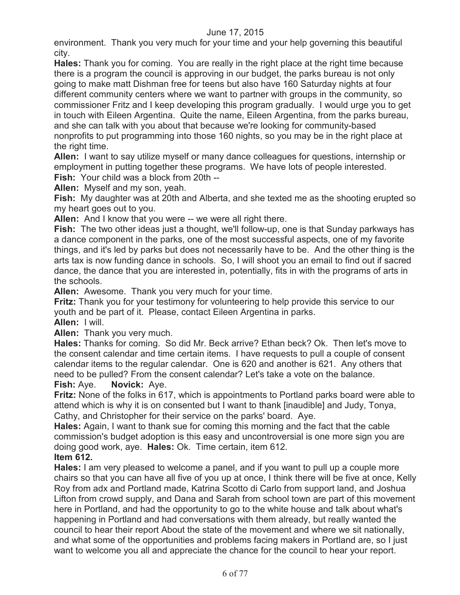environment. Thank you very much for your time and your help governing this beautiful city.

**Hales:** Thank you for coming. You are really in the right place at the right time because there is a program the council is approving in our budget, the parks bureau is not only going to make matt Dishman free for teens but also have 160 Saturday nights at four different community centers where we want to partner with groups in the community, so commissioner Fritz and I keep developing this program gradually. I would urge you to get in touch with Eileen Argentina. Quite the name, Eileen Argentina, from the parks bureau, and she can talk with you about that because we're looking for community-based nonprofits to put programming into those 160 nights, so you may be in the right place at the right time.

**Allen:** I want to say utilize myself or many dance colleagues for questions, internship or employment in putting together these programs. We have lots of people interested. **Fish:** Your child was a block from 20th --

**Allen:** Myself and my son, yeah.

**Fish:** My daughter was at 20th and Alberta, and she texted me as the shooting erupted so my heart goes out to you.

**Allen:** And I know that you were -- we were all right there.

**Fish:** The two other ideas just a thought, we'll follow-up, one is that Sunday parkways has a dance component in the parks, one of the most successful aspects, one of my favorite things, and it's led by parks but does not necessarily have to be. And the other thing is the arts tax is now funding dance in schools. So, I will shoot you an email to find out if sacred dance, the dance that you are interested in, potentially, fits in with the programs of arts in the schools.

**Allen:** Awesome. Thank you very much for your time.

**Fritz:** Thank you for your testimony for volunteering to help provide this service to our youth and be part of it. Please, contact Eileen Argentina in parks.

**Allen:** I will.

**Allen:** Thank you very much.

**Hales:** Thanks for coming. So did Mr. Beck arrive? Ethan beck? Ok. Then let's move to the consent calendar and time certain items. I have requests to pull a couple of consent calendar items to the regular calendar. One is 620 and another is 621. Any others that need to be pulled? From the consent calendar? Let's take a vote on the balance.

**Fish:** Aye. **Novick:** Aye.

**Fritz:** None of the folks in 617, which is appointments to Portland parks board were able to attend which is why it is on consented but I want to thank [inaudible] and Judy, Tonya, Cathy, and Christopher for their service on the parks' board. Aye.

**Hales:** Again, I want to thank sue for coming this morning and the fact that the cable commission's budget adoption is this easy and uncontroversial is one more sign you are doing good work, aye. **Hales:** Ok. Time certain, item 612.

### **Item 612.**

**Hales:** I am very pleased to welcome a panel, and if you want to pull up a couple more chairs so that you can have all five of you up at once, I think there will be five at once, Kelly Roy from adx and Portland made, Katrina Scotto di Carlo from support land, and Joshua Lifton from crowd supply, and Dana and Sarah from school town are part of this movement here in Portland, and had the opportunity to go to the white house and talk about what's happening in Portland and had conversations with them already, but really wanted the council to hear their report About the state of the movement and where we sit nationally, and what some of the opportunities and problems facing makers in Portland are, so I just want to welcome you all and appreciate the chance for the council to hear your report.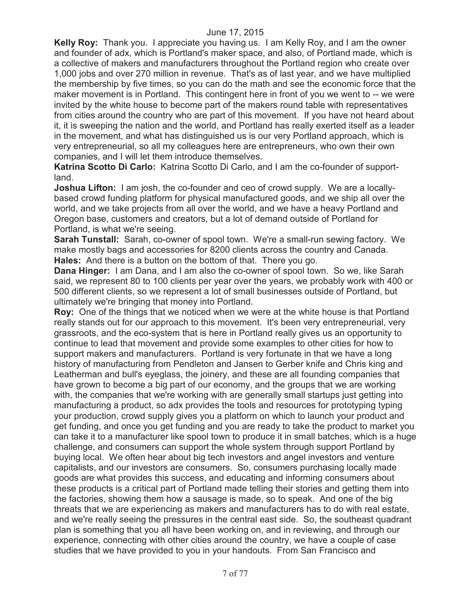**Kelly Roy:** Thank you. I appreciate you having us. I am Kelly Roy, and I am the owner and founder of adx, which is Portland's maker space, and also, of Portland made, which is a collective of makers and manufacturers throughout the Portland region who create over 1,000 jobs and over 270 million in revenue. That's as of last year, and we have multiplied the membership by five times, so you can do the math and see the economic force that the maker movement is in Portland. This contingent here in front of you we went to -- we were invited by the white house to become part of the makers round table with representatives from cities around the country who are part of this movement. If you have not heard about it, it is sweeping the nation and the world, and Portland has really exerted itself as a leader in the movement, and what has distinguished us is our very Portland approach, which is very entrepreneurial, so all my colleagues here are entrepreneurs, who own their own companies, and I will let them introduce themselves.

**Katrina Scotto Di Carlo:** Katrina Scotto Di Carlo, and I am the co-founder of supportland.

**Joshua Lifton:** I am josh, the co-founder and ceo of crowd supply. We are a locallybased crowd funding platform for physical manufactured goods, and we ship all over the world, and we take projects from all over the world, and we have a heavy Portland and Oregon base, customers and creators, but a lot of demand outside of Portland for Portland, is what we're seeing.

**Sarah Tunstall:** Sarah, co-owner of spool town. We're a small-run sewing factory. We make mostly bags and accessories for 8200 clients across the country and Canada. **Hales:** And there is a button on the bottom of that. There you go.

**Dana Hinger:** I am Dana, and I am also the co-owner of spool town. So we, like Sarah said, we represent 80 to 100 clients per year over the years, we probably work with 400 or 500 different clients, so we represent a lot of small businesses outside of Portland, but ultimately we're bringing that money into Portland.

**Roy:** One of the things that we noticed when we were at the white house is that Portland really stands out for our approach to this movement. It's been very entrepreneurial, very grassroots, and the eco-system that is here in Portland really gives us an opportunity to continue to lead that movement and provide some examples to other cities for how to support makers and manufacturers. Portland is very fortunate in that we have a long history of manufacturing from Pendleton and Jansen to Gerber knife and Chris king and Leatherman and bull's eyeglass, the joinery, and these are all founding companies that have grown to become a big part of our economy, and the groups that we are working with, the companies that we're working with are generally small startups just getting into manufacturing a product, so adx provides the tools and resources for prototyping typing your production, crowd supply gives you a platform on which to launch your product and get funding, and once you get funding and you are ready to take the product to market you can take it to a manufacturer like spool town to produce it in small batches, which is a huge challenge, and consumers can support the whole system through support Portland by buying local. We often hear about big tech investors and angel investors and venture capitalists, and our investors are consumers. So, consumers purchasing locally made goods are what provides this success, and educating and informing consumers about these products is a critical part of Portland made telling their stories and getting them into the factories, showing them how a sausage is made, so to speak. And one of the big threats that we are experiencing as makers and manufacturers has to do with real estate, and we're really seeing the pressures in the central east side. So, the southeast quadrant plan is something that you all have been working on, and in reviewing, and through our experience, connecting with other cities around the country, we have a couple of case studies that we have provided to you in your handouts. From San Francisco and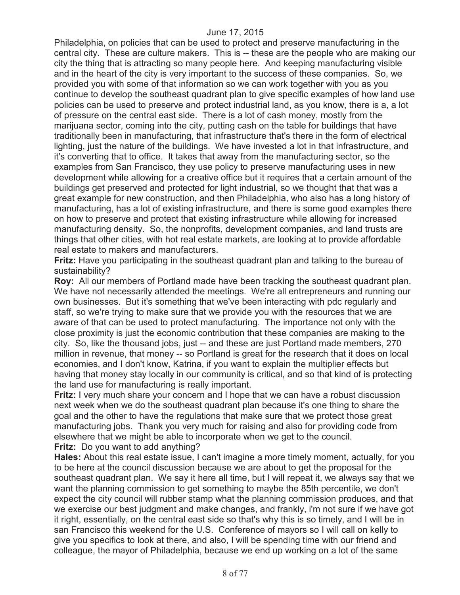Philadelphia, on policies that can be used to protect and preserve manufacturing in the central city. These are culture makers. This is -- these are the people who are making our city the thing that is attracting so many people here. And keeping manufacturing visible and in the heart of the city is very important to the success of these companies. So, we provided you with some of that information so we can work together with you as you continue to develop the southeast quadrant plan to give specific examples of how land use policies can be used to preserve and protect industrial land, as you know, there is a, a lot of pressure on the central east side. There is a lot of cash money, mostly from the marijuana sector, coming into the city, putting cash on the table for buildings that have traditionally been in manufacturing, that infrastructure that's there in the form of electrical lighting, just the nature of the buildings. We have invested a lot in that infrastructure, and it's converting that to office. It takes that away from the manufacturing sector, so the examples from San Francisco, they use policy to preserve manufacturing uses in new development while allowing for a creative office but it requires that a certain amount of the buildings get preserved and protected for light industrial, so we thought that that was a great example for new construction, and then Philadelphia, who also has a long history of manufacturing, has a lot of existing infrastructure, and there is some good examples there on how to preserve and protect that existing infrastructure while allowing for increased manufacturing density. So, the nonprofits, development companies, and land trusts are things that other cities, with hot real estate markets, are looking at to provide affordable real estate to makers and manufacturers.

**Fritz:** Have you participating in the southeast quadrant plan and talking to the bureau of sustainability?

**Roy:** All our members of Portland made have been tracking the southeast quadrant plan. We have not necessarily attended the meetings. We're all entrepreneurs and running our own businesses. But it's something that we've been interacting with pdc regularly and staff, so we're trying to make sure that we provide you with the resources that we are aware of that can be used to protect manufacturing. The importance not only with the close proximity is just the economic contribution that these companies are making to the city. So, like the thousand jobs, just -- and these are just Portland made members, 270 million in revenue, that money -- so Portland is great for the research that it does on local economies, and I don't know, Katrina, if you want to explain the multiplier effects but having that money stay locally in our community is critical, and so that kind of is protecting the land use for manufacturing is really important.

**Fritz:** I very much share your concern and I hope that we can have a robust discussion next week when we do the southeast quadrant plan because it's one thing to share the goal and the other to have the regulations that make sure that we protect those great manufacturing jobs. Thank you very much for raising and also for providing code from elsewhere that we might be able to incorporate when we get to the council. **Fritz:** Do you want to add anything?

**Hales:** About this real estate issue, I can't imagine a more timely moment, actually, for you to be here at the council discussion because we are about to get the proposal for the southeast quadrant plan. We say it here all time, but I will repeat it, we always say that we want the planning commission to get something to maybe the 85th percentile, we don't expect the city council will rubber stamp what the planning commission produces, and that we exercise our best judgment and make changes, and frankly, i'm not sure if we have got it right, essentially, on the central east side so that's why this is so timely, and I will be in san Francisco this weekend for the U.S. Conference of mayors so I will call on kelly to give you specifics to look at there, and also, I will be spending time with our friend and colleague, the mayor of Philadelphia, because we end up working on a lot of the same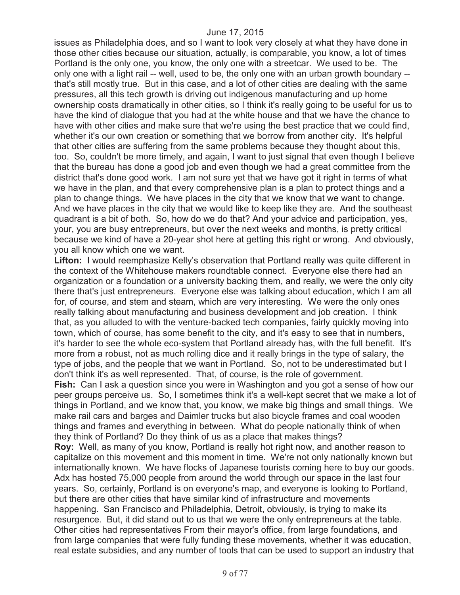issues as Philadelphia does, and so I want to look very closely at what they have done in those other cities because our situation, actually, is comparable, you know, a lot of times Portland is the only one, you know, the only one with a streetcar. We used to be. The only one with a light rail -- well, used to be, the only one with an urban growth boundary - that's still mostly true. But in this case, and a lot of other cities are dealing with the same pressures, all this tech growth is driving out indigenous manufacturing and up home ownership costs dramatically in other cities, so I think it's really going to be useful for us to have the kind of dialogue that you had at the white house and that we have the chance to have with other cities and make sure that we're using the best practice that we could find, whether it's our own creation or something that we borrow from another city. It's helpful that other cities are suffering from the same problems because they thought about this, too. So, couldn't be more timely, and again, I want to just signal that even though I believe that the bureau has done a good job and even though we had a great committee from the district that's done good work. I am not sure yet that we have got it right in terms of what we have in the plan, and that every comprehensive plan is a plan to protect things and a plan to change things. We have places in the city that we know that we want to change. And we have places in the city that we would like to keep like they are. And the southeast quadrant is a bit of both. So, how do we do that? And your advice and participation, yes, your, you are busy entrepreneurs, but over the next weeks and months, is pretty critical because we kind of have a 20-year shot here at getting this right or wrong. And obviously, you all know which one we want.

Lifton: I would reemphasize Kelly's observation that Portland really was quite different in the context of the Whitehouse makers roundtable connect. Everyone else there had an organization or a foundation or a university backing them, and really, we were the only city there that's just entrepreneurs. Everyone else was talking about education, which I am all for, of course, and stem and steam, which are very interesting. We were the only ones really talking about manufacturing and business development and job creation. I think that, as you alluded to with the venture-backed tech companies, fairly quickly moving into town, which of course, has some benefit to the city, and it's easy to see that in numbers, it's harder to see the whole eco-system that Portland already has, with the full benefit. It's more from a robust, not as much rolling dice and it really brings in the type of salary, the type of jobs, and the people that we want in Portland. So, not to be underestimated but I don't think it's as well represented. That, of course, is the role of government.

**Fish:** Can I ask a question since you were in Washington and you got a sense of how our peer groups perceive us. So, I sometimes think it's a well-kept secret that we make a lot of things in Portland, and we know that, you know, we make big things and small things. We make rail cars and barges and Daimler trucks but also bicycle frames and coal wooden things and frames and everything in between. What do people nationally think of when they think of Portland? Do they think of us as a place that makes things?

**Roy:** Well, as many of you know, Portland is really hot right now, and another reason to capitalize on this movement and this moment in time. We're not only nationally known but internationally known. We have flocks of Japanese tourists coming here to buy our goods. Adx has hosted 75,000 people from around the world through our space in the last four years. So, certainly, Portland is on everyone's map, and everyone is looking to Portland, but there are other cities that have similar kind of infrastructure and movements happening. San Francisco and Philadelphia, Detroit, obviously, is trying to make its resurgence. But, it did stand out to us that we were the only entrepreneurs at the table. Other cities had representatives From their mayor's office, from large foundations, and from large companies that were fully funding these movements, whether it was education, real estate subsidies, and any number of tools that can be used to support an industry that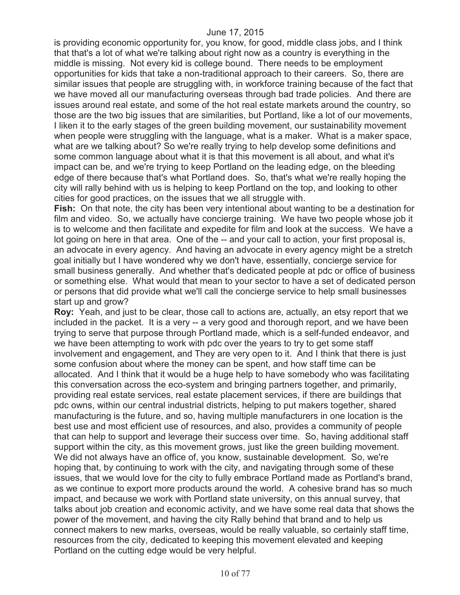is providing economic opportunity for, you know, for good, middle class jobs, and I think that that's a lot of what we're talking about right now as a country is everything in the middle is missing. Not every kid is college bound. There needs to be employment opportunities for kids that take a non-traditional approach to their careers. So, there are similar issues that people are struggling with, in workforce training because of the fact that we have moved all our manufacturing overseas through bad trade policies. And there are issues around real estate, and some of the hot real estate markets around the country, so those are the two big issues that are similarities, but Portland, like a lot of our movements, I liken it to the early stages of the green building movement, our sustainability movement when people were struggling with the language, what is a maker. What is a maker space, what are we talking about? So we're really trying to help develop some definitions and some common language about what it is that this movement is all about, and what it's impact can be, and we're trying to keep Portland on the leading edge, on the bleeding edge of there because that's what Portland does. So, that's what we're really hoping the city will rally behind with us is helping to keep Portland on the top, and looking to other cities for good practices, on the issues that we all struggle with.

**Fish:** On that note, the city has been very intentional about wanting to be a destination for film and video. So, we actually have concierge training. We have two people whose job it is to welcome and then facilitate and expedite for film and look at the success. We have a lot going on here in that area. One of the -- and your call to action, your first proposal is, an advocate in every agency. And having an advocate in every agency might be a stretch goal initially but I have wondered why we don't have, essentially, concierge service for small business generally. And whether that's dedicated people at pdc or office of business or something else. What would that mean to your sector to have a set of dedicated person or persons that did provide what we'll call the concierge service to help small businesses start up and grow?

**Roy:** Yeah, and just to be clear, those call to actions are, actually, an etsy report that we included in the packet. It is a very -- a very good and thorough report, and we have been trying to serve that purpose through Portland made, which is a self-funded endeavor, and we have been attempting to work with pdc over the years to try to get some staff involvement and engagement, and They are very open to it. And I think that there is just some confusion about where the money can be spent, and how staff time can be allocated. And I think that it would be a huge help to have somebody who was facilitating this conversation across the eco-system and bringing partners together, and primarily, providing real estate services, real estate placement services, if there are buildings that pdc owns, within our central industrial districts, helping to put makers together, shared manufacturing is the future, and so, having multiple manufacturers in one location is the best use and most efficient use of resources, and also, provides a community of people that can help to support and leverage their success over time. So, having additional staff support within the city, as this movement grows, just like the green building movement. We did not always have an office of, you know, sustainable development. So, we're hoping that, by continuing to work with the city, and navigating through some of these issues, that we would love for the city to fully embrace Portland made as Portland's brand, as we continue to export more products around the world. A cohesive brand has so much impact, and because we work with Portland state university, on this annual survey, that talks about job creation and economic activity, and we have some real data that shows the power of the movement, and having the city Rally behind that brand and to help us connect makers to new marks, overseas, would be really valuable, so certainly staff time, resources from the city, dedicated to keeping this movement elevated and keeping Portland on the cutting edge would be very helpful.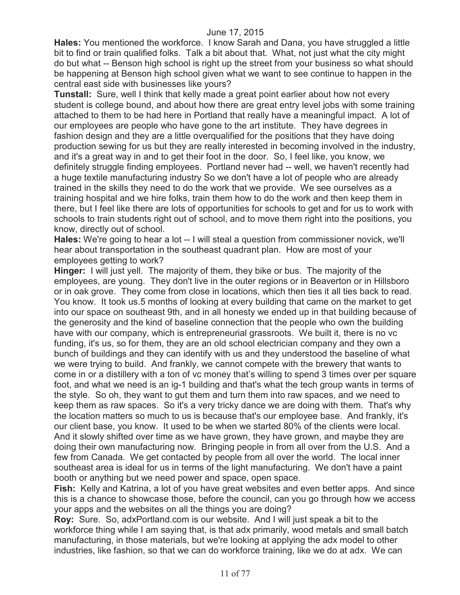**Hales:** You mentioned the workforce. I know Sarah and Dana, you have struggled a little bit to find or train qualified folks. Talk a bit about that. What, not just what the city might do but what -- Benson high school is right up the street from your business so what should be happening at Benson high school given what we want to see continue to happen in the central east side with businesses like yours?

**Tunstall:** Sure, well I think that kelly made a great point earlier about how not every student is college bound, and about how there are great entry level jobs with some training attached to them to be had here in Portland that really have a meaningful impact. A lot of our employees are people who have gone to the art institute. They have degrees in fashion design and they are a little overqualified for the positions that they have doing production sewing for us but they are really interested in becoming involved in the industry, and it's a great way in and to get their foot in the door. So, I feel like, you know, we definitely struggle finding employees. Portland never had -- well, we haven't recently had a huge textile manufacturing industry So we don't have a lot of people who are already trained in the skills they need to do the work that we provide. We see ourselves as a training hospital and we hire folks, train them how to do the work and then keep them in there, but I feel like there are lots of opportunities for schools to get and for us to work with schools to train students right out of school, and to move them right into the positions, you know, directly out of school.

**Hales:** We're going to hear a lot -- I will steal a question from commissioner novick, we'll hear about transportation in the southeast quadrant plan. How are most of your employees getting to work?

**Hinger:** I will just yell. The majority of them, they bike or bus. The majority of the employees, are young. They don't live in the outer regions or in Beaverton or in Hillsboro or in oak grove. They come from close in locations, which then ties it all ties back to read. You know. It took us.5 months of looking at every building that came on the market to get into our space on southeast 9th, and in all honesty we ended up in that building because of the generosity and the kind of baseline connection that the people who own the building have with our company, which is entrepreneurial grassroots. We built it, there is no vc funding, it's us, so for them, they are an old school electrician company and they own a bunch of buildings and they can identify with us and they understood the baseline of what we were trying to build. And frankly, we cannot compete with the brewery that wants to come in or a distillery with a ton of vc money that's willing to spend 3 times over per square foot, and what we need is an ig-1 building and that's what the tech group wants in terms of the style. So oh, they want to gut them and turn them into raw spaces, and we need to keep them as raw spaces. So it's a very tricky dance we are doing with them. That's why the location matters so much to us is because that's our employee base. And frankly, it's our client base, you know. It used to be when we started 80% of the clients were local. And it slowly shifted over time as we have grown, they have grown, and maybe they are doing their own manufacturing now. Bringing people in from all over from the U.S. And a few from Canada. We get contacted by people from all over the world. The local inner southeast area is ideal for us in terms of the light manufacturing. We don't have a paint booth or anything but we need power and space, open space.

**Fish:** Kelly and Katrina, a lot of you have great websites and even better apps. And since this is a chance to showcase those, before the council, can you go through how we access your apps and the websites on all the things you are doing?

**Roy:** Sure. So, adxPortland.com is our website. And I will just speak a bit to the workforce thing while I am saying that, is that adx primarily, wood metals and small batch manufacturing, in those materials, but we're looking at applying the adx model to other industries, like fashion, so that we can do workforce training, like we do at adx. We can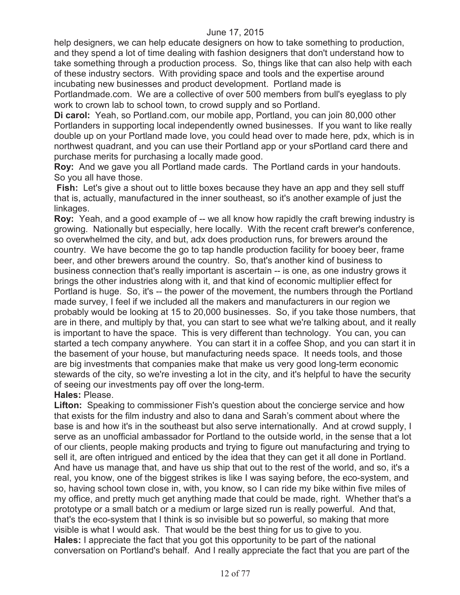help designers, we can help educate designers on how to take something to production, and they spend a lot of time dealing with fashion designers that don't understand how to take something through a production process. So, things like that can also help with each of these industry sectors. With providing space and tools and the expertise around incubating new businesses and product development. Portland made is

Portlandmade.com. We are a collective of over 500 members from bull's eyeglass to ply work to crown lab to school town, to crowd supply and so Portland.

**Di carol:** Yeah, so Portland.com, our mobile app, Portland, you can join 80,000 other Portlanders in supporting local independently owned businesses. If you want to like really double up on your Portland made love, you could head over to made here, pdx, which is in northwest quadrant, and you can use their Portland app or your sPortland card there and purchase merits for purchasing a locally made good.

**Roy:** And we gave you all Portland made cards. The Portland cards in your handouts. So you all have those.

**Fish:** Let's give a shout out to little boxes because they have an app and they sell stuff that is, actually, manufactured in the inner southeast, so it's another example of just the linkages.

**Roy:** Yeah, and a good example of -- we all know how rapidly the craft brewing industry is growing. Nationally but especially, here locally. With the recent craft brewer's conference, so overwhelmed the city, and but, adx does production runs, for brewers around the country. We have become the go to tap handle production facility for booey beer, frame beer, and other brewers around the country. So, that's another kind of business to business connection that's really important is ascertain -- is one, as one industry grows it brings the other industries along with it, and that kind of economic multiplier effect for Portland is huge. So, it's -- the power of the movement, the numbers through the Portland made survey, I feel if we included all the makers and manufacturers in our region we probably would be looking at 15 to 20,000 businesses. So, if you take those numbers, that are in there, and multiply by that, you can start to see what we're talking about, and it really is important to have the space. This is very different than technology. You can, you can started a tech company anywhere. You can start it in a coffee Shop, and you can start it in the basement of your house, but manufacturing needs space. It needs tools, and those are big investments that companies make that make us very good long-term economic stewards of the city, so we're investing a lot in the city, and it's helpful to have the security of seeing our investments pay off over the long-term.

#### **Hales:** Please.

**Lifton:** Speaking to commissioner Fish's question about the concierge service and how that exists for the film industry and also to dana and Sarah's comment about where the base is and how it's in the southeast but also serve internationally. And at crowd supply, I serve as an unofficial ambassador for Portland to the outside world, in the sense that a lot of our clients, people making products and trying to figure out manufacturing and trying to sell it, are often intrigued and enticed by the idea that they can get it all done in Portland. And have us manage that, and have us ship that out to the rest of the world, and so, it's a real, you know, one of the biggest strikes is like I was saying before, the eco-system, and so, having school town close in, with, you know, so I can ride my bike within five miles of my office, and pretty much get anything made that could be made, right. Whether that's a prototype or a small batch or a medium or large sized run is really powerful. And that, that's the eco-system that I think is so invisible but so powerful, so making that more visible is what I would ask. That would be the best thing for us to give to you. **Hales:** I appreciate the fact that you got this opportunity to be part of the national conversation on Portland's behalf. And I really appreciate the fact that you are part of the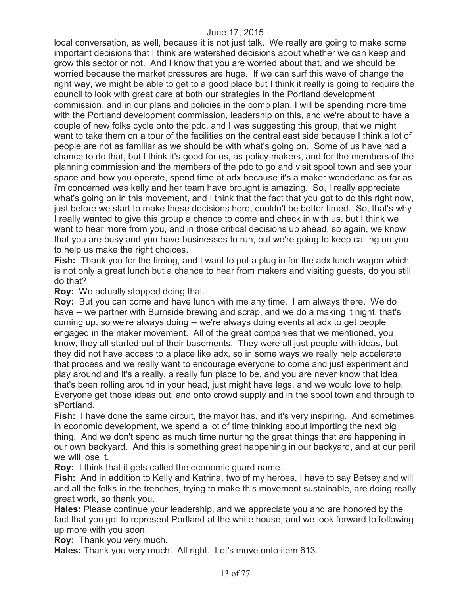local conversation, as well, because it is not just talk. We really are going to make some important decisions that I think are watershed decisions about whether we can keep and grow this sector or not. And I know that you are worried about that, and we should be worried because the market pressures are huge. If we can surf this wave of change the right way, we might be able to get to a good place but I think it really is going to require the council to look with great care at both our strategies in the Portland development commission, and in our plans and policies in the comp plan, I will be spending more time with the Portland development commission, leadership on this, and we're about to have a couple of new folks cycle onto the pdc, and I was suggesting this group, that we might want to take them on a tour of the facilities on the central east side because I think a lot of people are not as familiar as we should be with what's going on. Some of us have had a chance to do that, but I think it's good for us, as policy-makers, and for the members of the planning commission and the members of the pdc to go and visit spool town and see your space and how you operate, spend time at adx because it's a maker wonderland as far as i'm concerned was kelly and her team have brought is amazing. So, I really appreciate what's going on in this movement, and I think that the fact that you got to do this right now, just before we start to make these decisions here, couldn't be better timed. So, that's why I really wanted to give this group a chance to come and check in with us, but I think we want to hear more from you, and in those critical decisions up ahead, so again, we know that you are busy and you have businesses to run, but we're going to keep calling on you to help us make the right choices.

**Fish:** Thank you for the timing, and I want to put a plug in for the adx lunch wagon which is not only a great lunch but a chance to hear from makers and visiting guests, do you still do that?

**Roy:** We actually stopped doing that.

**Roy:** But you can come and have lunch with me any time. I am always there. We do have -- we partner with Burnside brewing and scrap, and we do a making it night, that's coming up, so we're always doing -- we're always doing events at adx to get people engaged in the maker movement. All of the great companies that we mentioned, you know, they all started out of their basements. They were all just people with ideas, but they did not have access to a place like adx, so in some ways we really help accelerate that process and we really want to encourage everyone to come and just experiment and play around and it's a really, a really fun place to be, and you are never know that idea that's been rolling around in your head, just might have legs, and we would love to help. Everyone get those ideas out, and onto crowd supply and in the spool town and through to sPortland.

**Fish:** I have done the same circuit, the mayor has, and it's very inspiring. And sometimes in economic development, we spend a lot of time thinking about importing the next big thing. And we don't spend as much time nurturing the great things that are happening in our own backyard. And this is something great happening in our backyard, and at our peril we will lose it.

**Roy:** I think that it gets called the economic guard name.

**Fish:** And in addition to Kelly and Katrina, two of my heroes, I have to say Betsey and will and all the folks in the trenches, trying to make this movement sustainable, are doing really great work, so thank you.

**Hales:** Please continue your leadership, and we appreciate you and are honored by the fact that you got to represent Portland at the white house, and we look forward to following up more with you soon.

**Roy:** Thank you very much.

**Hales:** Thank you very much. All right. Let's move onto item 613.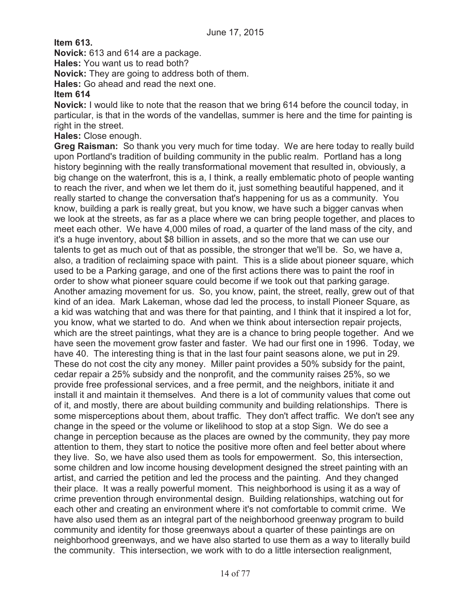**Item 613.**

**Novick:** 613 and 614 are a package.

**Hales:** You want us to read both?

**Novick:** They are going to address both of them.

**Hales:** Go ahead and read the next one.

#### **Item 614**

**Novick:** I would like to note that the reason that we bring 614 before the council today, in particular, is that in the words of the vandellas, summer is here and the time for painting is right in the street.

**Hales:** Close enough.

**Greg Raisman:** So thank you very much for time today. We are here today to really build upon Portland's tradition of building community in the public realm. Portland has a long history beginning with the really transformational movement that resulted in, obviously, a big change on the waterfront, this is a, I think, a really emblematic photo of people wanting to reach the river, and when we let them do it, just something beautiful happened, and it really started to change the conversation that's happening for us as a community. You know, building a park is really great, but you know, we have such a bigger canvas when we look at the streets, as far as a place where we can bring people together, and places to meet each other. We have 4,000 miles of road, a quarter of the land mass of the city, and it's a huge inventory, about \$8 billion in assets, and so the more that we can use our talents to get as much out of that as possible, the stronger that we'll be. So, we have a, also, a tradition of reclaiming space with paint. This is a slide about pioneer square, which used to be a Parking garage, and one of the first actions there was to paint the roof in order to show what pioneer square could become if we took out that parking garage. Another amazing movement for us. So, you know, paint, the street, really, grew out of that kind of an idea. Mark Lakeman, whose dad led the process, to install Pioneer Square, as a kid was watching that and was there for that painting, and I think that it inspired a lot for, you know, what we started to do. And when we think about intersection repair projects, which are the street paintings, what they are is a chance to bring people together. And we have seen the movement grow faster and faster. We had our first one in 1996. Today, we have 40. The interesting thing is that in the last four paint seasons alone, we put in 29. These do not cost the city any money. Miller paint provides a 50% subsidy for the paint, cedar repair a 25% subsidy and the nonprofit, and the community raises 25%, so we provide free professional services, and a free permit, and the neighbors, initiate it and install it and maintain it themselves. And there is a lot of community values that come out of it, and mostly, there are about building community and building relationships. There is some misperceptions about them, about traffic. They don't affect traffic. We don't see any change in the speed or the volume or likelihood to stop at a stop Sign. We do see a change in perception because as the places are owned by the community, they pay more attention to them, they start to notice the positive more often and feel better about where they live. So, we have also used them as tools for empowerment. So, this intersection, some children and low income housing development designed the street painting with an artist, and carried the petition and led the process and the painting. And they changed their place. It was a really powerful moment. This neighborhood is using it as a way of crime prevention through environmental design. Building relationships, watching out for each other and creating an environment where it's not comfortable to commit crime. We have also used them as an integral part of the neighborhood greenway program to build community and identity for those greenways about a quarter of these paintings are on neighborhood greenways, and we have also started to use them as a way to literally build the community. This intersection, we work with to do a little intersection realignment,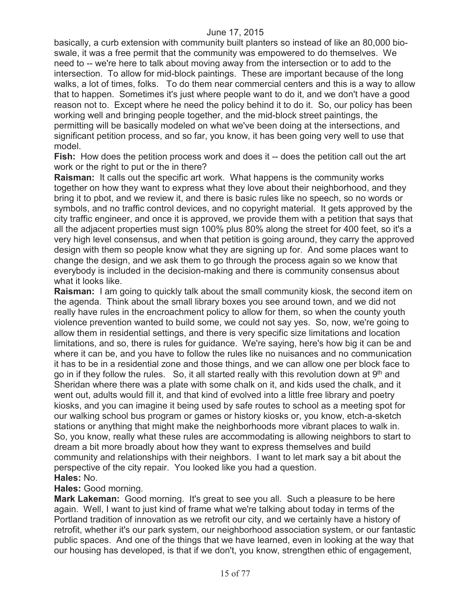basically, a curb extension with community built planters so instead of like an 80,000 bioswale, it was a free permit that the community was empowered to do themselves. We need to -- we're here to talk about moving away from the intersection or to add to the intersection. To allow for mid-block paintings. These are important because of the long walks, a lot of times, folks. To do them near commercial centers and this is a way to allow that to happen. Sometimes it's just where people want to do it, and we don't have a good reason not to. Except where he need the policy behind it to do it. So, our policy has been working well and bringing people together, and the mid-block street paintings, the permitting will be basically modeled on what we've been doing at the intersections, and significant petition process, and so far, you know, it has been going very well to use that model.

**Fish:** How does the petition process work and does it -- does the petition call out the art work or the right to put or the in there?

**Raisman:** It calls out the specific art work. What happens is the community works together on how they want to express what they love about their neighborhood, and they bring it to pbot, and we review it, and there is basic rules like no speech, so no words or symbols, and no traffic control devices, and no copyright material. It gets approved by the city traffic engineer, and once it is approved, we provide them with a petition that says that all the adjacent properties must sign 100% plus 80% along the street for 400 feet, so it's a very high level consensus, and when that petition is going around, they carry the approved design with them so people know what they are signing up for. And some places want to change the design, and we ask them to go through the process again so we know that everybody is included in the decision-making and there is community consensus about what it looks like.

**Raisman:** I am going to quickly talk about the small community kiosk, the second item on the agenda. Think about the small library boxes you see around town, and we did not really have rules in the encroachment policy to allow for them, so when the county youth violence prevention wanted to build some, we could not say yes. So, now, we're going to allow them in residential settings, and there is very specific size limitations and location limitations, and so, there is rules for guidance. We're saying, here's how big it can be and where it can be, and you have to follow the rules like no nuisances and no communication it has to be in a residential zone and those things, and we can allow one per block face to go in if they follow the rules. So, it all started really with this revolution down at  $9<sup>th</sup>$  and Sheridan where there was a plate with some chalk on it, and kids used the chalk, and it went out, adults would fill it, and that kind of evolved into a little free library and poetry kiosks, and you can imagine it being used by safe routes to school as a meeting spot for our walking school bus program or games or history kiosks or, you know, etch-a-sketch stations or anything that might make the neighborhoods more vibrant places to walk in. So, you know, really what these rules are accommodating is allowing neighbors to start to dream a bit more broadly about how they want to express themselves and build community and relationships with their neighbors. I want to let mark say a bit about the perspective of the city repair. You looked like you had a question. **Hales:** No.

#### **Hales:** Good morning.

**Mark Lakeman:** Good morning. It's great to see you all. Such a pleasure to be here again. Well, I want to just kind of frame what we're talking about today in terms of the Portland tradition of innovation as we retrofit our city, and we certainly have a history of retrofit, whether it's our park system, our neighborhood association system, or our fantastic public spaces. And one of the things that we have learned, even in looking at the way that our housing has developed, is that if we don't, you know, strengthen ethic of engagement,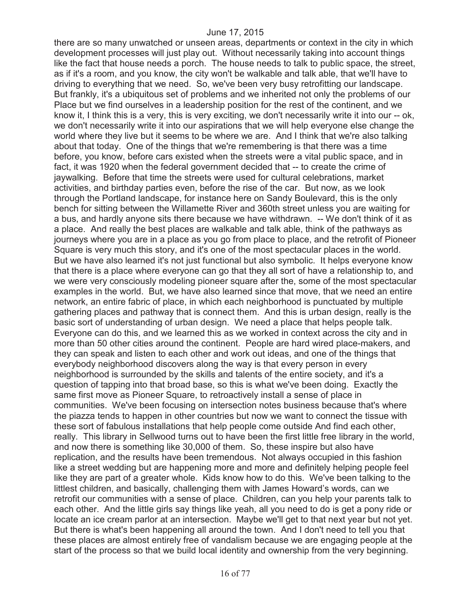there are so many unwatched or unseen areas, departments or context in the city in which development processes will just play out. Without necessarily taking into account things like the fact that house needs a porch. The house needs to talk to public space, the street, as if it's a room, and you know, the city won't be walkable and talk able, that we'll have to driving to everything that we need. So, we've been very busy retrofitting our landscape. But frankly, it's a ubiquitous set of problems and we inherited not only the problems of our Place but we find ourselves in a leadership position for the rest of the continent, and we know it, I think this is a very, this is very exciting, we don't necessarily write it into our -- ok, we don't necessarily write it into our aspirations that we will help everyone else change the world where they live but it seems to be where we are. And I think that we're also talking about that today. One of the things that we're remembering is that there was a time before, you know, before cars existed when the streets were a vital public space, and in fact, it was 1920 when the federal government decided that -- to create the crime of jaywalking. Before that time the streets were used for cultural celebrations, market activities, and birthday parties even, before the rise of the car. But now, as we look through the Portland landscape, for instance here on Sandy Boulevard, this is the only bench for sitting between the Willamette River and 360th street unless you are waiting for a bus, and hardly anyone sits there because we have withdrawn. -- We don't think of it as a place. And really the best places are walkable and talk able, think of the pathways as journeys where you are in a place as you go from place to place, and the retrofit of Pioneer Square is very much this story, and it's one of the most spectacular places in the world. But we have also learned it's not just functional but also symbolic. It helps everyone know that there is a place where everyone can go that they all sort of have a relationship to, and we were very consciously modeling pioneer square after the, some of the most spectacular examples in the world. But, we have also learned since that move, that we need an entire network, an entire fabric of place, in which each neighborhood is punctuated by multiple gathering places and pathway that is connect them. And this is urban design, really is the basic sort of understanding of urban design. We need a place that helps people talk. Everyone can do this, and we learned this as we worked in context across the city and in more than 50 other cities around the continent. People are hard wired place-makers, and they can speak and listen to each other and work out ideas, and one of the things that everybody neighborhood discovers along the way is that every person in every neighborhood is surrounded by the skills and talents of the entire society, and it's a question of tapping into that broad base, so this is what we've been doing. Exactly the same first move as Pioneer Square, to retroactively install a sense of place in communities. We've been focusing on intersection notes business because that's where the piazza tends to happen in other countries but now we want to connect the tissue with these sort of fabulous installations that help people come outside And find each other, really. This library in Sellwood turns out to have been the first little free library in the world, and now there is something like 30,000 of them. So, these inspire but also have replication, and the results have been tremendous. Not always occupied in this fashion like a street wedding but are happening more and more and definitely helping people feel like they are part of a greater whole. Kids know how to do this. We've been talking to the littlest children, and basically, challenging them with James Howard's words, can we retrofit our communities with a sense of place. Children, can you help your parents talk to each other. And the little girls say things like yeah, all you need to do is get a pony ride or locate an ice cream parlor at an intersection. Maybe we'll get to that next year but not yet. But there is what's been happening all around the town. And I don't need to tell you that these places are almost entirely free of vandalism because we are engaging people at the start of the process so that we build local identity and ownership from the very beginning.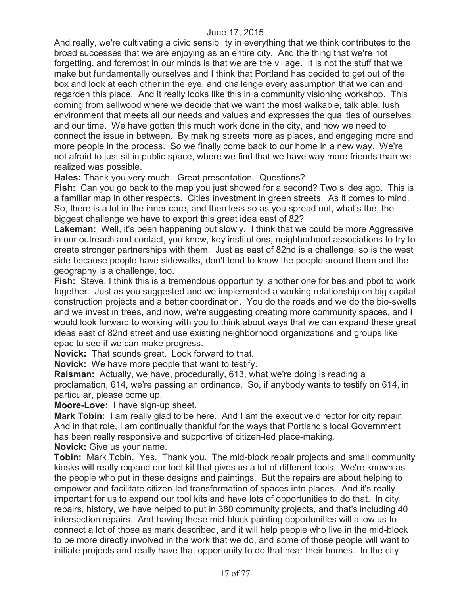And really, we're cultivating a civic sensibility in everything that we think contributes to the broad successes that we are enjoying as an entire city. And the thing that we're not forgetting, and foremost in our minds is that we are the village. It is not the stuff that we make but fundamentally ourselves and I think that Portland has decided to get out of the box and look at each other in the eye, and challenge every assumption that we can and regarden this place. And it really looks like this in a community visioning workshop. This coming from sellwood where we decide that we want the most walkable, talk able, lush environment that meets all our needs and values and expresses the qualities of ourselves and our time. We have gotten this much work done in the city, and now we need to connect the issue in between. By making streets more as places, and engaging more and more people in the process. So we finally come back to our home in a new way. We're not afraid to just sit in public space, where we find that we have way more friends than we realized was possible.

**Hales:** Thank you very much. Great presentation. Questions?

**Fish:** Can you go back to the map you just showed for a second? Two slides ago. This is a familiar map in other respects. Cities investment in green streets. As it comes to mind. So, there is a lot in the inner core, and then less so as you spread out, what's the, the biggest challenge we have to export this great idea east of 82?

**Lakeman:** Well, it's been happening but slowly. I think that we could be more Aggressive in our outreach and contact, you know, key institutions, neighborhood associations to try to create stronger partnerships with them. Just as east of 82nd is a challenge, so is the west side because people have sidewalks, don't tend to know the people around them and the geography is a challenge, too.

**Fish:** Steve, I think this is a tremendous opportunity, another one for bes and pbot to work together. Just as you suggested and we implemented a working relationship on big capital construction projects and a better coordination. You do the roads and we do the bio-swells and we invest in trees, and now, we're suggesting creating more community spaces, and I would look forward to working with you to think about ways that we can expand these great ideas east of 82nd street and use existing neighborhood organizations and groups like epac to see if we can make progress.

**Novick:** That sounds great. Look forward to that.

**Novick:** We have more people that want to testify.

**Raisman:** Actually, we have, procedurally, 613, what we're doing is reading a proclamation, 614, we're passing an ordinance. So, if anybody wants to testify on 614, in particular, please come up.

**Moore-Love:** I have sign-up sheet.

**Mark Tobin:** I am really glad to be here. And I am the executive director for city repair. And in that role, I am continually thankful for the ways that Portland's local Government has been really responsive and supportive of citizen-led place-making.

**Novick:** Give us your name.

**Tobin:** Mark Tobin. Yes. Thank you. The mid-block repair projects and small community kiosks will really expand our tool kit that gives us a lot of different tools. We're known as the people who put in these designs and paintings. But the repairs are about helping to empower and facilitate citizen-led transformation of spaces into places. And it's really important for us to expand our tool kits and have lots of opportunities to do that. In city repairs, history, we have helped to put in 380 community projects, and that's including 40 intersection repairs. And having these mid-block painting opportunities will allow us to connect a lot of those as mark described, and it will help people who live in the mid-block to be more directly involved in the work that we do, and some of those people will want to initiate projects and really have that opportunity to do that near their homes. In the city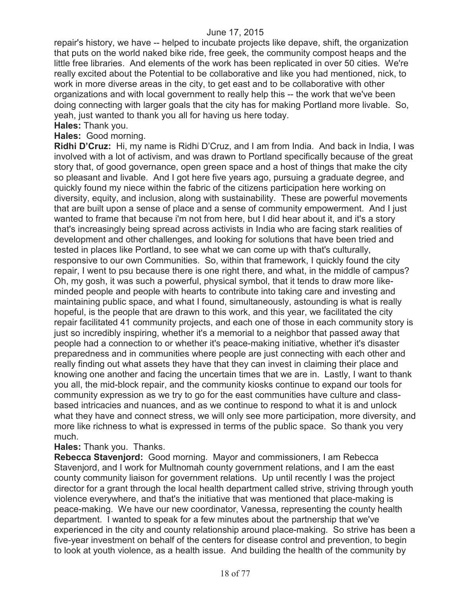repair's history, we have -- helped to incubate projects like depave, shift, the organization that puts on the world naked bike ride, free geek, the community compost heaps and the little free libraries. And elements of the work has been replicated in over 50 cities. We're really excited about the Potential to be collaborative and like you had mentioned, nick, to work in more diverse areas in the city, to get east and to be collaborative with other organizations and with local government to really help this -- the work that we've been doing connecting with larger goals that the city has for making Portland more livable. So, yeah, just wanted to thank you all for having us here today.

**Hales:** Thank you.

**Hales:** Good morning.

**Ridhi D'Cruz:** Hi, my name is Ridhi D'Cruz, and I am from India. And back in India, I was involved with a lot of activism, and was drawn to Portland specifically because of the great story that, of good governance, open green space and a host of things that make the city so pleasant and livable. And I got here five years ago, pursuing a graduate degree, and quickly found my niece within the fabric of the citizens participation here working on diversity, equity, and inclusion, along with sustainability. These are powerful movements that are built upon a sense of place and a sense of community empowerment. And I just wanted to frame that because i'm not from here, but I did hear about it, and it's a story that's increasingly being spread across activists in India who are facing stark realities of development and other challenges, and looking for solutions that have been tried and tested in places like Portland, to see what we can come up with that's culturally, responsive to our own Communities. So, within that framework, I quickly found the city repair, I went to psu because there is one right there, and what, in the middle of campus? Oh, my gosh, it was such a powerful, physical symbol, that it tends to draw more likeminded people and people with hearts to contribute into taking care and investing and maintaining public space, and what I found, simultaneously, astounding is what is really hopeful, is the people that are drawn to this work, and this year, we facilitated the city repair facilitated 41 community projects, and each one of those in each community story is just so incredibly inspiring, whether it's a memorial to a neighbor that passed away that people had a connection to or whether it's peace-making initiative, whether it's disaster preparedness and in communities where people are just connecting with each other and really finding out what assets they have that they can invest in claiming their place and knowing one another and facing the uncertain times that we are in. Lastly, I want to thank you all, the mid-block repair, and the community kiosks continue to expand our tools for community expression as we try to go for the east communities have culture and classbased intricacies and nuances, and as we continue to respond to what it is and unlock what they have and connect stress, we will only see more participation, more diversity, and more like richness to what is expressed in terms of the public space. So thank you very much.

**Hales:** Thank you. Thanks.

**Rebecca Stavenjord:** Good morning. Mayor and commissioners, I am Rebecca Stavenjord, and I work for Multnomah county government relations, and I am the east county community liaison for government relations. Up until recently I was the project director for a grant through the local health department called strive, striving through youth violence everywhere, and that's the initiative that was mentioned that place-making is peace-making. We have our new coordinator, Vanessa, representing the county health department. I wanted to speak for a few minutes about the partnership that we've experienced in the city and county relationship around place-making. So strive has been a five-year investment on behalf of the centers for disease control and prevention, to begin to look at youth violence, as a health issue. And building the health of the community by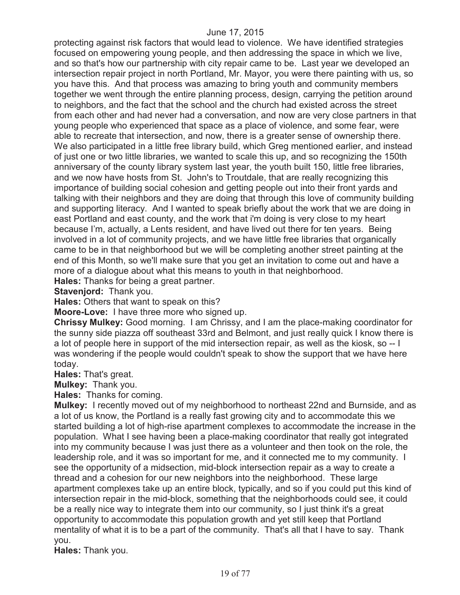protecting against risk factors that would lead to violence. We have identified strategies focused on empowering young people, and then addressing the space in which we live, and so that's how our partnership with city repair came to be. Last year we developed an intersection repair project in north Portland, Mr. Mayor, you were there painting with us, so you have this. And that process was amazing to bring youth and community members together we went through the entire planning process, design, carrying the petition around to neighbors, and the fact that the school and the church had existed across the street from each other and had never had a conversation, and now are very close partners in that young people who experienced that space as a place of violence, and some fear, were able to recreate that intersection, and now, there is a greater sense of ownership there. We also participated in a little free library build, which Greg mentioned earlier, and instead of just one or two little libraries, we wanted to scale this up, and so recognizing the 150th anniversary of the county library system last year, the youth built 150, little free libraries, and we now have hosts from St. John's to Troutdale, that are really recognizing this importance of building social cohesion and getting people out into their front yards and talking with their neighbors and they are doing that through this love of community building and supporting literacy. And I wanted to speak briefly about the work that we are doing in east Portland and east county, and the work that i'm doing is very close to my heart because I'm, actually, a Lents resident, and have lived out there for ten years. Being involved in a lot of community projects, and we have little free libraries that organically came to be in that neighborhood but we will be completing another street painting at the end of this Month, so we'll make sure that you get an invitation to come out and have a more of a dialogue about what this means to youth in that neighborhood.

**Hales:** Thanks for being a great partner.

**Stavenjord:** Thank you.

**Hales:** Others that want to speak on this?

**Moore-Love:** I have three more who signed up.

**Chrissy Mulkey:** Good morning. I am Chrissy, and I am the place-making coordinator for the sunny side piazza off southeast 33rd and Belmont, and just really quick I know there is a lot of people here in support of the mid intersection repair, as well as the kiosk, so -- I was wondering if the people would couldn't speak to show the support that we have here today.

**Hales:** That's great.

**Mulkey:** Thank you.

**Hales:** Thanks for coming.

**Mulkey:** I recently moved out of my neighborhood to northeast 22nd and Burnside, and as a lot of us know, the Portland is a really fast growing city and to accommodate this we started building a lot of high-rise apartment complexes to accommodate the increase in the population. What I see having been a place-making coordinator that really got integrated into my community because I was just there as a volunteer and then took on the role, the leadership role, and it was so important for me, and it connected me to my community. I see the opportunity of a midsection, mid-block intersection repair as a way to create a thread and a cohesion for our new neighbors into the neighborhood. These large apartment complexes take up an entire block, typically, and so if you could put this kind of intersection repair in the mid-block, something that the neighborhoods could see, it could be a really nice way to integrate them into our community, so I just think it's a great opportunity to accommodate this population growth and yet still keep that Portland mentality of what it is to be a part of the community. That's all that I have to say. Thank you.

**Hales:** Thank you.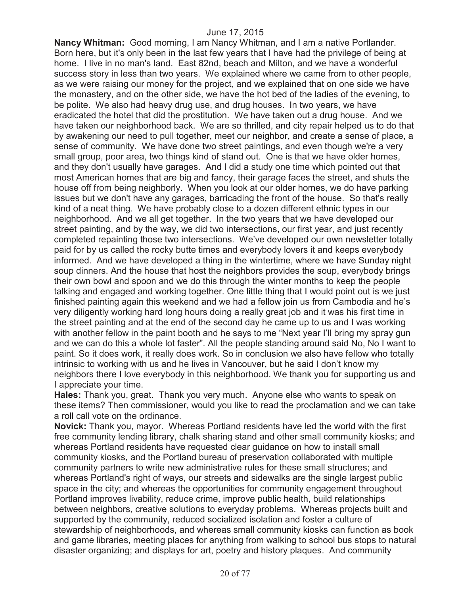**Nancy Whitman:** Good morning, I am Nancy Whitman, and I am a native Portlander. Born here, but it's only been in the last few years that I have had the privilege of being at home. I live in no man's land. East 82nd, beach and Milton, and we have a wonderful success story in less than two years. We explained where we came from to other people, as we were raising our money for the project, and we explained that on one side we have the monastery, and on the other side, we have the hot bed of the ladies of the evening, to be polite. We also had heavy drug use, and drug houses. In two years, we have eradicated the hotel that did the prostitution. We have taken out a drug house. And we have taken our neighborhood back. We are so thrilled, and city repair helped us to do that by awakening our need to pull together, meet our neighbor, and create a sense of place, a sense of community. We have done two street paintings, and even though we're a very small group, poor area, two things kind of stand out. One is that we have older homes, and they don't usually have garages. And I did a study one time which pointed out that most American homes that are big and fancy, their garage faces the street, and shuts the house off from being neighborly. When you look at our older homes, we do have parking issues but we don't have any garages, barricading the front of the house. So that's really kind of a neat thing. We have probably close to a dozen different ethnic types in our neighborhood. And we all get together. In the two years that we have developed our street painting, and by the way, we did two intersections, our first year, and just recently completed repainting those two intersections. We've developed our own newsletter totally paid for by us called the rocky butte times and everybody lovers it and keeps everybody informed. And we have developed a thing in the wintertime, where we have Sunday night soup dinners. And the house that host the neighbors provides the soup, everybody brings their own bowl and spoon and we do this through the winter months to keep the people talking and engaged and working together. One little thing that I would point out is we just finished painting again this weekend and we had a fellow join us from Cambodia and he's very diligently working hard long hours doing a really great job and it was his first time in the street painting and at the end of the second day he came up to us and I was working with another fellow in the paint booth and he says to me "Next year I'll bring my spray gun and we can do this a whole lot faster". All the people standing around said No, No I want to paint. So it does work, it really does work. So in conclusion we also have fellow who totally intrinsic to working with us and he lives in Vancouver, but he said I don't know my neighbors there I love everybody in this neighborhood. We thank you for supporting us and I appreciate your time.

**Hales:** Thank you, great. Thank you very much. Anyone else who wants to speak on these items? Then commissioner, would you like to read the proclamation and we can take a roll call vote on the ordinance.

**Novick:** Thank you, mayor. Whereas Portland residents have led the world with the first free community lending library, chalk sharing stand and other small community kiosks; and whereas Portland residents have requested clear guidance on how to install small community kiosks, and the Portland bureau of preservation collaborated with multiple community partners to write new administrative rules for these small structures; and whereas Portland's right of ways, our streets and sidewalks are the single largest public space in the city; and whereas the opportunities for community engagement throughout Portland improves livability, reduce crime, improve public health, build relationships between neighbors, creative solutions to everyday problems. Whereas projects built and supported by the community, reduced socialized isolation and foster a culture of stewardship of neighborhoods, and whereas small community kiosks can function as book and game libraries, meeting places for anything from walking to school bus stops to natural disaster organizing; and displays for art, poetry and history plaques. And community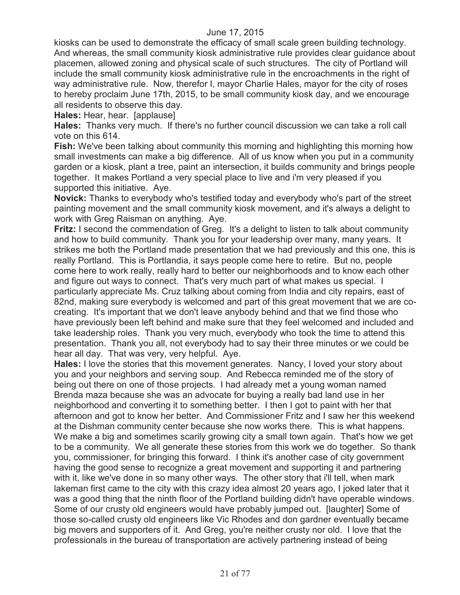kiosks can be used to demonstrate the efficacy of small scale green building technology. And whereas, the small community kiosk administrative rule provides clear guidance about placemen, allowed zoning and physical scale of such structures. The city of Portland will include the small community kiosk administrative rule in the encroachments in the right of way administrative rule. Now, therefor I, mayor Charlie Hales, mayor for the city of roses to hereby proclaim June 17th, 2015, to be small community kiosk day, and we encourage all residents to observe this day.

**Hales:** Hear, hear. [applause]

**Hales:** Thanks very much. If there's no further council discussion we can take a roll call vote on this 614.

**Fish:** We've been talking about community this morning and highlighting this morning how small investments can make a big difference. All of us know when you put in a community garden or a kiosk, plant a tree, paint an intersection, it builds community and brings people together. It makes Portland a very special place to live and i'm very pleased if you supported this initiative. Aye.

**Novick:** Thanks to everybody who's testified today and everybody who's part of the street painting movement and the small community kiosk movement, and it's always a delight to work with Greg Raisman on anything. Aye.

**Fritz:** I second the commendation of Greg. It's a delight to listen to talk about community and how to build community. Thank you for your leadership over many, many years. It strikes me both the Portland made presentation that we had previously and this one, this is really Portland. This is Portlandia, it says people come here to retire. But no, people come here to work really, really hard to better our neighborhoods and to know each other and figure out ways to connect. That's very much part of what makes us special. I particularly appreciate Ms. Cruz talking about coming from India and city repairs, east of 82nd, making sure everybody is welcomed and part of this great movement that we are cocreating. It's important that we don't leave anybody behind and that we find those who have previously been left behind and make sure that they feel welcomed and included and take leadership roles. Thank you very much, everybody who took the time to attend this presentation. Thank you all, not everybody had to say their three minutes or we could be hear all day. That was very, very helpful. Aye.

**Hales:** I love the stories that this movement generates. Nancy, I loved your story about you and your neighbors and serving soup. And Rebecca reminded me of the story of being out there on one of those projects. I had already met a young woman named Brenda maza because she was an advocate for buying a really bad land use in her neighborhood and converting it to something better. I then I got to paint with her that afternoon and got to know her better. And Commissioner Fritz and I saw her this weekend at the Dishman community center because she now works there. This is what happens. We make a big and sometimes scarily growing city a small town again. That's how we get to be a community. We all generate these stories from this work we do together. So thank you, commissioner, for bringing this forward. I think it's another case of city government having the good sense to recognize a great movement and supporting it and partnering with it, like we've done in so many other ways. The other story that i'll tell, when mark lakeman first came to the city with this crazy idea almost 20 years ago, I joked later that it was a good thing that the ninth floor of the Portland building didn't have operable windows. Some of our crusty old engineers would have probably jumped out. [laughter] Some of those so-called crusty old engineers like Vic Rhodes and don gardner eventually became big movers and supporters of it. And Greg, you're neither crusty nor old. I love that the professionals in the bureau of transportation are actively partnering instead of being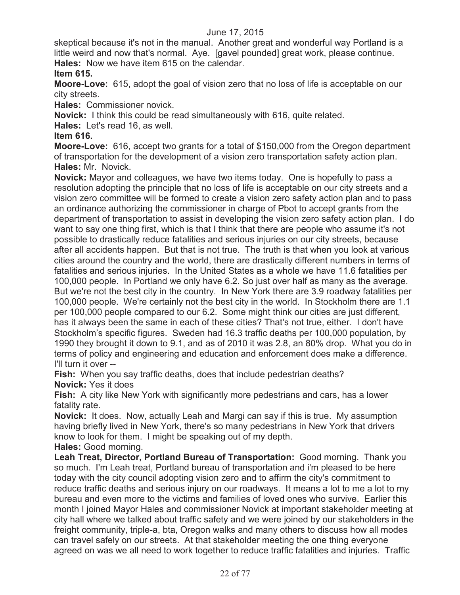skeptical because it's not in the manual. Another great and wonderful way Portland is a little weird and now that's normal. Aye. [gavel pounded] great work, please continue. **Hales:** Now we have item 615 on the calendar.

# **Item 615.**

**Moore-Love:** 615, adopt the goal of vision zero that no loss of life is acceptable on our city streets.

**Hales:** Commissioner novick.

**Novick:** I think this could be read simultaneously with 616, quite related.

**Hales:** Let's read 16, as well.

### **Item 616.**

**Moore-Love:** 616, accept two grants for a total of \$150,000 from the Oregon department of transportation for the development of a vision zero transportation safety action plan. **Hales:** Mr. Novick.

**Novick:** Mayor and colleagues, we have two items today. One is hopefully to pass a resolution adopting the principle that no loss of life is acceptable on our city streets and a vision zero committee will be formed to create a vision zero safety action plan and to pass an ordinance authorizing the commissioner in charge of Pbot to accept grants from the department of transportation to assist in developing the vision zero safety action plan. I do want to say one thing first, which is that I think that there are people who assume it's not possible to drastically reduce fatalities and serious injuries on our city streets, because after all accidents happen. But that is not true. The truth is that when you look at various cities around the country and the world, there are drastically different numbers in terms of fatalities and serious injuries. In the United States as a whole we have 11.6 fatalities per 100,000 people. In Portland we only have 6.2. So just over half as many as the average. But we're not the best city in the country. In New York there are 3.9 roadway fatalities per 100,000 people. We're certainly not the best city in the world. In Stockholm there are 1.1 per 100,000 people compared to our 6.2. Some might think our cities are just different, has it always been the same in each of these cities? That's not true, either. I don't have Stockholm's specific figures. Sweden had 16.3 traffic deaths per 100,000 population, by 1990 they brought it down to 9.1, and as of 2010 it was 2.8, an 80% drop. What you do in terms of policy and engineering and education and enforcement does make a difference. I'll turn it over --

**Fish:** When you say traffic deaths, does that include pedestrian deaths? **Novick:** Yes it does

**Fish:** A city like New York with significantly more pedestrians and cars, has a lower fatality rate.

**Novick:** It does. Now, actually Leah and Margi can say if this is true. My assumption having briefly lived in New York, there's so many pedestrians in New York that drivers know to look for them. I might be speaking out of my depth.

**Hales:** Good morning.

**Leah Treat, Director, Portland Bureau of Transportation:** Good morning. Thank you so much. I'm Leah treat, Portland bureau of transportation and i'm pleased to be here today with the city council adopting vision zero and to affirm the city's commitment to reduce traffic deaths and serious injury on our roadways. It means a lot to me a lot to my bureau and even more to the victims and families of loved ones who survive. Earlier this month I joined Mayor Hales and commissioner Novick at important stakeholder meeting at city hall where we talked about traffic safety and we were joined by our stakeholders in the freight community, triple-a, bta, Oregon walks and many others to discuss how all modes can travel safely on our streets. At that stakeholder meeting the one thing everyone agreed on was we all need to work together to reduce traffic fatalities and injuries. Traffic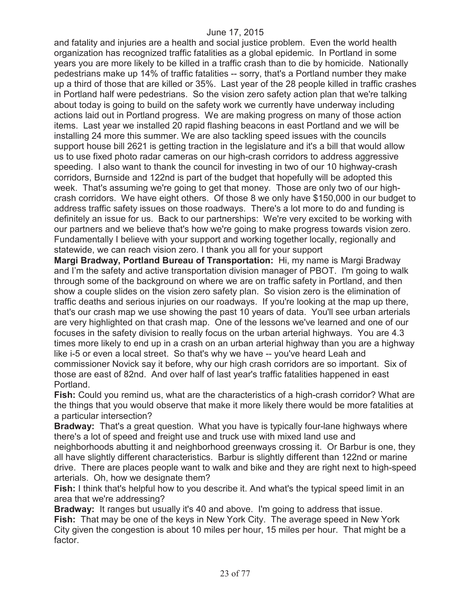and fatality and injuries are a health and social justice problem. Even the world health organization has recognized traffic fatalities as a global epidemic. In Portland in some years you are more likely to be killed in a traffic crash than to die by homicide. Nationally pedestrians make up 14% of traffic fatalities -- sorry, that's a Portland number they make up a third of those that are killed or 35%. Last year of the 28 people killed in traffic crashes in Portland half were pedestrians. So the vision zero safety action plan that we're talking about today is going to build on the safety work we currently have underway including actions laid out in Portland progress. We are making progress on many of those action items. Last year we installed 20 rapid flashing beacons in east Portland and we will be installing 24 more this summer. We are also tackling speed issues with the councils support house bill 2621 is getting traction in the legislature and it's a bill that would allow us to use fixed photo radar cameras on our high-crash corridors to address aggressive speeding. I also want to thank the council for investing in two of our 10 highway-crash corridors, Burnside and 122nd is part of the budget that hopefully will be adopted this week. That's assuming we're going to get that money. Those are only two of our highcrash corridors. We have eight others. Of those 8 we only have \$150,000 in our budget to address traffic safety issues on those roadways. There's a lot more to do and funding is definitely an issue for us. Back to our partnerships: We're very excited to be working with our partners and we believe that's how we're going to make progress towards vision zero. Fundamentally I believe with your support and working together locally, regionally and statewide, we can reach vision zero. I thank you all for your support

**Margi Bradway, Portland Bureau of Transportation:** Hi, my name is Margi Bradway and I'm the safety and active transportation division manager of PBOT. I'm going to walk through some of the background on where we are on traffic safety in Portland, and then show a couple slides on the vision zero safety plan. So vision zero is the elimination of traffic deaths and serious injuries on our roadways. If you're looking at the map up there, that's our crash map we use showing the past 10 years of data. You'll see urban arterials are very highlighted on that crash map. One of the lessons we've learned and one of our focuses in the safety division to really focus on the urban arterial highways. You are 4.3 times more likely to end up in a crash on an urban arterial highway than you are a highway like i-5 or even a local street. So that's why we have -- you've heard Leah and commissioner Novick say it before, why our high crash corridors are so important. Six of those are east of 82nd. And over half of last year's traffic fatalities happened in east Portland.

**Fish:** Could you remind us, what are the characteristics of a high-crash corridor? What are the things that you would observe that make it more likely there would be more fatalities at a particular intersection?

**Bradway:** That's a great question. What you have is typically four-lane highways where there's a lot of speed and freight use and truck use with mixed land use and neighborhoods abutting it and neighborhood greenways crossing it. Or Barbur is one, they all have slightly different characteristics. Barbur is slightly different than 122nd or marine drive. There are places people want to walk and bike and they are right next to high-speed arterials. Oh, how we designate them?

**Fish:** I think that's helpful how to you describe it. And what's the typical speed limit in an area that we're addressing?

**Bradway:** It ranges but usually it's 40 and above. I'm going to address that issue. **Fish:** That may be one of the keys in New York City. The average speed in New York City given the congestion is about 10 miles per hour, 15 miles per hour. That might be a factor.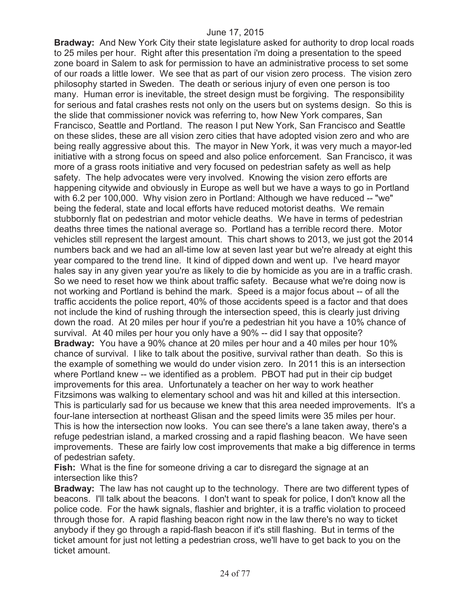**Bradway:** And New York City their state legislature asked for authority to drop local roads to 25 miles per hour. Right after this presentation i'm doing a presentation to the speed zone board in Salem to ask for permission to have an administrative process to set some of our roads a little lower. We see that as part of our vision zero process. The vision zero philosophy started in Sweden. The death or serious injury of even one person is too many. Human error is inevitable, the street design must be forgiving. The responsibility for serious and fatal crashes rests not only on the users but on systems design. So this is the slide that commissioner novick was referring to, how New York compares, San Francisco, Seattle and Portland. The reason I put New York, San Francisco and Seattle on these slides, these are all vision zero cities that have adopted vision zero and who are being really aggressive about this. The mayor in New York, it was very much a mayor-led initiative with a strong focus on speed and also police enforcement. San Francisco, it was more of a grass roots initiative and very focused on pedestrian safety as well as help safety. The help advocates were very involved. Knowing the vision zero efforts are happening citywide and obviously in Europe as well but we have a ways to go in Portland with 6.2 per 100,000. Why vision zero in Portland: Although we have reduced -- "we" being the federal, state and local efforts have reduced motorist deaths. We remain stubbornly flat on pedestrian and motor vehicle deaths. We have in terms of pedestrian deaths three times the national average so. Portland has a terrible record there. Motor vehicles still represent the largest amount. This chart shows to 2013, we just got the 2014 numbers back and we had an all-time low at seven last year but we're already at eight this year compared to the trend line. It kind of dipped down and went up. I've heard mayor hales say in any given year you're as likely to die by homicide as you are in a traffic crash. So we need to reset how we think about traffic safety. Because what we're doing now is not working and Portland is behind the mark. Speed is a major focus about -- of all the traffic accidents the police report, 40% of those accidents speed is a factor and that does not include the kind of rushing through the intersection speed, this is clearly just driving down the road. At 20 miles per hour if you're a pedestrian hit you have a 10% chance of survival. At 40 miles per hour you only have a 90% -- did I say that opposite? **Bradway:** You have a 90% chance at 20 miles per hour and a 40 miles per hour 10% chance of survival. I like to talk about the positive, survival rather than death. So this is the example of something we would do under vision zero. In 2011 this is an intersection where Portland knew -- we identified as a problem. PBOT had put in their cip budget improvements for this area. Unfortunately a teacher on her way to work heather Fitzsimons was walking to elementary school and was hit and killed at this intersection. This is particularly sad for us because we knew that this area needed improvements. It's a four-lane intersection at northeast Glisan and the speed limits were 35 miles per hour. This is how the intersection now looks. You can see there's a lane taken away, there's a refuge pedestrian island, a marked crossing and a rapid flashing beacon. We have seen improvements. These are fairly low cost improvements that make a big difference in terms of pedestrian safety.

**Fish:** What is the fine for someone driving a car to disregard the signage at an intersection like this?

**Bradway:** The law has not caught up to the technology. There are two different types of beacons. I'll talk about the beacons. I don't want to speak for police, I don't know all the police code. For the hawk signals, flashier and brighter, it is a traffic violation to proceed through those for. A rapid flashing beacon right now in the law there's no way to ticket anybody if they go through a rapid-flash beacon if it's still flashing. But in terms of the ticket amount for just not letting a pedestrian cross, we'll have to get back to you on the ticket amount.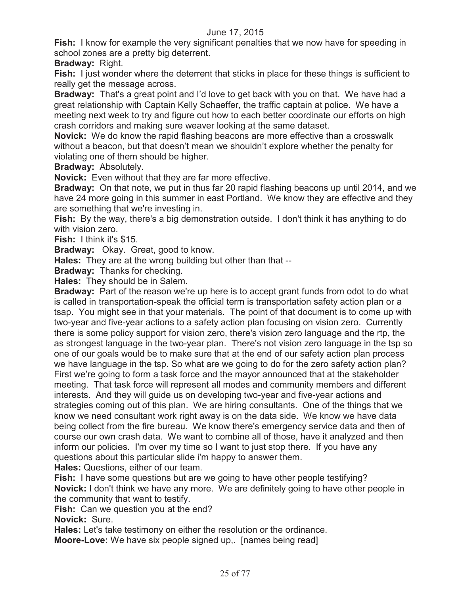**Fish:** I know for example the very significant penalties that we now have for speeding in school zones are a pretty big deterrent.

**Bradway:** Right.

**Fish:** I just wonder where the deterrent that sticks in place for these things is sufficient to really get the message across.

**Bradway:** That's a great point and I'd love to get back with you on that. We have had a great relationship with Captain Kelly Schaeffer, the traffic captain at police. We have a meeting next week to try and figure out how to each better coordinate our efforts on high crash corridors and making sure weaver looking at the same dataset.

**Novick:** We do know the rapid flashing beacons are more effective than a crosswalk without a beacon, but that doesn't mean we shouldn't explore whether the penalty for violating one of them should be higher.

**Bradway:** Absolutely.

**Novick:** Even without that they are far more effective.

**Bradway:** On that note, we put in thus far 20 rapid flashing beacons up until 2014, and we have 24 more going in this summer in east Portland. We know they are effective and they are something that we're investing in.

**Fish:** By the way, there's a big demonstration outside. I don't think it has anything to do with vision zero.

**Fish:** I think it's \$15.

**Bradway:** Okay. Great, good to know.

**Hales:** They are at the wrong building but other than that --

**Bradway:** Thanks for checking.

**Hales:** They should be in Salem.

**Bradway:** Part of the reason we're up here is to accept grant funds from odot to do what is called in transportation-speak the official term is transportation safety action plan or a tsap. You might see in that your materials. The point of that document is to come up with two-year and five-year actions to a safety action plan focusing on vision zero. Currently there is some policy support for vision zero, there's vision zero language and the rtp, the as strongest language in the two-year plan. There's not vision zero language in the tsp so one of our goals would be to make sure that at the end of our safety action plan process we have language in the tsp. So what are we going to do for the zero safety action plan? First we're going to form a task force and the mayor announced that at the stakeholder meeting. That task force will represent all modes and community members and different interests. And they will guide us on developing two-year and five-year actions and strategies coming out of this plan. We are hiring consultants. One of the things that we know we need consultant work right away is on the data side. We know we have data being collect from the fire bureau. We know there's emergency service data and then of course our own crash data. We want to combine all of those, have it analyzed and then inform our policies. I'm over my time so I want to just stop there. If you have any questions about this particular slide i'm happy to answer them.

**Hales:** Questions, either of our team.

**Fish:** I have some questions but are we going to have other people testifying? **Novick:** I don't think we have any more. We are definitely going to have other people in the community that want to testify.

**Fish:** Can we question you at the end?

**Novick:** Sure.

**Hales:** Let's take testimony on either the resolution or the ordinance.

**Moore-Love:** We have six people signed up,. [names being read]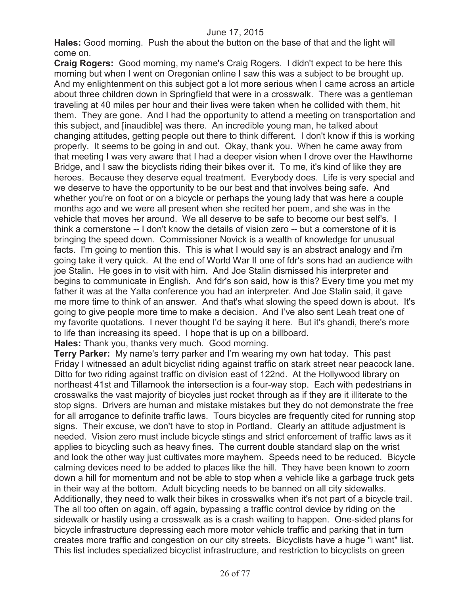**Hales:** Good morning. Push the about the button on the base of that and the light will come on.

**Craig Rogers:** Good morning, my name's Craig Rogers. I didn't expect to be here this morning but when I went on Oregonian online I saw this was a subject to be brought up. And my enlightenment on this subject got a lot more serious when I came across an article about three children down in Springfield that were in a crosswalk. There was a gentleman traveling at 40 miles per hour and their lives were taken when he collided with them, hit them. They are gone. And I had the opportunity to attend a meeting on transportation and this subject, and [inaudible] was there. An incredible young man, he talked about changing attitudes, getting people out there to think different. I don't know if this is working properly. It seems to be going in and out. Okay, thank you. When he came away from that meeting I was very aware that I had a deeper vision when I drove over the Hawthorne Bridge, and I saw the bicyclists riding their bikes over it. To me, it's kind of like they are heroes. Because they deserve equal treatment. Everybody does. Life is very special and we deserve to have the opportunity to be our best and that involves being safe. And whether you're on foot or on a bicycle or perhaps the young lady that was here a couple months ago and we were all present when she recited her poem, and she was in the vehicle that moves her around. We all deserve to be safe to become our best self's. I think a cornerstone -- I don't know the details of vision zero -- but a cornerstone of it is bringing the speed down. Commissioner Novick is a wealth of knowledge for unusual facts. I'm going to mention this. This is what I would say is an abstract analogy and i'm going take it very quick. At the end of World War II one of fdr's sons had an audience with joe Stalin. He goes in to visit with him. And Joe Stalin dismissed his interpreter and begins to communicate in English. And fdr's son said, how is this? Every time you met my father it was at the Yalta conference you had an interpreter. And Joe Stalin said, it gave me more time to think of an answer. And that's what slowing the speed down is about. It's going to give people more time to make a decision. And I've also sent Leah treat one of my favorite quotations. I never thought I'd be saying it here. But it's ghandi, there's more to life than increasing its speed. I hope that is up on a billboard.

**Hales:** Thank you, thanks very much. Good morning.

**Terry Parker:** My name's terry parker and I'm wearing my own hat today. This past Friday I witnessed an adult bicyclist riding against traffic on stark street near peacock lane. Ditto for two riding against traffic on division east of 122nd. At the Hollywood library on northeast 41st and Tillamook the intersection is a four-way stop. Each with pedestrians in crosswalks the vast majority of bicycles just rocket through as if they are it illiterate to the stop signs. Drivers are human and mistake mistakes but they do not demonstrate the free for all arrogance to definite traffic laws. Tours bicycles are frequently cited for running stop signs. Their excuse, we don't have to stop in Portland. Clearly an attitude adjustment is needed. Vision zero must include bicycle stings and strict enforcement of traffic laws as it applies to bicycling such as heavy fines. The current double standard slap on the wrist and look the other way just cultivates more mayhem. Speeds need to be reduced. Bicycle calming devices need to be added to places like the hill. They have been known to zoom down a hill for momentum and not be able to stop when a vehicle like a garbage truck gets in their way at the bottom. Adult bicycling needs to be banned on all city sidewalks. Additionally, they need to walk their bikes in crosswalks when it's not part of a bicycle trail. The all too often on again, off again, bypassing a traffic control device by riding on the sidewalk or hastily using a crosswalk as is a crash waiting to happen. One-sided plans for bicycle infrastructure depressing each more motor vehicle traffic and parking that in turn creates more traffic and congestion on our city streets. Bicyclists have a huge "i want" list. This list includes specialized bicyclist infrastructure, and restriction to bicyclists on green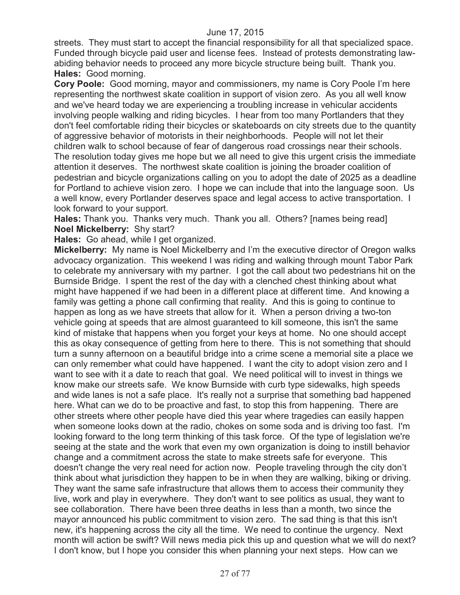streets. They must start to accept the financial responsibility for all that specialized space. Funded through bicycle paid user and license fees. Instead of protests demonstrating lawabiding behavior needs to proceed any more bicycle structure being built. Thank you. **Hales:** Good morning.

**Cory Poole:** Good morning, mayor and commissioners, my name is Cory Poole I'm here representing the northwest skate coalition in support of vision zero. As you all well know and we've heard today we are experiencing a troubling increase in vehicular accidents involving people walking and riding bicycles. I hear from too many Portlanders that they don't feel comfortable riding their bicycles or skateboards on city streets due to the quantity of aggressive behavior of motorists in their neighborhoods. People will not let their children walk to school because of fear of dangerous road crossings near their schools. The resolution today gives me hope but we all need to give this urgent crisis the immediate attention it deserves. The northwest skate coalition is joining the broader coalition of pedestrian and bicycle organizations calling on you to adopt the date of 2025 as a deadline for Portland to achieve vision zero. I hope we can include that into the language soon. Us a well know, every Portlander deserves space and legal access to active transportation. I look forward to your support.

**Hales:** Thank you. Thanks very much. Thank you all. Others? [names being read] **Noel Mickelberry:** Shy start?

**Hales:** Go ahead, while I get organized.

**Mickelberry:** My name is Noel Mickelberry and I'm the executive director of Oregon walks advocacy organization. This weekend I was riding and walking through mount Tabor Park to celebrate my anniversary with my partner. I got the call about two pedestrians hit on the Burnside Bridge. I spent the rest of the day with a clenched chest thinking about what might have happened if we had been in a different place at different time. And knowing a family was getting a phone call confirming that reality. And this is going to continue to happen as long as we have streets that allow for it. When a person driving a two-ton vehicle going at speeds that are almost guaranteed to kill someone, this isn't the same kind of mistake that happens when you forget your keys at home. No one should accept this as okay consequence of getting from here to there. This is not something that should turn a sunny afternoon on a beautiful bridge into a crime scene a memorial site a place we can only remember what could have happened. I want the city to adopt vision zero and I want to see with it a date to reach that goal. We need political will to invest in things we know make our streets safe. We know Burnside with curb type sidewalks, high speeds and wide lanes is not a safe place. It's really not a surprise that something bad happened here. What can we do to be proactive and fast, to stop this from happening. There are other streets where other people have died this year where tragedies can easily happen when someone looks down at the radio, chokes on some soda and is driving too fast. I'm looking forward to the long term thinking of this task force. Of the type of legislation we're seeing at the state and the work that even my own organization is doing to instill behavior change and a commitment across the state to make streets safe for everyone. This doesn't change the very real need for action now. People traveling through the city don't think about what jurisdiction they happen to be in when they are walking, biking or driving. They want the same safe infrastructure that allows them to access their community they live, work and play in everywhere. They don't want to see politics as usual, they want to see collaboration. There have been three deaths in less than a month, two since the mayor announced his public commitment to vision zero. The sad thing is that this isn't new, it's happening across the city all the time. We need to continue the urgency. Next month will action be swift? Will news media pick this up and question what we will do next? I don't know, but I hope you consider this when planning your next steps. How can we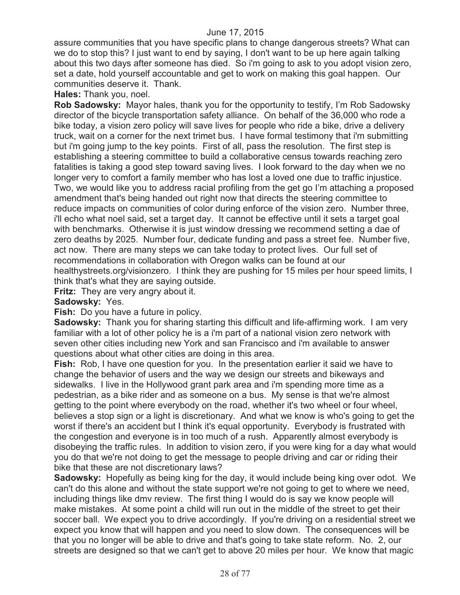assure communities that you have specific plans to change dangerous streets? What can we do to stop this? I just want to end by saying, I don't want to be up here again talking about this two days after someone has died. So i'm going to ask to you adopt vision zero, set a date, hold yourself accountable and get to work on making this goal happen. Our communities deserve it. Thank.

**Hales:** Thank you, noel.

**Rob Sadowsky:** Mayor hales, thank you for the opportunity to testify, I'm Rob Sadowsky director of the bicycle transportation safety alliance. On behalf of the 36,000 who rode a bike today, a vision zero policy will save lives for people who ride a bike, drive a delivery truck, wait on a corner for the next trimet bus. I have formal testimony that i'm submitting but i'm going jump to the key points. First of all, pass the resolution. The first step is establishing a steering committee to build a collaborative census towards reaching zero fatalities is taking a good step toward saving lives. I look forward to the day when we no longer very to comfort a family member who has lost a loved one due to traffic injustice. Two, we would like you to address racial profiling from the get go I'm attaching a proposed amendment that's being handed out right now that directs the steering committee to reduce impacts on communities of color during enforce of the vision zero. Number three, i'll echo what noel said, set a target day. It cannot be effective until it sets a target goal with benchmarks. Otherwise it is just window dressing we recommend setting a dae of zero deaths by 2025. Number four, dedicate funding and pass a street fee. Number five, act now. There are many steps we can take today to protect lives. Our full set of recommendations in collaboration with Oregon walks can be found at our healthystreets.org/visionzero. I think they are pushing for 15 miles per hour speed limits, I think that's what they are saying outside.

**Fritz:** They are very angry about it.

#### **Sadowsky:** Yes.

**Fish:** Do you have a future in policy.

**Sadowsky:** Thank you for sharing starting this difficult and life-affirming work. I am very familiar with a lot of other policy he is a i'm part of a national vision zero network with seven other cities including new York and san Francisco and i'm available to answer questions about what other cities are doing in this area.

**Fish:** Rob, I have one question for you. In the presentation earlier it said we have to change the behavior of users and the way we design our streets and bikeways and sidewalks. I live in the Hollywood grant park area and i'm spending more time as a pedestrian, as a bike rider and as someone on a bus. My sense is that we're almost getting to the point where everybody on the road, whether it's two wheel or four wheel, believes a stop sign or a light is discretionary. And what we know is who's going to get the worst if there's an accident but I think it's equal opportunity. Everybody is frustrated with the congestion and everyone is in too much of a rush. Apparently almost everybody is disobeying the traffic rules. In addition to vision zero, if you were king for a day what would you do that we're not doing to get the message to people driving and car or riding their bike that these are not discretionary laws?

**Sadowsky:** Hopefully as being king for the day, it would include being king over odot. We can't do this alone and without the state support we're not going to get to where we need, including things like dmv review. The first thing I would do is say we know people will make mistakes. At some point a child will run out in the middle of the street to get their soccer ball. We expect you to drive accordingly. If you're driving on a residential street we expect you know that will happen and you need to slow down. The consequences will be that you no longer will be able to drive and that's going to take state reform. No. 2, our streets are designed so that we can't get to above 20 miles per hour. We know that magic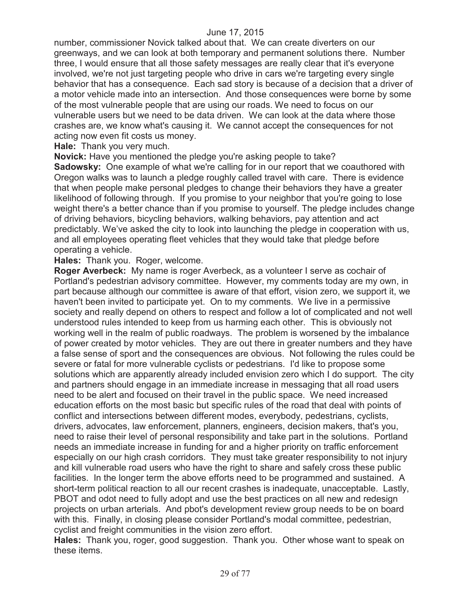number, commissioner Novick talked about that. We can create diverters on our greenways, and we can look at both temporary and permanent solutions there. Number three, I would ensure that all those safety messages are really clear that it's everyone involved, we're not just targeting people who drive in cars we're targeting every single behavior that has a consequence. Each sad story is because of a decision that a driver of a motor vehicle made into an intersection. And those consequences were borne by some of the most vulnerable people that are using our roads. We need to focus on our vulnerable users but we need to be data driven. We can look at the data where those crashes are, we know what's causing it. We cannot accept the consequences for not acting now even fit costs us money.

**Hale:** Thank you very much.

**Novick:** Have you mentioned the pledge you're asking people to take?

**Sadowsky:** One example of what we're calling for in our report that we coauthored with Oregon walks was to launch a pledge roughly called travel with care. There is evidence that when people make personal pledges to change their behaviors they have a greater likelihood of following through. If you promise to your neighbor that you're going to lose weight there's a better chance than if you promise to yourself. The pledge includes change of driving behaviors, bicycling behaviors, walking behaviors, pay attention and act predictably. We've asked the city to look into launching the pledge in cooperation with us, and all employees operating fleet vehicles that they would take that pledge before operating a vehicle.

**Hales:** Thank you. Roger, welcome.

**Roger Averbeck:** My name is roger Averbeck, as a volunteer I serve as cochair of Portland's pedestrian advisory committee. However, my comments today are my own, in part because although our committee is aware of that effort, vision zero, we support it, we haven't been invited to participate yet. On to my comments. We live in a permissive society and really depend on others to respect and follow a lot of complicated and not well understood rules intended to keep from us harming each other. This is obviously not working well in the realm of public roadways. The problem is worsened by the imbalance of power created by motor vehicles. They are out there in greater numbers and they have a false sense of sport and the consequences are obvious. Not following the rules could be severe or fatal for more vulnerable cyclists or pedestrians. I'd like to propose some solutions which are apparently already included envision zero which I do support. The city and partners should engage in an immediate increase in messaging that all road users need to be alert and focused on their travel in the public space. We need increased education efforts on the most basic but specific rules of the road that deal with points of conflict and intersections between different modes, everybody, pedestrians, cyclists, drivers, advocates, law enforcement, planners, engineers, decision makers, that's you, need to raise their level of personal responsibility and take part in the solutions. Portland needs an immediate increase in funding for and a higher priority on traffic enforcement especially on our high crash corridors. They must take greater responsibility to not injury and kill vulnerable road users who have the right to share and safely cross these public facilities. In the longer term the above efforts need to be programmed and sustained. A short-term political reaction to all our recent crashes is inadequate, unacceptable. Lastly, PBOT and odot need to fully adopt and use the best practices on all new and redesign projects on urban arterials. And pbot's development review group needs to be on board with this. Finally, in closing please consider Portland's modal committee, pedestrian, cyclist and freight communities in the vision zero effort.

**Hales:** Thank you, roger, good suggestion. Thank you. Other whose want to speak on these items.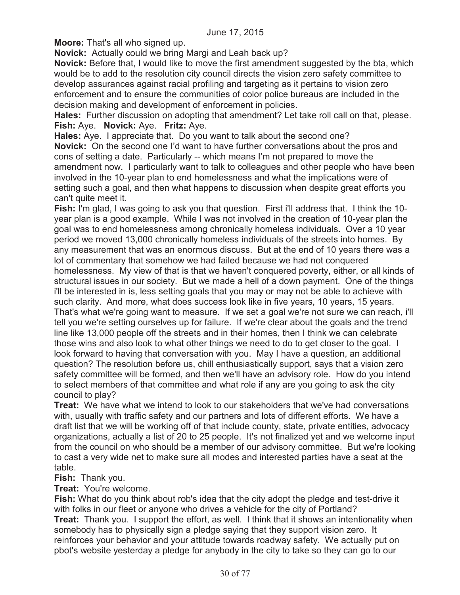**Moore:** That's all who signed up.

**Novick:** Actually could we bring Margi and Leah back up?

**Novick:** Before that, I would like to move the first amendment suggested by the bta, which would be to add to the resolution city council directs the vision zero safety committee to develop assurances against racial profiling and targeting as it pertains to vision zero enforcement and to ensure the communities of color police bureaus are included in the decision making and development of enforcement in policies.

**Hales:** Further discussion on adopting that amendment? Let take roll call on that, please. **Fish:** Aye. **Novick:** Aye. **Fritz:** Aye.

**Hales:** Aye. I appreciate that. Do you want to talk about the second one? **Novick:** On the second one I'd want to have further conversations about the pros and cons of setting a date. Particularly -- which means I'm not prepared to move the amendment now. I particularly want to talk to colleagues and other people who have been involved in the 10-year plan to end homelessness and what the implications were of setting such a goal, and then what happens to discussion when despite great efforts you can't quite meet it.

**Fish:** I'm glad, I was going to ask you that question. First i'll address that. I think the 10 year plan is a good example. While I was not involved in the creation of 10-year plan the goal was to end homelessness among chronically homeless individuals. Over a 10 year period we moved 13,000 chronically homeless individuals of the streets into homes. By any measurement that was an enormous discuss. But at the end of 10 years there was a lot of commentary that somehow we had failed because we had not conquered homelessness. My view of that is that we haven't conquered poverty, either, or all kinds of structural issues in our society. But we made a hell of a down payment. One of the things i'll be interested in is, less setting goals that you may or may not be able to achieve with such clarity. And more, what does success look like in five years, 10 years, 15 years. That's what we're going want to measure. If we set a goal we're not sure we can reach, i'll tell you we're setting ourselves up for failure. If we're clear about the goals and the trend line like 13,000 people off the streets and in their homes, then I think we can celebrate those wins and also look to what other things we need to do to get closer to the goal. I look forward to having that conversation with you. May I have a question, an additional question? The resolution before us, chill enthusiastically support, says that a vision zero safety committee will be formed, and then we'll have an advisory role. How do you intend to select members of that committee and what role if any are you going to ask the city council to play?

**Treat:** We have what we intend to look to our stakeholders that we've had conversations with, usually with traffic safety and our partners and lots of different efforts. We have a draft list that we will be working off of that include county, state, private entities, advocacy organizations, actually a list of 20 to 25 people. It's not finalized yet and we welcome input from the council on who should be a member of our advisory committee. But we're looking to cast a very wide net to make sure all modes and interested parties have a seat at the table.

### **Fish:** Thank you.

**Treat:** You're welcome.

**Fish:** What do you think about rob's idea that the city adopt the pledge and test-drive it with folks in our fleet or anyone who drives a vehicle for the city of Portland? **Treat:** Thank you. I support the effort, as well. I think that it shows an intentionality when somebody has to physically sign a pledge saying that they support vision zero. It reinforces your behavior and your attitude towards roadway safety. We actually put on pbot's website yesterday a pledge for anybody in the city to take so they can go to our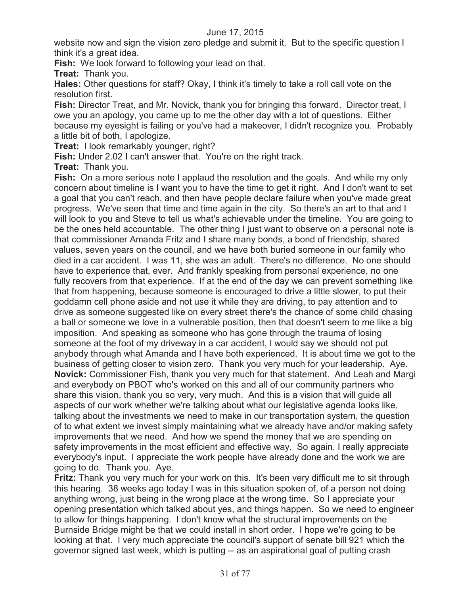website now and sign the vision zero pledge and submit it. But to the specific question I think it's a great idea.

**Fish:** We look forward to following your lead on that.

**Treat:** Thank you.

**Hales:** Other questions for staff? Okay, I think it's timely to take a roll call vote on the resolution first.

**Fish:** Director Treat, and Mr. Novick, thank you for bringing this forward. Director treat, I owe you an apology, you came up to me the other day with a lot of questions. Either because my eyesight is failing or you've had a makeover, I didn't recognize you. Probably a little bit of both, I apologize.

**Treat:** I look remarkably younger, right?

**Fish:** Under 2.02 I can't answer that. You're on the right track.

**Treat:** Thank you.

**Fish:** On a more serious note I applaud the resolution and the goals. And while my only concern about timeline is I want you to have the time to get it right. And I don't want to set a goal that you can't reach, and then have people declare failure when you've made great progress. We've seen that time and time again in the city. So there's an art to that and I will look to you and Steve to tell us what's achievable under the timeline. You are going to be the ones held accountable. The other thing I just want to observe on a personal note is that commissioner Amanda Fritz and I share many bonds, a bond of friendship, shared values, seven years on the council, and we have both buried someone in our family who died in a car accident. I was 11, she was an adult. There's no difference. No one should have to experience that, ever. And frankly speaking from personal experience, no one fully recovers from that experience. If at the end of the day we can prevent something like that from happening, because someone is encouraged to drive a little slower, to put their goddamn cell phone aside and not use it while they are driving, to pay attention and to drive as someone suggested like on every street there's the chance of some child chasing a ball or someone we love in a vulnerable position, then that doesn't seem to me like a big imposition. And speaking as someone who has gone through the trauma of losing someone at the foot of my driveway in a car accident, I would say we should not put anybody through what Amanda and I have both experienced. It is about time we got to the business of getting closer to vision zero. Thank you very much for your leadership. Aye. **Novick:** Commissioner Fish, thank you very much for that statement. And Leah and Margi and everybody on PBOT who's worked on this and all of our community partners who share this vision, thank you so very, very much. And this is a vision that will guide all aspects of our work whether we're talking about what our legislative agenda looks like, talking about the investments we need to make in our transportation system, the question of to what extent we invest simply maintaining what we already have and/or making safety improvements that we need. And how we spend the money that we are spending on safety improvements in the most efficient and effective way. So again, I really appreciate everybody's input. I appreciate the work people have already done and the work we are going to do. Thank you. Aye.

**Fritz:** Thank you very much for your work on this. It's been very difficult me to sit through this hearing. 38 weeks ago today I was in this situation spoken of, of a person not doing anything wrong, just being in the wrong place at the wrong time. So I appreciate your opening presentation which talked about yes, and things happen. So we need to engineer to allow for things happening. I don't know what the structural improvements on the Burnside Bridge might be that we could install in short order. I hope we're going to be looking at that. I very much appreciate the council's support of senate bill 921 which the governor signed last week, which is putting -- as an aspirational goal of putting crash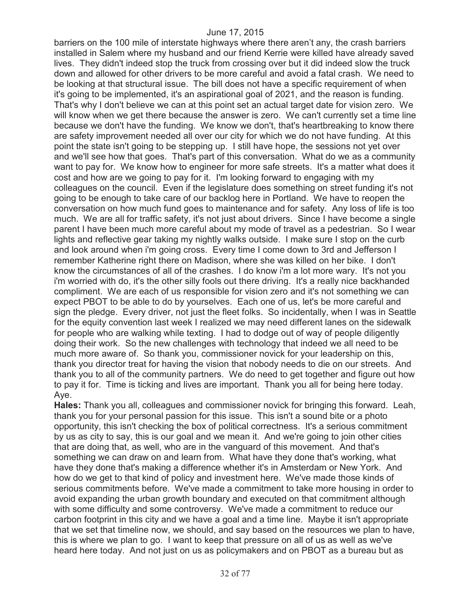barriers on the 100 mile of interstate highways where there aren't any, the crash barriers installed in Salem where my husband and our friend Kerrie were killed have already saved lives. They didn't indeed stop the truck from crossing over but it did indeed slow the truck down and allowed for other drivers to be more careful and avoid a fatal crash. We need to be looking at that structural issue. The bill does not have a specific requirement of when it's going to be implemented, it's an aspirational goal of 2021, and the reason is funding. That's why I don't believe we can at this point set an actual target date for vision zero. We will know when we get there because the answer is zero. We can't currently set a time line because we don't have the funding. We know we don't, that's heartbreaking to know there are safety improvement needed all over our city for which we do not have funding. At this point the state isn't going to be stepping up. I still have hope, the sessions not yet over and we'll see how that goes. That's part of this conversation. What do we as a community want to pay for. We know how to engineer for more safe streets. It's a matter what does it cost and how are we going to pay for it. I'm looking forward to engaging with my colleagues on the council. Even if the legislature does something on street funding it's not going to be enough to take care of our backlog here in Portland. We have to reopen the conversation on how much fund goes to maintenance and for safety. Any loss of life is too much. We are all for traffic safety, it's not just about drivers. Since I have become a single parent I have been much more careful about my mode of travel as a pedestrian. So I wear lights and reflective gear taking my nightly walks outside. I make sure I stop on the curb and look around when i'm going cross. Every time I come down to 3rd and Jefferson I remember Katherine right there on Madison, where she was killed on her bike. I don't know the circumstances of all of the crashes. I do know i'm a lot more wary. It's not you i'm worried with do, it's the other silly fools out there driving. It's a really nice backhanded compliment. We are each of us responsible for vision zero and it's not something we can expect PBOT to be able to do by yourselves. Each one of us, let's be more careful and sign the pledge. Every driver, not just the fleet folks. So incidentally, when I was in Seattle for the equity convention last week I realized we may need different lanes on the sidewalk for people who are walking while texting. I had to dodge out of way of people diligently doing their work. So the new challenges with technology that indeed we all need to be much more aware of. So thank you, commissioner novick for your leadership on this, thank you director treat for having the vision that nobody needs to die on our streets. And thank you to all of the community partners. We do need to get together and figure out how to pay it for. Time is ticking and lives are important. Thank you all for being here today. Aye.

**Hales:** Thank you all, colleagues and commissioner novick for bringing this forward. Leah, thank you for your personal passion for this issue. This isn't a sound bite or a photo opportunity, this isn't checking the box of political correctness. It's a serious commitment by us as city to say, this is our goal and we mean it. And we're going to join other cities that are doing that, as well, who are in the vanguard of this movement. And that's something we can draw on and learn from. What have they done that's working, what have they done that's making a difference whether it's in Amsterdam or New York. And how do we get to that kind of policy and investment here. We've made those kinds of serious commitments before. We've made a commitment to take more housing in order to avoid expanding the urban growth boundary and executed on that commitment although with some difficulty and some controversy. We've made a commitment to reduce our carbon footprint in this city and we have a goal and a time line. Maybe it isn't appropriate that we set that timeline now, we should, and say based on the resources we plan to have, this is where we plan to go. I want to keep that pressure on all of us as well as we've heard here today. And not just on us as policymakers and on PBOT as a bureau but as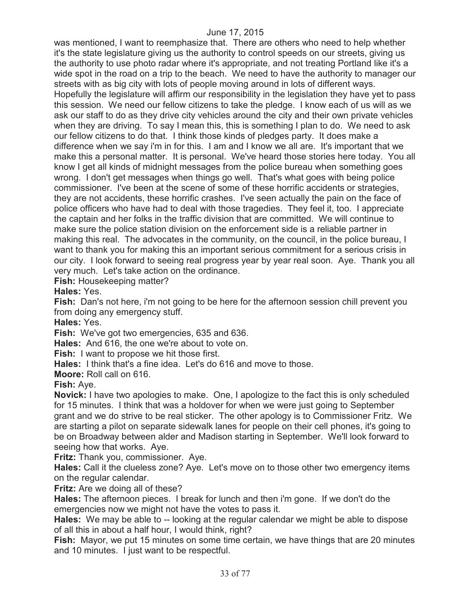was mentioned, I want to reemphasize that. There are others who need to help whether it's the state legislature giving us the authority to control speeds on our streets, giving us the authority to use photo radar where it's appropriate, and not treating Portland like it's a wide spot in the road on a trip to the beach. We need to have the authority to manager our streets with as big city with lots of people moving around in lots of different ways. Hopefully the legislature will affirm our responsibility in the legislation they have yet to pass this session. We need our fellow citizens to take the pledge. I know each of us will as we ask our staff to do as they drive city vehicles around the city and their own private vehicles when they are driving. To say I mean this, this is something I plan to do. We need to ask our fellow citizens to do that. I think those kinds of pledges party. It does make a difference when we say i'm in for this. I am and I know we all are. It's important that we make this a personal matter. It is personal. We've heard those stories here today. You all know I get all kinds of midnight messages from the police bureau when something goes wrong. I don't get messages when things go well. That's what goes with being police commissioner. I've been at the scene of some of these horrific accidents or strategies, they are not accidents, these horrific crashes. I've seen actually the pain on the face of police officers who have had to deal with those tragedies. They feel it, too. I appreciate the captain and her folks in the traffic division that are committed. We will continue to make sure the police station division on the enforcement side is a reliable partner in making this real. The advocates in the community, on the council, in the police bureau, I want to thank you for making this an important serious commitment for a serious crisis in our city. I look forward to seeing real progress year by year real soon. Aye. Thank you all very much. Let's take action on the ordinance.

**Fish:** Housekeeping matter?

**Hales:** Yes.

**Fish:** Dan's not here, i'm not going to be here for the afternoon session chill prevent you from doing any emergency stuff.

**Hales:** Yes.

**Fish:** We've got two emergencies, 635 and 636.

**Hales:** And 616, the one we're about to vote on.

**Fish:** I want to propose we hit those first.

**Hales:** I think that's a fine idea. Let's do 616 and move to those.

**Moore:** Roll call on 616.

**Fish:** Aye.

**Novick:** I have two apologies to make. One, I apologize to the fact this is only scheduled for 15 minutes. I think that was a holdover for when we were just going to September grant and we do strive to be real sticker. The other apology is to Commissioner Fritz. We are starting a pilot on separate sidewalk lanes for people on their cell phones, it's going to be on Broadway between alder and Madison starting in September. We'll look forward to seeing how that works. Aye.

**Fritz:** Thank you, commissioner. Aye.

**Hales:** Call it the clueless zone? Aye. Let's move on to those other two emergency items on the regular calendar.

**Fritz:** Are we doing all of these?

**Hales:** The afternoon pieces. I break for lunch and then i'm gone. If we don't do the emergencies now we might not have the votes to pass it.

**Hales:** We may be able to -- looking at the regular calendar we might be able to dispose of all this in about a half hour, I would think, right?

**Fish:** Mayor, we put 15 minutes on some time certain, we have things that are 20 minutes and 10 minutes. I just want to be respectful.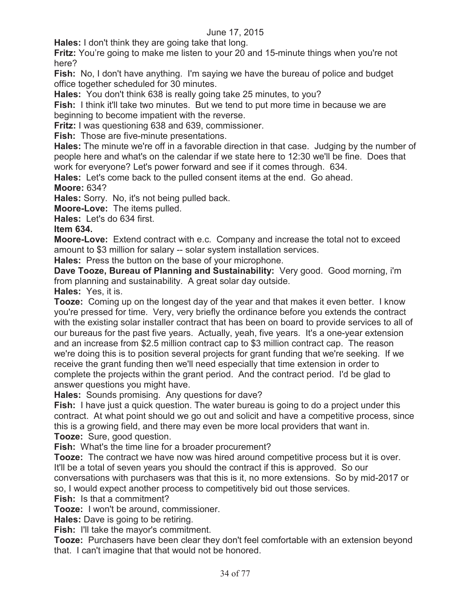**Hales:** I don't think they are going take that long.

**Fritz:** You're going to make me listen to your 20 and 15-minute things when you're not here?

**Fish:** No, I don't have anything. I'm saying we have the bureau of police and budget office together scheduled for 30 minutes.

**Hales:** You don't think 638 is really going take 25 minutes, to you?

**Fish:** I think it'll take two minutes. But we tend to put more time in because we are beginning to become impatient with the reverse.

**Fritz:** I was questioning 638 and 639, commissioner.

**Fish:** Those are five-minute presentations.

**Hales:** The minute we're off in a favorable direction in that case. Judging by the number of people here and what's on the calendar if we state here to 12:30 we'll be fine. Does that work for everyone? Let's power forward and see if it comes through. 634.

**Hales:** Let's come back to the pulled consent items at the end. Go ahead. **Moore:** 634?

**Hales:** Sorry. No, it's not being pulled back.

**Moore-Love:** The items pulled.

**Hales:** Let's do 634 first.

**Item 634.** 

**Moore-Love:** Extend contract with e.c. Company and increase the total not to exceed amount to \$3 million for salary -- solar system installation services.

**Hales:** Press the button on the base of your microphone.

**Dave Tooze, Bureau of Planning and Sustainability:** Very good. Good morning, i'm from planning and sustainability. A great solar day outside.

**Hales:** Yes, it is.

**Tooze:** Coming up on the longest day of the year and that makes it even better. I know you're pressed for time. Very, very briefly the ordinance before you extends the contract with the existing solar installer contract that has been on board to provide services to all of our bureaus for the past five years. Actually, yeah, five years. It's a one-year extension and an increase from \$2.5 million contract cap to \$3 million contract cap. The reason we're doing this is to position several projects for grant funding that we're seeking. If we receive the grant funding then we'll need especially that time extension in order to complete the projects within the grant period. And the contract period. I'd be glad to answer questions you might have.

**Hales:** Sounds promising. Any questions for dave?

**Fish:** I have just a quick question. The water bureau is going to do a project under this contract. At what point should we go out and solicit and have a competitive process, since this is a growing field, and there may even be more local providers that want in. **Tooze:** Sure, good question.

**Fish:** What's the time line for a broader procurement?

**Tooze:** The contract we have now was hired around competitive process but it is over. It'll be a total of seven years you should the contract if this is approved. So our conversations with purchasers was that this is it, no more extensions. So by mid-2017 or so, I would expect another process to competitively bid out those services.

**Fish:** Is that a commitment?

**Tooze:** I won't be around, commissioner.

**Hales:** Dave is going to be retiring.

**Fish:** I'll take the mayor's commitment.

**Tooze:** Purchasers have been clear they don't feel comfortable with an extension beyond that. I can't imagine that that would not be honored.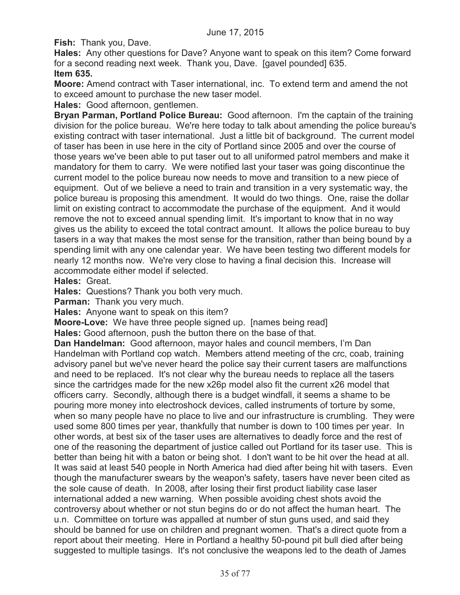**Fish:** Thank you, Dave.

**Hales:** Any other questions for Dave? Anyone want to speak on this item? Come forward for a second reading next week. Thank you, Dave. [gavel pounded] 635. **Item 635.**

**Moore:** Amend contract with Taser international, inc. To extend term and amend the not to exceed amount to purchase the new taser model.

**Hales:** Good afternoon, gentlemen.

**Bryan Parman, Portland Police Bureau:** Good afternoon. I'm the captain of the training division for the police bureau. We're here today to talk about amending the police bureau's existing contract with taser international. Just a little bit of background. The current model of taser has been in use here in the city of Portland since 2005 and over the course of those years we've been able to put taser out to all uniformed patrol members and make it mandatory for them to carry. We were notified last your taser was going discontinue the current model to the police bureau now needs to move and transition to a new piece of equipment. Out of we believe a need to train and transition in a very systematic way, the police bureau is proposing this amendment. It would do two things. One, raise the dollar limit on existing contract to accommodate the purchase of the equipment. And it would remove the not to exceed annual spending limit. It's important to know that in no way gives us the ability to exceed the total contract amount. It allows the police bureau to buy tasers in a way that makes the most sense for the transition, rather than being bound by a spending limit with any one calendar year. We have been testing two different models for nearly 12 months now. We're very close to having a final decision this. Increase will accommodate either model if selected.

**Hales:** Great.

**Hales:** Questions? Thank you both very much.

**Parman:** Thank you very much.

**Hales:** Anyone want to speak on this item?

**Moore-Love:** We have three people signed up. [names being read]

**Hales:** Good afternoon, push the button there on the base of that.

**Dan Handelman:** Good afternoon, mayor hales and council members, I'm Dan Handelman with Portland cop watch. Members attend meeting of the crc, coab, training advisory panel but we've never heard the police say their current tasers are malfunctions and need to be replaced. It's not clear why the bureau needs to replace all the tasers since the cartridges made for the new x26p model also fit the current x26 model that officers carry. Secondly, although there is a budget windfall, it seems a shame to be pouring more money into electroshock devices, called instruments of torture by some, when so many people have no place to live and our infrastructure is crumbling. They were used some 800 times per year, thankfully that number is down to 100 times per year. In other words, at best six of the taser uses are alternatives to deadly force and the rest of one of the reasoning the department of justice called out Portland for its taser use. This is better than being hit with a baton or being shot. I don't want to be hit over the head at all. It was said at least 540 people in North America had died after being hit with tasers. Even though the manufacturer swears by the weapon's safety, tasers have never been cited as the sole cause of death. In 2008, after losing their first product liability case laser international added a new warning. When possible avoiding chest shots avoid the controversy about whether or not stun begins do or do not affect the human heart. The u.n. Committee on torture was appalled at number of stun guns used, and said they should be banned for use on children and pregnant women. That's a direct quote from a report about their meeting. Here in Portland a healthy 50-pound pit bull died after being suggested to multiple tasings. It's not conclusive the weapons led to the death of James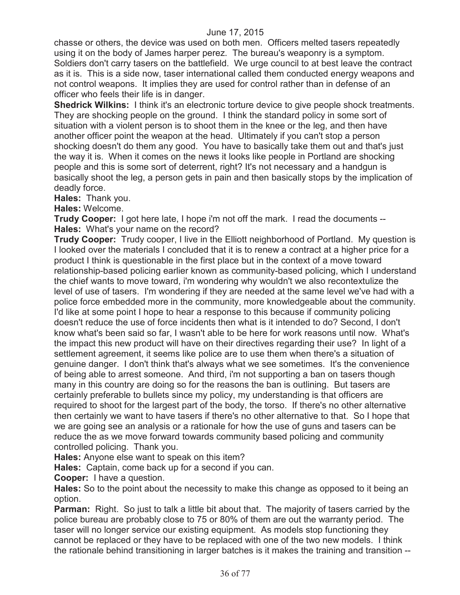chasse or others, the device was used on both men. Officers melted tasers repeatedly using it on the body of James harper perez. The bureau's weaponry is a symptom. Soldiers don't carry tasers on the battlefield. We urge council to at best leave the contract as it is. This is a side now, taser international called them conducted energy weapons and not control weapons. It implies they are used for control rather than in defense of an officer who feels their life is in danger.

**Shedrick Wilkins:** I think it's an electronic torture device to give people shock treatments. They are shocking people on the ground. I think the standard policy in some sort of situation with a violent person is to shoot them in the knee or the leg, and then have another officer point the weapon at the head. Ultimately if you can't stop a person shocking doesn't do them any good. You have to basically take them out and that's just the way it is. When it comes on the news it looks like people in Portland are shocking people and this is some sort of deterrent, right? It's not necessary and a handgun is basically shoot the leg, a person gets in pain and then basically stops by the implication of deadly force.

**Hales:** Thank you.

**Hales:** Welcome.

**Trudy Cooper:** I got here late, I hope i'm not off the mark. I read the documents -- **Hales:** What's your name on the record?

**Trudy Cooper:** Trudy cooper, I live in the Elliott neighborhood of Portland. My question is I looked over the materials I concluded that it is to renew a contract at a higher price for a product I think is questionable in the first place but in the context of a move toward relationship-based policing earlier known as community-based policing, which I understand the chief wants to move toward, i'm wondering why wouldn't we also recontextulize the level of use of tasers. I'm wondering if they are needed at the same level we've had with a police force embedded more in the community, more knowledgeable about the community. I'd like at some point I hope to hear a response to this because if community policing doesn't reduce the use of force incidents then what is it intended to do? Second, I don't know what's been said so far, I wasn't able to be here for work reasons until now. What's the impact this new product will have on their directives regarding their use? In light of a settlement agreement, it seems like police are to use them when there's a situation of genuine danger. I don't think that's always what we see sometimes. It's the convenience of being able to arrest someone. And third, i'm not supporting a ban on tasers though many in this country are doing so for the reasons the ban is outlining. But tasers are certainly preferable to bullets since my policy, my understanding is that officers are required to shoot for the largest part of the body, the torso. If there's no other alternative then certainly we want to have tasers if there's no other alternative to that. So I hope that we are going see an analysis or a rationale for how the use of guns and tasers can be reduce the as we move forward towards community based policing and community controlled policing. Thank you.

**Hales:** Anyone else want to speak on this item?

**Hales:** Captain, come back up for a second if you can.

**Cooper:** I have a question.

**Hales:** So to the point about the necessity to make this change as opposed to it being an option.

**Parman:** Right. So just to talk a little bit about that. The majority of tasers carried by the police bureau are probably close to 75 or 80% of them are out the warranty period. The taser will no longer service our existing equipment. As models stop functioning they cannot be replaced or they have to be replaced with one of the two new models. I think the rationale behind transitioning in larger batches is it makes the training and transition --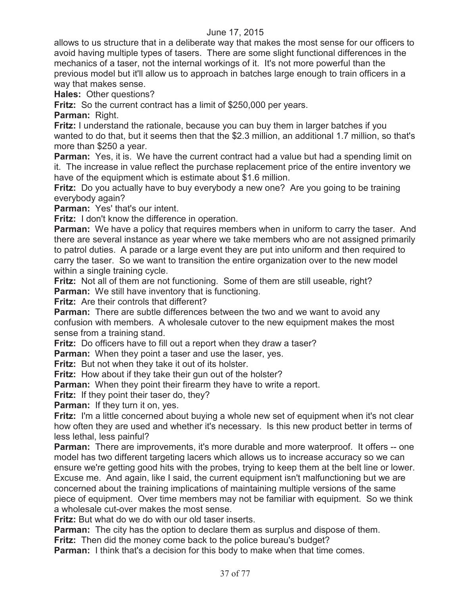allows to us structure that in a deliberate way that makes the most sense for our officers to avoid having multiple types of tasers. There are some slight functional differences in the mechanics of a taser, not the internal workings of it. It's not more powerful than the previous model but it'll allow us to approach in batches large enough to train officers in a way that makes sense.

**Hales:** Other questions?

**Fritz:** So the current contract has a limit of \$250,000 per years.

**Parman:** Right.

**Fritz:** I understand the rationale, because you can buy them in larger batches if you wanted to do that, but it seems then that the \$2.3 million, an additional 1.7 million, so that's more than \$250 a year.

**Parman:** Yes, it is. We have the current contract had a value but had a spending limit on it. The increase in value reflect the purchase replacement price of the entire inventory we have of the equipment which is estimate about \$1.6 million.

**Fritz:** Do you actually have to buy everybody a new one? Are you going to be training everybody again?

**Parman:** Yes' that's our intent.

**Fritz:** I don't know the difference in operation.

**Parman:** We have a policy that requires members when in uniform to carry the taser. And there are several instance as year where we take members who are not assigned primarily to patrol duties. A parade or a large event they are put into uniform and then required to carry the taser. So we want to transition the entire organization over to the new model within a single training cycle.

**Fritz:** Not all of them are not functioning. Some of them are still useable, right? **Parman:** We still have inventory that is functioning.

**Fritz:** Are their controls that different?

**Parman:** There are subtle differences between the two and we want to avoid any confusion with members. A wholesale cutover to the new equipment makes the most sense from a training stand.

**Fritz:** Do officers have to fill out a report when they draw a taser?

**Parman:** When they point a taser and use the laser, yes.

**Fritz:** But not when they take it out of its holster.

**Fritz:** How about if they take their gun out of the holster?

**Parman:** When they point their firearm they have to write a report.

**Fritz:** If they point their taser do, they?

**Parman:** If they turn it on, yes.

**Fritz:** I'm a little concerned about buying a whole new set of equipment when it's not clear how often they are used and whether it's necessary. Is this new product better in terms of less lethal, less painful?

**Parman:** There are improvements, it's more durable and more waterproof. It offers -- one model has two different targeting lacers which allows us to increase accuracy so we can ensure we're getting good hits with the probes, trying to keep them at the belt line or lower. Excuse me. And again, like I said, the current equipment isn't malfunctioning but we are concerned about the training implications of maintaining multiple versions of the same piece of equipment. Over time members may not be familiar with equipment. So we think a wholesale cut-over makes the most sense.

**Fritz:** But what do we do with our old taser inserts.

**Parman:** The city has the option to declare them as surplus and dispose of them.

**Fritz:** Then did the money come back to the police bureau's budget?

**Parman:** I think that's a decision for this body to make when that time comes.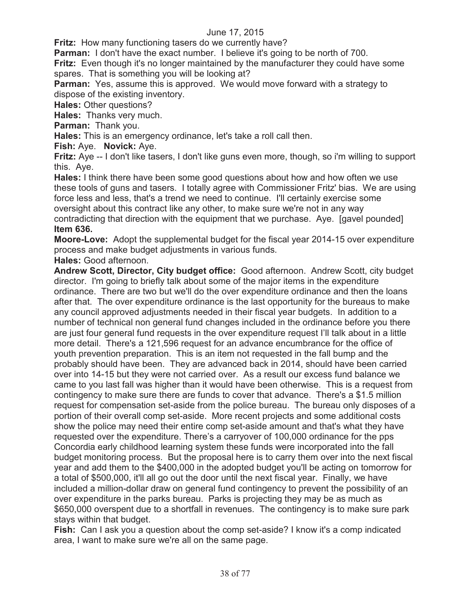**Fritz:** How many functioning tasers do we currently have?

**Parman:** I don't have the exact number. I believe it's going to be north of 700.

**Fritz:** Even though it's no longer maintained by the manufacturer they could have some spares. That is something you will be looking at?

**Parman:** Yes, assume this is approved. We would move forward with a strategy to dispose of the existing inventory.

**Hales:** Other questions?

**Hales:** Thanks very much.

**Parman:** Thank you.

**Hales:** This is an emergency ordinance, let's take a roll call then.

**Fish:** Aye. **Novick:** Aye.

**Fritz:** Aye -- I don't like tasers, I don't like guns even more, though, so i'm willing to support this. Aye.

**Hales:** I think there have been some good questions about how and how often we use these tools of guns and tasers. I totally agree with Commissioner Fritz' bias. We are using force less and less, that's a trend we need to continue. I'll certainly exercise some oversight about this contract like any other, to make sure we're not in any way contradicting that direction with the equipment that we purchase. Aye. [gavel pounded] **Item 636.**

**Moore-Love:** Adopt the supplemental budget for the fiscal year 2014-15 over expenditure process and make budget adjustments in various funds.

**Hales:** Good afternoon.

**Andrew Scott, Director, City budget office:** Good afternoon. Andrew Scott, city budget director. I'm going to briefly talk about some of the major items in the expenditure ordinance. There are two but we'll do the over expenditure ordinance and then the loans after that. The over expenditure ordinance is the last opportunity for the bureaus to make any council approved adjustments needed in their fiscal year budgets. In addition to a number of technical non general fund changes included in the ordinance before you there are just four general fund requests in the over expenditure request I'll talk about in a little more detail. There's a 121,596 request for an advance encumbrance for the office of youth prevention preparation. This is an item not requested in the fall bump and the probably should have been. They are advanced back in 2014, should have been carried over into 14-15 but they were not carried over. As a result our excess fund balance we came to you last fall was higher than it would have been otherwise. This is a request from contingency to make sure there are funds to cover that advance. There's a \$1.5 million request for compensation set-aside from the police bureau. The bureau only disposes of a portion of their overall comp set-aside. More recent projects and some additional costs show the police may need their entire comp set-aside amount and that's what they have requested over the expenditure. There's a carryover of 100,000 ordinance for the pps Concordia early childhood learning system these funds were incorporated into the fall budget monitoring process. But the proposal here is to carry them over into the next fiscal year and add them to the \$400,000 in the adopted budget you'll be acting on tomorrow for a total of \$500,000, it'll all go out the door until the next fiscal year. Finally, we have included a million-dollar draw on general fund contingency to prevent the possibility of an over expenditure in the parks bureau. Parks is projecting they may be as much as \$650,000 overspent due to a shortfall in revenues. The contingency is to make sure park stays within that budget.

**Fish:** Can I ask you a question about the comp set-aside? I know it's a comp indicated area, I want to make sure we're all on the same page.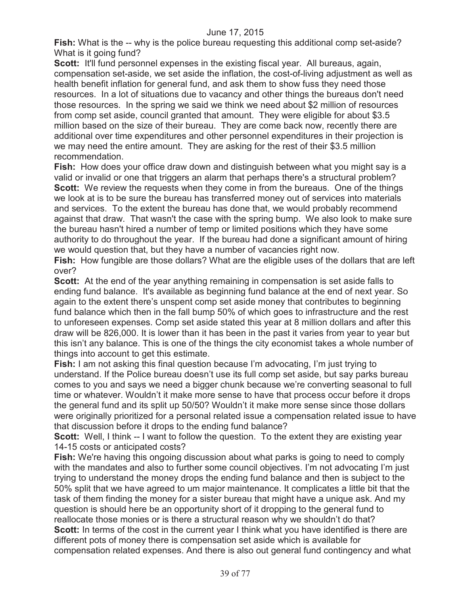**Fish:** What is the -- why is the police bureau requesting this additional comp set-aside? What is it going fund?

**Scott:** It'll fund personnel expenses in the existing fiscal year. All bureaus, again, compensation set-aside, we set aside the inflation, the cost-of-living adjustment as well as health benefit inflation for general fund, and ask them to show fuss they need those resources. In a lot of situations due to vacancy and other things the bureaus don't need those resources. In the spring we said we think we need about \$2 million of resources from comp set aside, council granted that amount. They were eligible for about \$3.5 million based on the size of their bureau. They are come back now, recently there are additional over time expenditures and other personnel expenditures in their projection is we may need the entire amount. They are asking for the rest of their \$3.5 million recommendation.

**Fish:** How does your office draw down and distinguish between what you might say is a valid or invalid or one that triggers an alarm that perhaps there's a structural problem? **Scott:** We review the requests when they come in from the bureaus. One of the things we look at is to be sure the bureau has transferred money out of services into materials and services. To the extent the bureau has done that, we would probably recommend against that draw. That wasn't the case with the spring bump. We also look to make sure the bureau hasn't hired a number of temp or limited positions which they have some authority to do throughout the year. If the bureau had done a significant amount of hiring we would question that, but they have a number of vacancies right now.

**Fish:** How fungible are those dollars? What are the eligible uses of the dollars that are left over?

**Scott:** At the end of the year anything remaining in compensation is set aside falls to ending fund balance. It's available as beginning fund balance at the end of next year. So again to the extent there's unspent comp set aside money that contributes to beginning fund balance which then in the fall bump 50% of which goes to infrastructure and the rest to unforeseen expenses. Comp set aside stated this year at 8 million dollars and after this draw will be 826,000. It is lower than it has been in the past it varies from year to year but this isn't any balance. This is one of the things the city economist takes a whole number of things into account to get this estimate.

**Fish:** I am not asking this final question because I'm advocating, I'm just trying to understand. If the Police bureau doesn't use its full comp set aside, but say parks bureau comes to you and says we need a bigger chunk because we're converting seasonal to full time or whatever. Wouldn't it make more sense to have that process occur before it drops the general fund and its split up 50/50? Wouldn't it make more sense since those dollars were originally prioritized for a personal related issue a compensation related issue to have that discussion before it drops to the ending fund balance?

**Scott:** Well, I think -- I want to follow the question. To the extent they are existing year 14-15 costs or anticipated costs?

**Fish:** We're having this ongoing discussion about what parks is going to need to comply with the mandates and also to further some council objectives. I'm not advocating I'm just trying to understand the money drops the ending fund balance and then is subject to the 50% split that we have agreed to um major maintenance. It complicates a little bit that the task of them finding the money for a sister bureau that might have a unique ask. And my question is should here be an opportunity short of it dropping to the general fund to reallocate those monies or is there a structural reason why we shouldn't do that? **Scott:** In terms of the cost in the current year I think what you have identified is there are different pots of money there is compensation set aside which is available for compensation related expenses. And there is also out general fund contingency and what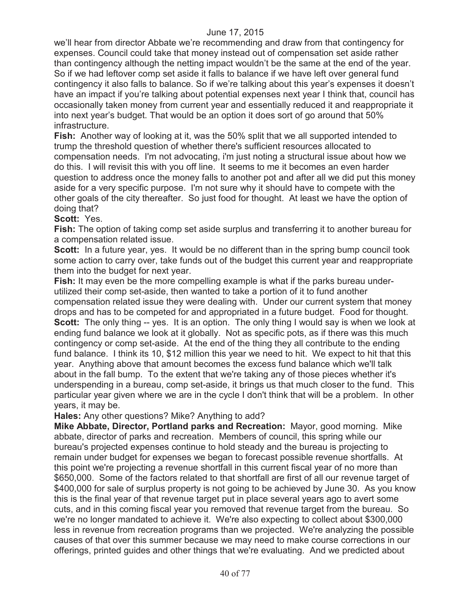we'll hear from director Abbate we're recommending and draw from that contingency for expenses. Council could take that money instead out of compensation set aside rather than contingency although the netting impact wouldn't be the same at the end of the year. So if we had leftover comp set aside it falls to balance if we have left over general fund contingency it also falls to balance. So if we're talking about this year's expenses it doesn't have an impact if you're talking about potential expenses next year I think that, council has occasionally taken money from current year and essentially reduced it and reappropriate it into next year's budget. That would be an option it does sort of go around that 50% infrastructure.

**Fish:** Another way of looking at it, was the 50% split that we all supported intended to trump the threshold question of whether there's sufficient resources allocated to compensation needs. I'm not advocating, i'm just noting a structural issue about how we do this. I will revisit this with you off line. It seems to me it becomes an even harder question to address once the money falls to another pot and after all we did put this money aside for a very specific purpose. I'm not sure why it should have to compete with the other goals of the city thereafter. So just food for thought. At least we have the option of doing that?

#### **Scott:** Yes.

**Fish:** The option of taking comp set aside surplus and transferring it to another bureau for a compensation related issue.

**Scott:** In a future year, yes. It would be no different than in the spring bump council took some action to carry over, take funds out of the budget this current year and reappropriate them into the budget for next year.

**Fish:** It may even be the more compelling example is what if the parks bureau underutilized their comp set-aside, then wanted to take a portion of it to fund another compensation related issue they were dealing with. Under our current system that money drops and has to be competed for and appropriated in a future budget. Food for thought. **Scott:** The only thing -- yes. It is an option. The only thing I would say is when we look at ending fund balance we look at it globally. Not as specific pots, as if there was this much contingency or comp set-aside. At the end of the thing they all contribute to the ending fund balance. I think its 10, \$12 million this year we need to hit. We expect to hit that this year. Anything above that amount becomes the excess fund balance which we'll talk about in the fall bump. To the extent that we're taking any of those pieces whether it's underspending in a bureau, comp set-aside, it brings us that much closer to the fund. This particular year given where we are in the cycle I don't think that will be a problem. In other years, it may be.

**Hales:** Any other questions? Mike? Anything to add?

**Mike Abbate, Director, Portland parks and Recreation:** Mayor, good morning. Mike abbate, director of parks and recreation. Members of council, this spring while our bureau's projected expenses continue to hold steady and the bureau is projecting to remain under budget for expenses we began to forecast possible revenue shortfalls. At this point we're projecting a revenue shortfall in this current fiscal year of no more than \$650,000. Some of the factors related to that shortfall are first of all our revenue target of \$400,000 for sale of surplus property is not going to be achieved by June 30. As you know this is the final year of that revenue target put in place several years ago to avert some cuts, and in this coming fiscal year you removed that revenue target from the bureau. So we're no longer mandated to achieve it. We're also expecting to collect about \$300,000 less in revenue from recreation programs than we projected. We're analyzing the possible causes of that over this summer because we may need to make course corrections in our offerings, printed guides and other things that we're evaluating. And we predicted about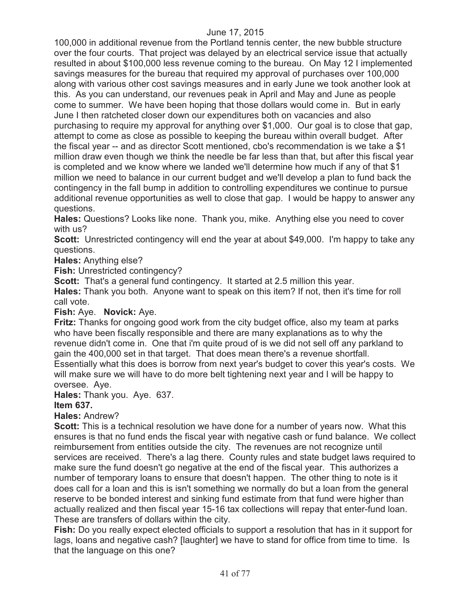100,000 in additional revenue from the Portland tennis center, the new bubble structure over the four courts. That project was delayed by an electrical service issue that actually resulted in about \$100,000 less revenue coming to the bureau. On May 12 I implemented savings measures for the bureau that required my approval of purchases over 100,000 along with various other cost savings measures and in early June we took another look at this. As you can understand, our revenues peak in April and May and June as people come to summer. We have been hoping that those dollars would come in. But in early June I then ratcheted closer down our expenditures both on vacancies and also purchasing to require my approval for anything over \$1,000. Our goal is to close that gap, attempt to come as close as possible to keeping the bureau within overall budget. After the fiscal year -- and as director Scott mentioned, cbo's recommendation is we take a \$1 million draw even though we think the needle be far less than that, but after this fiscal year is completed and we know where we landed we'll determine how much if any of that \$1 million we need to balance in our current budget and we'll develop a plan to fund back the contingency in the fall bump in addition to controlling expenditures we continue to pursue additional revenue opportunities as well to close that gap. I would be happy to answer any questions.

**Hales:** Questions? Looks like none. Thank you, mike. Anything else you need to cover with us?

**Scott:** Unrestricted contingency will end the year at about \$49,000. I'm happy to take any questions.

**Hales:** Anything else?

**Fish:** Unrestricted contingency?

**Scott:** That's a general fund contingency. It started at 2.5 million this year.

**Hales:** Thank you both. Anyone want to speak on this item? If not, then it's time for roll call vote.

### **Fish:** Aye. **Novick:** Aye.

**Fritz:** Thanks for ongoing good work from the city budget office, also my team at parks who have been fiscally responsible and there are many explanations as to why the revenue didn't come in. One that i'm quite proud of is we did not sell off any parkland to gain the 400,000 set in that target. That does mean there's a revenue shortfall. Essentially what this does is borrow from next year's budget to cover this year's costs. We will make sure we will have to do more belt tightening next year and I will be happy to oversee. Aye.

#### **Hales:** Thank you. Aye. 637.

### **Item 637.**

**Hales:** Andrew?

**Scott:** This is a technical resolution we have done for a number of years now. What this ensures is that no fund ends the fiscal year with negative cash or fund balance. We collect reimbursement from entities outside the city. The revenues are not recognize until services are received. There's a lag there. County rules and state budget laws required to make sure the fund doesn't go negative at the end of the fiscal year. This authorizes a number of temporary loans to ensure that doesn't happen. The other thing to note is it does call for a loan and this is isn't something we normally do but a loan from the general reserve to be bonded interest and sinking fund estimate from that fund were higher than actually realized and then fiscal year 15-16 tax collections will repay that enter-fund loan. These are transfers of dollars within the city.

**Fish:** Do you really expect elected officials to support a resolution that has in it support for lags, loans and negative cash? [laughter] we have to stand for office from time to time. Is that the language on this one?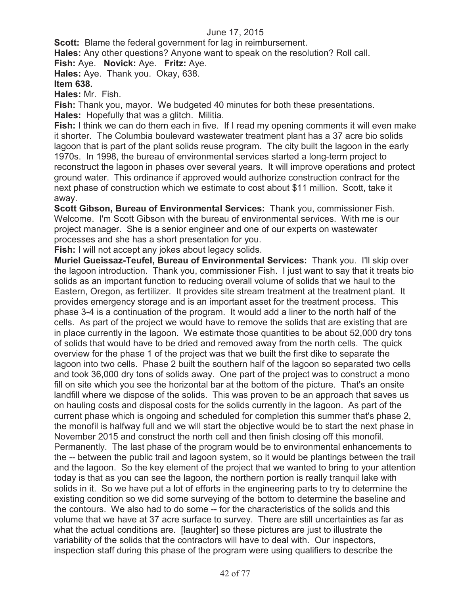**Scott:** Blame the federal government for lag in reimbursement.

**Hales:** Any other questions? Anyone want to speak on the resolution? Roll call.

**Fish:** Aye. **Novick:** Aye. **Fritz:** Aye.

**Hales:** Aye. Thank you. Okay, 638.

#### **Item 638.**

**Hales:** Mr. Fish.

**Fish:** Thank you, mayor. We budgeted 40 minutes for both these presentations. **Hales:** Hopefully that was a glitch. Militia.

**Fish:** I think we can do them each in five. If I read my opening comments it will even make it shorter. The Columbia boulevard wastewater treatment plant has a 37 acre bio solids lagoon that is part of the plant solids reuse program. The city built the lagoon in the early 1970s. In 1998, the bureau of environmental services started a long-term project to reconstruct the lagoon in phases over several years. It will improve operations and protect ground water. This ordinance if approved would authorize construction contract for the next phase of construction which we estimate to cost about \$11 million. Scott, take it away.

**Scott Gibson, Bureau of Environmental Services:** Thank you, commissioner Fish. Welcome. I'm Scott Gibson with the bureau of environmental services. With me is our project manager. She is a senior engineer and one of our experts on wastewater processes and she has a short presentation for you.

**Fish:** I will not accept any jokes about legacy solids.

**Muriel Gueissaz-Teufel, Bureau of Environmental Services:** Thank you. I'll skip over the lagoon introduction. Thank you, commissioner Fish. I just want to say that it treats bio solids as an important function to reducing overall volume of solids that we haul to the Eastern, Oregon, as fertilizer. It provides site stream treatment at the treatment plant. It provides emergency storage and is an important asset for the treatment process. This phase 3-4 is a continuation of the program. It would add a liner to the north half of the cells. As part of the project we would have to remove the solids that are existing that are in place currently in the lagoon. We estimate those quantities to be about 52,000 dry tons of solids that would have to be dried and removed away from the north cells. The quick overview for the phase 1 of the project was that we built the first dike to separate the lagoon into two cells. Phase 2 built the southern half of the lagoon so separated two cells and took 36,000 dry tons of solids away. One part of the project was to construct a mono fill on site which you see the horizontal bar at the bottom of the picture. That's an onsite landfill where we dispose of the solids. This was proven to be an approach that saves us on hauling costs and disposal costs for the solids currently in the lagoon. As part of the current phase which is ongoing and scheduled for completion this summer that's phase 2, the monofil is halfway full and we will start the objective would be to start the next phase in November 2015 and construct the north cell and then finish closing off this monofil. Permanently. The last phase of the program would be to environmental enhancements to the -- between the public trail and lagoon system, so it would be plantings between the trail and the lagoon. So the key element of the project that we wanted to bring to your attention today is that as you can see the lagoon, the northern portion is really tranquil lake with solids in it. So we have put a lot of efforts in the engineering parts to try to determine the existing condition so we did some surveying of the bottom to determine the baseline and the contours. We also had to do some -- for the characteristics of the solids and this volume that we have at 37 acre surface to survey. There are still uncertainties as far as what the actual conditions are. [laughter] so these pictures are just to illustrate the variability of the solids that the contractors will have to deal with. Our inspectors, inspection staff during this phase of the program were using qualifiers to describe the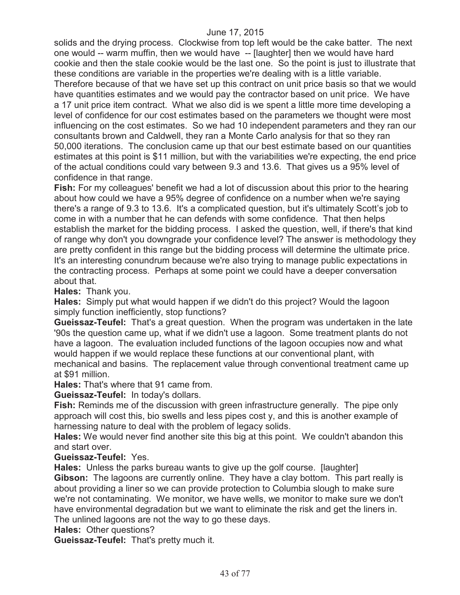solids and the drying process. Clockwise from top left would be the cake batter. The next one would -- warm muffin, then we would have -- [laughter] then we would have hard cookie and then the stale cookie would be the last one. So the point is just to illustrate that these conditions are variable in the properties we're dealing with is a little variable. Therefore because of that we have set up this contract on unit price basis so that we would have quantities estimates and we would pay the contractor based on unit price. We have a 17 unit price item contract. What we also did is we spent a little more time developing a level of confidence for our cost estimates based on the parameters we thought were most influencing on the cost estimates. So we had 10 independent parameters and they ran our consultants brown and Caldwell, they ran a Monte Carlo analysis for that so they ran 50,000 iterations. The conclusion came up that our best estimate based on our quantities estimates at this point is \$11 million, but with the variabilities we're expecting, the end price of the actual conditions could vary between 9.3 and 13.6. That gives us a 95% level of confidence in that range.

**Fish:** For my colleagues' benefit we had a lot of discussion about this prior to the hearing about how could we have a 95% degree of confidence on a number when we're saying there's a range of 9.3 to 13.6. It's a complicated question, but it's ultimately Scott's job to come in with a number that he can defends with some confidence. That then helps establish the market for the bidding process. I asked the question, well, if there's that kind of range why don't you downgrade your confidence level? The answer is methodology they are pretty confident in this range but the bidding process will determine the ultimate price. It's an interesting conundrum because we're also trying to manage public expectations in the contracting process. Perhaps at some point we could have a deeper conversation about that.

**Hales:** Thank you.

**Hales:** Simply put what would happen if we didn't do this project? Would the lagoon simply function inefficiently, stop functions?

**Gueissaz-Teufel:** That's a great question. When the program was undertaken in the late '90s the question came up, what if we didn't use a lagoon. Some treatment plants do not have a lagoon. The evaluation included functions of the lagoon occupies now and what would happen if we would replace these functions at our conventional plant, with mechanical and basins. The replacement value through conventional treatment came up at \$91 million.

**Hales:** That's where that 91 came from.

**Gueissaz-Teufel:** In today's dollars.

**Fish:** Reminds me of the discussion with green infrastructure generally. The pipe only approach will cost this, bio swells and less pipes cost y, and this is another example of harnessing nature to deal with the problem of legacy solids.

**Hales:** We would never find another site this big at this point. We couldn't abandon this and start over.

### **Gueissaz-Teufel:** Yes.

**Hales:** Unless the parks bureau wants to give up the golf course. [laughter] **Gibson:** The lagoons are currently online. They have a clay bottom. This part really is about providing a liner so we can provide protection to Columbia slough to make sure we're not contaminating. We monitor, we have wells, we monitor to make sure we don't have environmental degradation but we want to eliminate the risk and get the liners in. The unlined lagoons are not the way to go these days.

### **Hales: Other questions?**

**Gueissaz-Teufel:** That's pretty much it.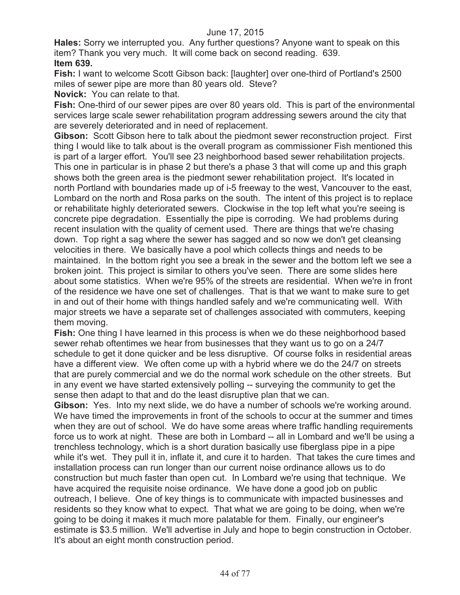**Hales:** Sorry we interrupted you. Any further questions? Anyone want to speak on this item? Thank you very much. It will come back on second reading. 639. **Item 639.**

**Fish:** I want to welcome Scott Gibson back: [laughter] over one-third of Portland's 2500 miles of sewer pipe are more than 80 years old. Steve?

**Novick:** You can relate to that.

**Fish:** One-third of our sewer pipes are over 80 years old. This is part of the environmental services large scale sewer rehabilitation program addressing sewers around the city that are severely deteriorated and in need of replacement.

**Gibson:** Scott Gibson here to talk about the piedmont sewer reconstruction project. First thing I would like to talk about is the overall program as commissioner Fish mentioned this is part of a larger effort. You'll see 23 neighborhood based sewer rehabilitation projects. This one in particular is in phase 2 but there's a phase 3 that will come up and this graph shows both the green area is the piedmont sewer rehabilitation project. It's located in north Portland with boundaries made up of i-5 freeway to the west, Vancouver to the east, Lombard on the north and Rosa parks on the south. The intent of this project is to replace or rehabilitate highly deteriorated sewers. Clockwise in the top left what you're seeing is concrete pipe degradation. Essentially the pipe is corroding. We had problems during recent insulation with the quality of cement used. There are things that we're chasing down. Top right a sag where the sewer has sagged and so now we don't get cleansing velocities in there. We basically have a pool which collects things and needs to be maintained. In the bottom right you see a break in the sewer and the bottom left we see a broken joint. This project is similar to others you've seen. There are some slides here about some statistics. When we're 95% of the streets are residential. When we're in front of the residence we have one set of challenges. That is that we want to make sure to get in and out of their home with things handled safely and we're communicating well. With major streets we have a separate set of challenges associated with commuters, keeping them moving.

**Fish:** One thing I have learned in this process is when we do these neighborhood based sewer rehab oftentimes we hear from businesses that they want us to go on a 24/7 schedule to get it done quicker and be less disruptive. Of course folks in residential areas have a different view. We often come up with a hybrid where we do the 24/7 on streets that are purely commercial and we do the normal work schedule on the other streets. But in any event we have started extensively polling -- surveying the community to get the sense then adapt to that and do the least disruptive plan that we can.

**Gibson:** Yes. Into my next slide, we do have a number of schools we're working around. We have timed the improvements in front of the schools to occur at the summer and times when they are out of school. We do have some areas where traffic handling requirements force us to work at night. These are both in Lombard -- all in Lombard and we'll be using a trenchless technology, which is a short duration basically use fiberglass pipe in a pipe while it's wet. They pull it in, inflate it, and cure it to harden. That takes the cure times and installation process can run longer than our current noise ordinance allows us to do construction but much faster than open cut. In Lombard we're using that technique. We have acquired the requisite noise ordinance. We have done a good job on public outreach, I believe. One of key things is to communicate with impacted businesses and residents so they know what to expect. That what we are going to be doing, when we're going to be doing it makes it much more palatable for them. Finally, our engineer's estimate is \$3.5 million. We'll advertise in July and hope to begin construction in October. It's about an eight month construction period.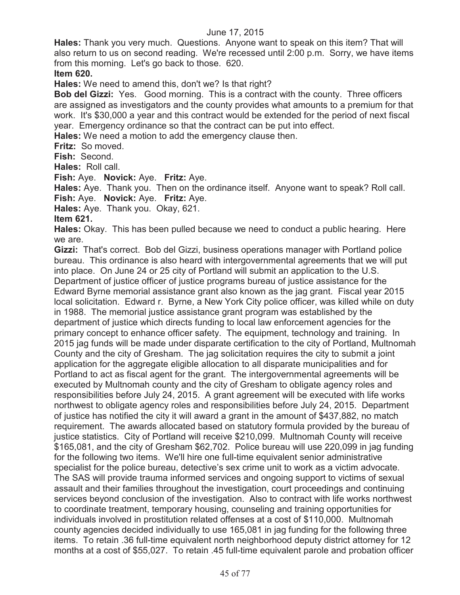**Hales:** Thank you very much. Questions. Anyone want to speak on this item? That will also return to us on second reading. We're recessed until 2:00 p.m. Sorry, we have items from this morning. Let's go back to those. 620.

#### **Item 620.**

**Hales:** We need to amend this, don't we? Is that right?

**Bob del Gizzi:** Yes. Good morning. This is a contract with the county. Three officers are assigned as investigators and the county provides what amounts to a premium for that work. It's \$30,000 a year and this contract would be extended for the period of next fiscal year. Emergency ordinance so that the contract can be put into effect.

**Hales:** We need a motion to add the emergency clause then.

**Fritz:** So moved.

**Fish:** Second.

**Hales:** Roll call.

**Fish:** Aye. **Novick:** Aye. **Fritz:** Aye.

**Hales:** Aye. Thank you. Then on the ordinance itself. Anyone want to speak? Roll call. **Fish:** Aye. **Novick:** Aye. **Fritz:** Aye.

**Hales:** Aye. Thank you. Okay, 621.

### **Item 621.**

**Hales:** Okay. This has been pulled because we need to conduct a public hearing. Here we are.

**Gizzi:** That's correct. Bob del Gizzi, business operations manager with Portland police bureau. This ordinance is also heard with intergovernmental agreements that we will put into place. On June 24 or 25 city of Portland will submit an application to the U.S. Department of justice officer of justice programs bureau of justice assistance for the Edward Byrne memorial assistance grant also known as the jag grant. Fiscal year 2015 local solicitation. Edward r. Byrne, a New York City police officer, was killed while on duty in 1988. The memorial justice assistance grant program was established by the department of justice which directs funding to local law enforcement agencies for the primary concept to enhance officer safety. The equipment, technology and training. In 2015 jag funds will be made under disparate certification to the city of Portland, Multnomah County and the city of Gresham. The jag solicitation requires the city to submit a joint application for the aggregate eligible allocation to all disparate municipalities and for Portland to act as fiscal agent for the grant. The intergovernmental agreements will be executed by Multnomah county and the city of Gresham to obligate agency roles and responsibilities before July 24, 2015. A grant agreement will be executed with life works northwest to obligate agency roles and responsibilities before July 24, 2015. Department of justice has notified the city it will award a grant in the amount of \$437,882, no match requirement. The awards allocated based on statutory formula provided by the bureau of justice statistics. City of Portland will receive \$210,099. Multnomah County will receive \$165,081, and the city of Gresham \$62,702. Police bureau will use 220,099 in jag funding for the following two items. We'll hire one full-time equivalent senior administrative specialist for the police bureau, detective's sex crime unit to work as a victim advocate. The SAS will provide trauma informed services and ongoing support to victims of sexual assault and their families throughout the investigation, court proceedings and continuing services beyond conclusion of the investigation. Also to contract with life works northwest to coordinate treatment, temporary housing, counseling and training opportunities for individuals involved in prostitution related offenses at a cost of \$110,000. Multnomah county agencies decided individually to use 165,081 in jag funding for the following three items. To retain .36 full-time equivalent north neighborhood deputy district attorney for 12 months at a cost of \$55,027. To retain .45 full-time equivalent parole and probation officer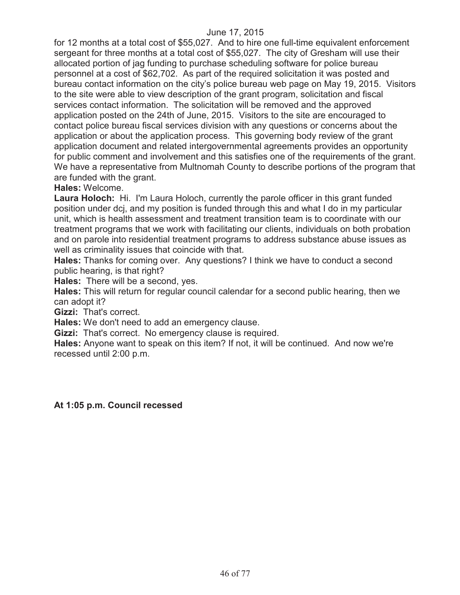for 12 months at a total cost of \$55,027. And to hire one full-time equivalent enforcement sergeant for three months at a total cost of \$55,027. The city of Gresham will use their allocated portion of jag funding to purchase scheduling software for police bureau personnel at a cost of \$62,702. As part of the required solicitation it was posted and bureau contact information on the city's police bureau web page on May 19, 2015. Visitors to the site were able to view description of the grant program, solicitation and fiscal services contact information. The solicitation will be removed and the approved application posted on the 24th of June, 2015. Visitors to the site are encouraged to contact police bureau fiscal services division with any questions or concerns about the application or about the application process. This governing body review of the grant application document and related intergovernmental agreements provides an opportunity for public comment and involvement and this satisfies one of the requirements of the grant. We have a representative from Multnomah County to describe portions of the program that are funded with the grant.

### **Hales:** Welcome.

**Laura Holoch:** Hi. I'm Laura Holoch, currently the parole officer in this grant funded position under dcj, and my position is funded through this and what I do in my particular unit, which is health assessment and treatment transition team is to coordinate with our treatment programs that we work with facilitating our clients, individuals on both probation and on parole into residential treatment programs to address substance abuse issues as well as criminality issues that coincide with that.

**Hales:** Thanks for coming over. Any questions? I think we have to conduct a second public hearing, is that right?

**Hales:** There will be a second, yes.

**Hales:** This will return for regular council calendar for a second public hearing, then we can adopt it?

**Gizzi:** That's correct.

**Hales:** We don't need to add an emergency clause.

**Gizzi:** That's correct. No emergency clause is required.

**Hales:** Anyone want to speak on this item? If not, it will be continued. And now we're recessed until 2:00 p.m.

**At 1:05 p.m. Council recessed**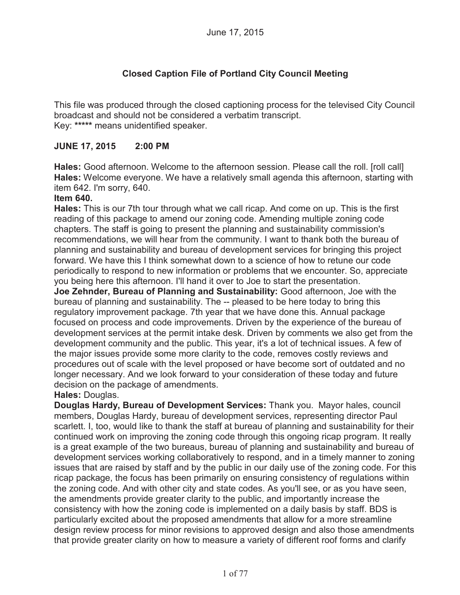# **Closed Caption File of Portland City Council Meeting**

This file was produced through the closed captioning process for the televised City Council broadcast and should not be considered a verbatim transcript. Key: **\*\*\*\*\*** means unidentified speaker.

## **JUNE 17, 2015 2:00 PM**

**Hales:** Good afternoon. Welcome to the afternoon session. Please call the roll. [roll call] **Hales:** Welcome everyone. We have a relatively small agenda this afternoon, starting with item 642. I'm sorry, 640.

### **Item 640.**

**Hales:** This is our 7th tour through what we call ricap. And come on up. This is the first reading of this package to amend our zoning code. Amending multiple zoning code chapters. The staff is going to present the planning and sustainability commission's recommendations, we will hear from the community. I want to thank both the bureau of planning and sustainability and bureau of development services for bringing this project forward. We have this I think somewhat down to a science of how to retune our code periodically to respond to new information or problems that we encounter. So, appreciate you being here this afternoon. I'll hand it over to Joe to start the presentation.

**Joe Zehnder, Bureau of Planning and Sustainability:** Good afternoon, Joe with the bureau of planning and sustainability. The -- pleased to be here today to bring this regulatory improvement package. 7th year that we have done this. Annual package focused on process and code improvements. Driven by the experience of the bureau of development services at the permit intake desk. Driven by comments we also get from the development community and the public. This year, it's a lot of technical issues. A few of the major issues provide some more clarity to the code, removes costly reviews and procedures out of scale with the level proposed or have become sort of outdated and no longer necessary. And we look forward to your consideration of these today and future decision on the package of amendments.

### **Hales:** Douglas.

**Douglas Hardy, Bureau of Development Services:** Thank you. Mayor hales, council members, Douglas Hardy, bureau of development services, representing director Paul scarlett. I, too, would like to thank the staff at bureau of planning and sustainability for their continued work on improving the zoning code through this ongoing ricap program. It really is a great example of the two bureaus, bureau of planning and sustainability and bureau of development services working collaboratively to respond, and in a timely manner to zoning issues that are raised by staff and by the public in our daily use of the zoning code. For this ricap package, the focus has been primarily on ensuring consistency of regulations within the zoning code. And with other city and state codes. As you'll see, or as you have seen, the amendments provide greater clarity to the public, and importantly increase the consistency with how the zoning code is implemented on a daily basis by staff. BDS is particularly excited about the proposed amendments that allow for a more streamline design review process for minor revisions to approved design and also those amendments that provide greater clarity on how to measure a variety of different roof forms and clarify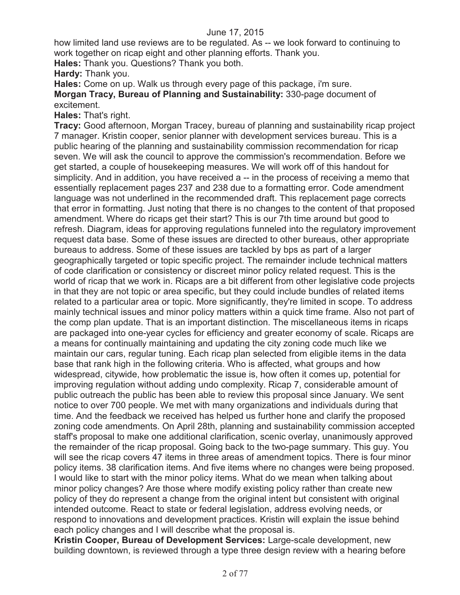how limited land use reviews are to be regulated. As -- we look forward to continuing to work together on ricap eight and other planning efforts. Thank you.

**Hales:** Thank you. Questions? Thank you both.

**Hardy:** Thank you.

**Hales:** Come on up. Walk us through every page of this package, i'm sure. **Morgan Tracy, Bureau of Planning and Sustainability:** 330-page document of excitement.

**Hales:** That's right.

**Tracy:** Good afternoon, Morgan Tracey, bureau of planning and sustainability ricap project 7 manager. Kristin cooper, senior planner with development services bureau. This is a public hearing of the planning and sustainability commission recommendation for ricap seven. We will ask the council to approve the commission's recommendation. Before we get started, a couple of housekeeping measures. We will work off of this handout for simplicity. And in addition, you have received a -- in the process of receiving a memo that essentially replacement pages 237 and 238 due to a formatting error. Code amendment language was not underlined in the recommended draft. This replacement page corrects that error in formatting. Just noting that there is no changes to the content of that proposed amendment. Where do ricaps get their start? This is our 7th time around but good to refresh. Diagram, ideas for approving regulations funneled into the regulatory improvement request data base. Some of these issues are directed to other bureaus, other appropriate bureaus to address. Some of these issues are tackled by bps as part of a larger geographically targeted or topic specific project. The remainder include technical matters of code clarification or consistency or discreet minor policy related request. This is the world of ricap that we work in. Ricaps are a bit different from other legislative code projects in that they are not topic or area specific, but they could include bundles of related items related to a particular area or topic. More significantly, they're limited in scope. To address mainly technical issues and minor policy matters within a quick time frame. Also not part of the comp plan update. That is an important distinction. The miscellaneous items in ricaps are packaged into one-year cycles for efficiency and greater economy of scale. Ricaps are a means for continually maintaining and updating the city zoning code much like we maintain our cars, regular tuning. Each ricap plan selected from eligible items in the data base that rank high in the following criteria. Who is affected, what groups and how widespread, citywide, how problematic the issue is, how often it comes up, potential for improving regulation without adding undo complexity. Ricap 7, considerable amount of public outreach the public has been able to review this proposal since January. We sent notice to over 700 people. We met with many organizations and individuals during that time. And the feedback we received has helped us further hone and clarify the proposed zoning code amendments. On April 28th, planning and sustainability commission accepted staff's proposal to make one additional clarification, scenic overlay, unanimously approved the remainder of the ricap proposal. Going back to the two-page summary. This guy. You will see the ricap covers 47 items in three areas of amendment topics. There is four minor policy items. 38 clarification items. And five items where no changes were being proposed. I would like to start with the minor policy items. What do we mean when talking about minor policy changes? Are those where modify existing policy rather than create new policy of they do represent a change from the original intent but consistent with original intended outcome. React to state or federal legislation, address evolving needs, or respond to innovations and development practices. Kristin will explain the issue behind each policy changes and I will describe what the proposal is.

**Kristin Cooper, Bureau of Development Services:** Large-scale development, new building downtown, is reviewed through a type three design review with a hearing before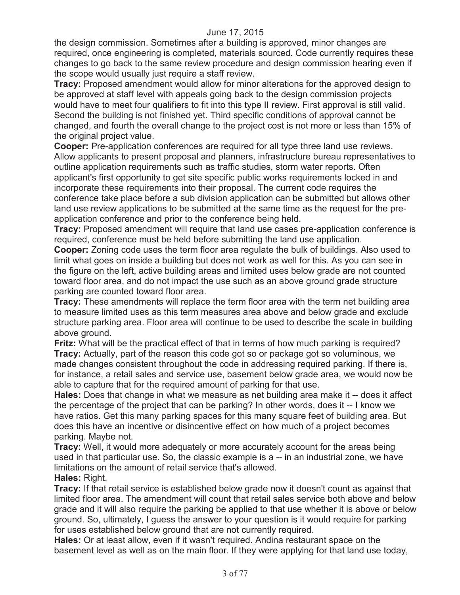the design commission. Sometimes after a building is approved, minor changes are required, once engineering is completed, materials sourced. Code currently requires these changes to go back to the same review procedure and design commission hearing even if the scope would usually just require a staff review.

**Tracy:** Proposed amendment would allow for minor alterations for the approved design to be approved at staff level with appeals going back to the design commission projects would have to meet four qualifiers to fit into this type II review. First approval is still valid. Second the building is not finished yet. Third specific conditions of approval cannot be changed, and fourth the overall change to the project cost is not more or less than 15% of the original project value.

**Cooper:** Pre-application conferences are required for all type three land use reviews. Allow applicants to present proposal and planners, infrastructure bureau representatives to outline application requirements such as traffic studies, storm water reports. Often applicant's first opportunity to get site specific public works requirements locked in and incorporate these requirements into their proposal. The current code requires the conference take place before a sub division application can be submitted but allows other land use review applications to be submitted at the same time as the request for the preapplication conference and prior to the conference being held.

**Tracy:** Proposed amendment will require that land use cases pre-application conference is required, conference must be held before submitting the land use application.

**Cooper:** Zoning code uses the term floor area regulate the bulk of buildings. Also used to limit what goes on inside a building but does not work as well for this. As you can see in the figure on the left, active building areas and limited uses below grade are not counted toward floor area, and do not impact the use such as an above ground grade structure parking are counted toward floor area.

**Tracy:** These amendments will replace the term floor area with the term net building area to measure limited uses as this term measures area above and below grade and exclude structure parking area. Floor area will continue to be used to describe the scale in building above ground.

**Fritz:** What will be the practical effect of that in terms of how much parking is required? **Tracy:** Actually, part of the reason this code got so or package got so voluminous, we made changes consistent throughout the code in addressing required parking. If there is, for instance, a retail sales and service use, basement below grade area, we would now be able to capture that for the required amount of parking for that use.

**Hales:** Does that change in what we measure as net building area make it -- does it affect the percentage of the project that can be parking? In other words, does it -- I know we have ratios. Get this many parking spaces for this many square feet of building area. But does this have an incentive or disincentive effect on how much of a project becomes parking. Maybe not.

**Tracy:** Well, it would more adequately or more accurately account for the areas being used in that particular use. So, the classic example is a -- in an industrial zone, we have limitations on the amount of retail service that's allowed. **Hales:** Right.

**Tracy:** If that retail service is established below grade now it doesn't count as against that limited floor area. The amendment will count that retail sales service both above and below grade and it will also require the parking be applied to that use whether it is above or below ground. So, ultimately, I guess the answer to your question is it would require for parking for uses established below ground that are not currently required.

**Hales:** Or at least allow, even if it wasn't required. Andina restaurant space on the basement level as well as on the main floor. If they were applying for that land use today,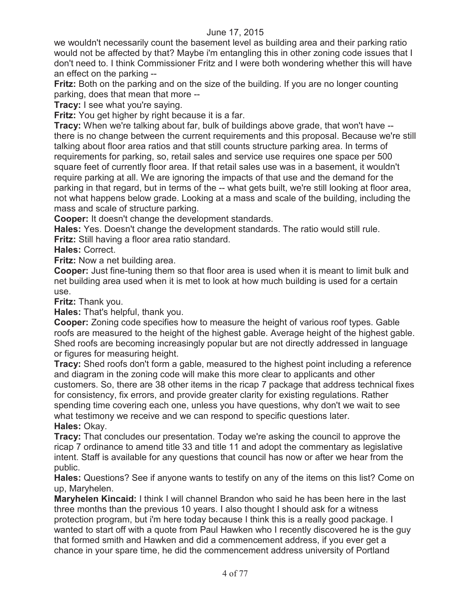we wouldn't necessarily count the basement level as building area and their parking ratio would not be affected by that? Maybe i'm entangling this in other zoning code issues that I don't need to. I think Commissioner Fritz and I were both wondering whether this will have an effect on the parking --

**Fritz:** Both on the parking and on the size of the building. If you are no longer counting parking, does that mean that more --

**Tracy:** I see what you're saying.

**Fritz:** You get higher by right because it is a far.

**Tracy:** When we're talking about far, bulk of buildings above grade, that won't have - there is no change between the current requirements and this proposal. Because we're still talking about floor area ratios and that still counts structure parking area. In terms of requirements for parking, so, retail sales and service use requires one space per 500 square feet of currently floor area. If that retail sales use was in a basement, it wouldn't require parking at all. We are ignoring the impacts of that use and the demand for the parking in that regard, but in terms of the -- what gets built, we're still looking at floor area, not what happens below grade. Looking at a mass and scale of the building, including the mass and scale of structure parking.

**Cooper:** It doesn't change the development standards.

**Hales:** Yes. Doesn't change the development standards. The ratio would still rule.

**Fritz:** Still having a floor area ratio standard.

**Hales:** Correct.

**Fritz:** Now a net building area.

**Cooper:** Just fine-tuning them so that floor area is used when it is meant to limit bulk and net building area used when it is met to look at how much building is used for a certain use.

**Fritz:** Thank you.

**Hales:** That's helpful, thank you.

**Cooper:** Zoning code specifies how to measure the height of various roof types. Gable roofs are measured to the height of the highest gable. Average height of the highest gable. Shed roofs are becoming increasingly popular but are not directly addressed in language or figures for measuring height.

**Tracy:** Shed roofs don't form a gable, measured to the highest point including a reference and diagram in the zoning code will make this more clear to applicants and other customers. So, there are 38 other items in the ricap 7 package that address technical fixes for consistency, fix errors, and provide greater clarity for existing regulations. Rather spending time covering each one, unless you have questions, why don't we wait to see what testimony we receive and we can respond to specific questions later. **Hales:** Okay.

**Tracy:** That concludes our presentation. Today we're asking the council to approve the ricap 7 ordinance to amend title 33 and title 11 and adopt the commentary as legislative intent. Staff is available for any questions that council has now or after we hear from the public.

**Hales:** Questions? See if anyone wants to testify on any of the items on this list? Come on up, Maryhelen.

**Maryhelen Kincaid:** I think I will channel Brandon who said he has been here in the last three months than the previous 10 years. I also thought I should ask for a witness protection program, but i'm here today because I think this is a really good package. I wanted to start off with a quote from Paul Hawken who I recently discovered he is the guy that formed smith and Hawken and did a commencement address, if you ever get a chance in your spare time, he did the commencement address university of Portland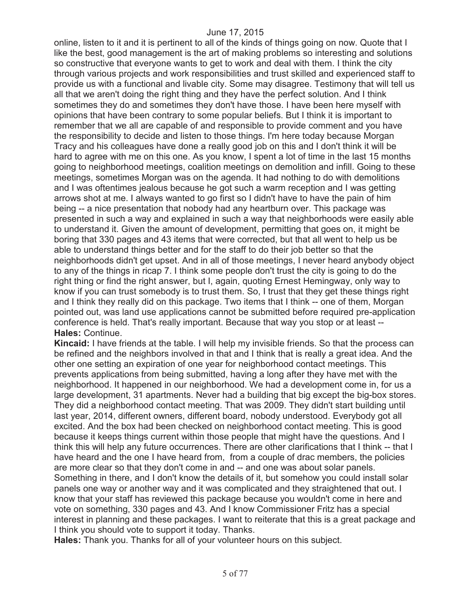online, listen to it and it is pertinent to all of the kinds of things going on now. Quote that I like the best, good management is the art of making problems so interesting and solutions so constructive that everyone wants to get to work and deal with them. I think the city through various projects and work responsibilities and trust skilled and experienced staff to provide us with a functional and livable city. Some may disagree. Testimony that will tell us all that we aren't doing the right thing and they have the perfect solution. And I think sometimes they do and sometimes they don't have those. I have been here myself with opinions that have been contrary to some popular beliefs. But I think it is important to remember that we all are capable of and responsible to provide comment and you have the responsibility to decide and listen to those things. I'm here today because Morgan Tracy and his colleagues have done a really good job on this and I don't think it will be hard to agree with me on this one. As you know, I spent a lot of time in the last 15 months going to neighborhood meetings, coalition meetings on demolition and infill. Going to these meetings, sometimes Morgan was on the agenda. It had nothing to do with demolitions and I was oftentimes jealous because he got such a warm reception and I was getting arrows shot at me. I always wanted to go first so I didn't have to have the pain of him being -- a nice presentation that nobody had any heartburn over. This package was presented in such a way and explained in such a way that neighborhoods were easily able to understand it. Given the amount of development, permitting that goes on, it might be boring that 330 pages and 43 items that were corrected, but that all went to help us be able to understand things better and for the staff to do their job better so that the neighborhoods didn't get upset. And in all of those meetings, I never heard anybody object to any of the things in ricap 7. I think some people don't trust the city is going to do the right thing or find the right answer, but I, again, quoting Ernest Hemingway, only way to know if you can trust somebody is to trust them. So, I trust that they get these things right and I think they really did on this package. Two items that I think -- one of them, Morgan pointed out, was land use applications cannot be submitted before required pre-application conference is held. That's really important. Because that way you stop or at least -- **Hales:** Continue.

**Kincaid:** I have friends at the table. I will help my invisible friends. So that the process can be refined and the neighbors involved in that and I think that is really a great idea. And the other one setting an expiration of one year for neighborhood contact meetings. This prevents applications from being submitted, having a long after they have met with the neighborhood. It happened in our neighborhood. We had a development come in, for us a large development, 31 apartments. Never had a building that big except the big-box stores. They did a neighborhood contact meeting. That was 2009. They didn't start building until last year, 2014, different owners, different board, nobody understood. Everybody got all excited. And the box had been checked on neighborhood contact meeting. This is good because it keeps things current within those people that might have the questions. And I think this will help any future occurrences. There are other clarifications that I think -- that I have heard and the one I have heard from, from a couple of drac members, the policies are more clear so that they don't come in and -- and one was about solar panels. Something in there, and I don't know the details of it, but somehow you could install solar panels one way or another way and it was complicated and they straightened that out. I know that your staff has reviewed this package because you wouldn't come in here and vote on something, 330 pages and 43. And I know Commissioner Fritz has a special interest in planning and these packages. I want to reiterate that this is a great package and I think you should vote to support it today. Thanks.

**Hales:** Thank you. Thanks for all of your volunteer hours on this subject.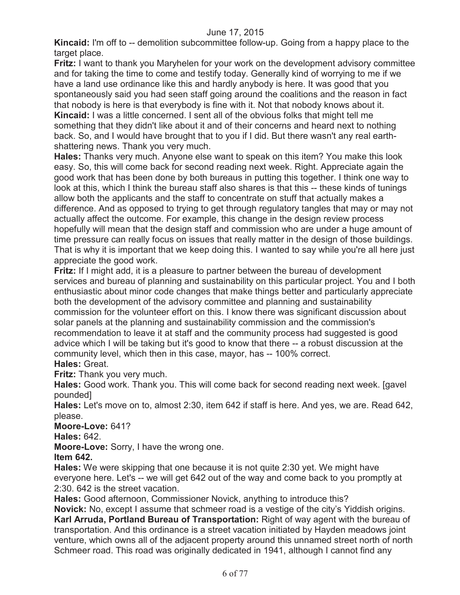**Kincaid:** I'm off to -- demolition subcommittee follow-up. Going from a happy place to the target place.

**Fritz:** I want to thank you Maryhelen for your work on the development advisory committee and for taking the time to come and testify today. Generally kind of worrying to me if we have a land use ordinance like this and hardly anybody is here. It was good that you spontaneously said you had seen staff going around the coalitions and the reason in fact that nobody is here is that everybody is fine with it. Not that nobody knows about it. **Kincaid:** I was a little concerned. I sent all of the obvious folks that might tell me something that they didn't like about it and of their concerns and heard next to nothing back. So, and I would have brought that to you if I did. But there wasn't any real earthshattering news. Thank you very much.

**Hales:** Thanks very much. Anyone else want to speak on this item? You make this look easy. So, this will come back for second reading next week. Right. Appreciate again the good work that has been done by both bureaus in putting this together. I think one way to look at this, which I think the bureau staff also shares is that this -- these kinds of tunings allow both the applicants and the staff to concentrate on stuff that actually makes a difference. And as opposed to trying to get through regulatory tangles that may or may not actually affect the outcome. For example, this change in the design review process hopefully will mean that the design staff and commission who are under a huge amount of time pressure can really focus on issues that really matter in the design of those buildings. That is why it is important that we keep doing this. I wanted to say while you're all here just appreciate the good work.

**Fritz:** If I might add, it is a pleasure to partner between the bureau of development services and bureau of planning and sustainability on this particular project. You and I both enthusiastic about minor code changes that make things better and particularly appreciate both the development of the advisory committee and planning and sustainability commission for the volunteer effort on this. I know there was significant discussion about solar panels at the planning and sustainability commission and the commission's recommendation to leave it at staff and the community process had suggested is good advice which I will be taking but it's good to know that there -- a robust discussion at the community level, which then in this case, mayor, has -- 100% correct.

## **Hales:** Great.

**Fritz:** Thank you very much.

**Hales:** Good work. Thank you. This will come back for second reading next week. [gavel pounded]

**Hales:** Let's move on to, almost 2:30, item 642 if staff is here. And yes, we are. Read 642, please.

**Moore-Love:** 641?

**Hales:** 642.

**Moore-Love:** Sorry, I have the wrong one.

**Item 642.**

**Hales:** We were skipping that one because it is not quite 2:30 yet. We might have everyone here. Let's -- we will get 642 out of the way and come back to you promptly at 2:30. 642 is the street vacation.

**Hales:** Good afternoon, Commissioner Novick, anything to introduce this?

**Novick:** No, except I assume that schmeer road is a vestige of the city's Yiddish origins. **Karl Arruda, Portland Bureau of Transportation:** Right of way agent with the bureau of transportation. And this ordinance is a street vacation initiated by Hayden meadows joint venture, which owns all of the adjacent property around this unnamed street north of north Schmeer road. This road was originally dedicated in 1941, although I cannot find any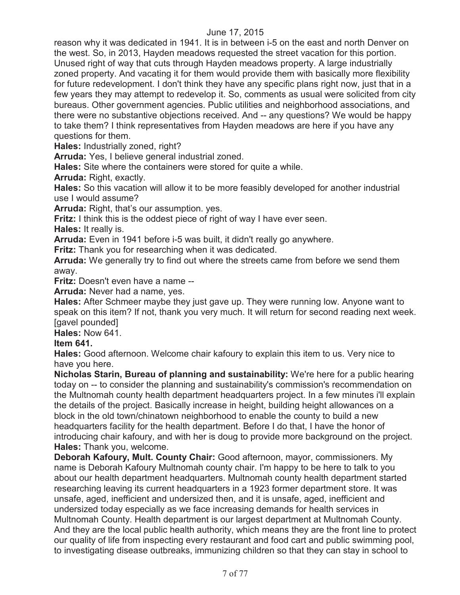reason why it was dedicated in 1941. It is in between i-5 on the east and north Denver on the west. So, in 2013, Hayden meadows requested the street vacation for this portion. Unused right of way that cuts through Hayden meadows property. A large industrially zoned property. And vacating it for them would provide them with basically more flexibility for future redevelopment. I don't think they have any specific plans right now, just that in a few years they may attempt to redevelop it. So, comments as usual were solicited from city bureaus. Other government agencies. Public utilities and neighborhood associations, and there were no substantive objections received. And -- any questions? We would be happy to take them? I think representatives from Hayden meadows are here if you have any questions for them.

**Hales:** Industrially zoned, right?

**Arruda:** Yes, I believe general industrial zoned.

**Hales:** Site where the containers were stored for quite a while.

**Arruda:** Right, exactly.

**Hales:** So this vacation will allow it to be more feasibly developed for another industrial use I would assume?

**Arruda:** Right, that's our assumption. yes.

**Fritz:** I think this is the oddest piece of right of way I have ever seen.

**Hales:** It really is.

**Arruda:** Even in 1941 before i-5 was built, it didn't really go anywhere.

**Fritz:** Thank you for researching when it was dedicated.

**Arruda:** We generally try to find out where the streets came from before we send them away.

**Fritz:** Doesn't even have a name --

**Arruda:** Never had a name, yes.

**Hales:** After Schmeer maybe they just gave up. They were running low. Anyone want to speak on this item? If not, thank you very much. It will return for second reading next week. [gavel pounded]

**Hales:** Now 641.

## **Item 641.**

**Hales:** Good afternoon. Welcome chair kafoury to explain this item to us. Very nice to have you here.

**Nicholas Starin, Bureau of planning and sustainability:** We're here for a public hearing today on -- to consider the planning and sustainability's commission's recommendation on the Multnomah county health department headquarters project. In a few minutes i'll explain the details of the project. Basically increase in height, building height allowances on a block in the old town/chinatown neighborhood to enable the county to build a new headquarters facility for the health department. Before I do that, I have the honor of introducing chair kafoury, and with her is doug to provide more background on the project. **Hales:** Thank you, welcome.

**Deborah Kafoury, Mult. County Chair:** Good afternoon, mayor, commissioners. My name is Deborah Kafoury Multnomah county chair. I'm happy to be here to talk to you about our health department headquarters. Multnomah county health department started researching leaving its current headquarters in a 1923 former department store. It was unsafe, aged, inefficient and undersized then, and it is unsafe, aged, inefficient and undersized today especially as we face increasing demands for health services in Multnomah County. Health department is our largest department at Multnomah County. And they are the local public health authority, which means they are the front line to protect our quality of life from inspecting every restaurant and food cart and public swimming pool, to investigating disease outbreaks, immunizing children so that they can stay in school to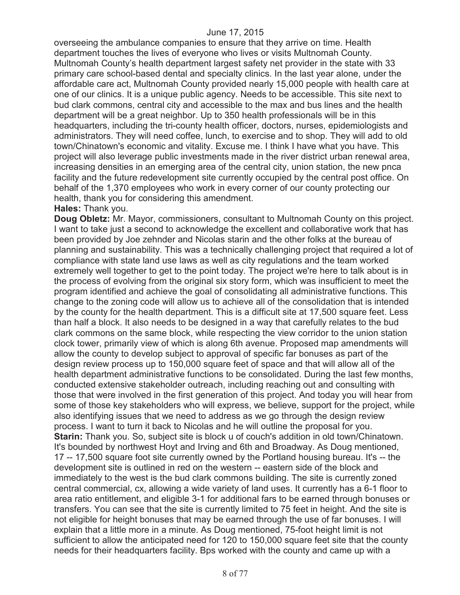overseeing the ambulance companies to ensure that they arrive on time. Health department touches the lives of everyone who lives or visits Multnomah County. Multnomah County's health department largest safety net provider in the state with 33 primary care school-based dental and specialty clinics. In the last year alone, under the affordable care act, Multnomah County provided nearly 15,000 people with health care at one of our clinics. It is a unique public agency. Needs to be accessible. This site next to bud clark commons, central city and accessible to the max and bus lines and the health department will be a great neighbor. Up to 350 health professionals will be in this headquarters, including the tri-county health officer, doctors, nurses, epidemiologists and administrators. They will need coffee, lunch, to exercise and to shop. They will add to old town/Chinatown's economic and vitality. Excuse me. I think I have what you have. This project will also leverage public investments made in the river district urban renewal area, increasing densities in an emerging area of the central city, union station, the new pnca facility and the future redevelopment site currently occupied by the central post office. On behalf of the 1,370 employees who work in every corner of our county protecting our health, thank you for considering this amendment.

#### **Hales:** Thank you.

**Doug Obletz:** Mr. Mayor, commissioners, consultant to Multnomah County on this project. I want to take just a second to acknowledge the excellent and collaborative work that has been provided by Joe zehnder and Nicolas starin and the other folks at the bureau of planning and sustainability. This was a technically challenging project that required a lot of compliance with state land use laws as well as city regulations and the team worked extremely well together to get to the point today. The project we're here to talk about is in the process of evolving from the original six story form, which was insufficient to meet the program identified and achieve the goal of consolidating all administrative functions. This change to the zoning code will allow us to achieve all of the consolidation that is intended by the county for the health department. This is a difficult site at 17,500 square feet. Less than half a block. It also needs to be designed in a way that carefully relates to the bud clark commons on the same block, while respecting the view corridor to the union station clock tower, primarily view of which is along 6th avenue. Proposed map amendments will allow the county to develop subject to approval of specific far bonuses as part of the design review process up to 150,000 square feet of space and that will allow all of the health department administrative functions to be consolidated. During the last few months, conducted extensive stakeholder outreach, including reaching out and consulting with those that were involved in the first generation of this project. And today you will hear from some of those key stakeholders who will express, we believe, support for the project, while also identifying issues that we need to address as we go through the design review process. I want to turn it back to Nicolas and he will outline the proposal for you. **Starin:** Thank you. So, subject site is block u of couch's addition in old town/Chinatown. It's bounded by northwest Hoyt and Irving and 6th and Broadway. As Doug mentioned, 17 -- 17,500 square foot site currently owned by the Portland housing bureau. It's -- the development site is outlined in red on the western -- eastern side of the block and immediately to the west is the bud clark commons building. The site is currently zoned central commercial, cx, allowing a wide variety of land uses. It currently has a 6-1 floor to area ratio entitlement, and eligible 3-1 for additional fars to be earned through bonuses or transfers. You can see that the site is currently limited to 75 feet in height. And the site is not eligible for height bonuses that may be earned through the use of far bonuses. I will explain that a little more in a minute. As Doug mentioned, 75-foot height limit is not sufficient to allow the anticipated need for 120 to 150,000 square feet site that the county needs for their headquarters facility. Bps worked with the county and came up with a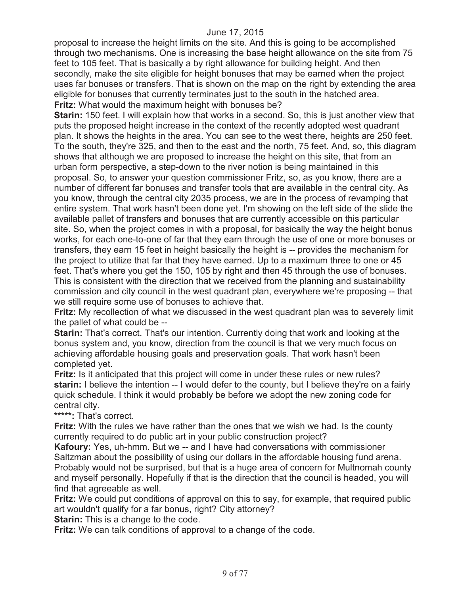proposal to increase the height limits on the site. And this is going to be accomplished through two mechanisms. One is increasing the base height allowance on the site from 75 feet to 105 feet. That is basically a by right allowance for building height. And then secondly, make the site eligible for height bonuses that may be earned when the project uses far bonuses or transfers. That is shown on the map on the right by extending the area eligible for bonuses that currently terminates just to the south in the hatched area. **Fritz:** What would the maximum height with bonuses be?

**Starin:** 150 feet. I will explain how that works in a second. So, this is just another view that puts the proposed height increase in the context of the recently adopted west quadrant plan. It shows the heights in the area. You can see to the west there, heights are 250 feet. To the south, they're 325, and then to the east and the north, 75 feet. And, so, this diagram shows that although we are proposed to increase the height on this site, that from an urban form perspective, a step-down to the river notion is being maintained in this proposal. So, to answer your question commissioner Fritz, so, as you know, there are a number of different far bonuses and transfer tools that are available in the central city. As you know, through the central city 2035 process, we are in the process of revamping that entire system. That work hasn't been done yet. I'm showing on the left side of the slide the available pallet of transfers and bonuses that are currently accessible on this particular site. So, when the project comes in with a proposal, for basically the way the height bonus works, for each one-to-one of far that they earn through the use of one or more bonuses or transfers, they earn 15 feet in height basically the height is -- provides the mechanism for the project to utilize that far that they have earned. Up to a maximum three to one or 45 feet. That's where you get the 150, 105 by right and then 45 through the use of bonuses. This is consistent with the direction that we received from the planning and sustainability commission and city council in the west quadrant plan, everywhere we're proposing -- that we still require some use of bonuses to achieve that.

**Fritz:** My recollection of what we discussed in the west quadrant plan was to severely limit the pallet of what could be --

**Starin:** That's correct. That's our intention. Currently doing that work and looking at the bonus system and, you know, direction from the council is that we very much focus on achieving affordable housing goals and preservation goals. That work hasn't been completed yet.

**Fritz:** Is it anticipated that this project will come in under these rules or new rules? **starin:** I believe the intention -- I would defer to the county, but I believe they're on a fairly quick schedule. I think it would probably be before we adopt the new zoning code for central city.

**\*\*\*\*\*:** That's correct.

**Fritz:** With the rules we have rather than the ones that we wish we had. Is the county currently required to do public art in your public construction project?

**Kafoury:** Yes, uh-hmm. But we -- and I have had conversations with commissioner Saltzman about the possibility of using our dollars in the affordable housing fund arena. Probably would not be surprised, but that is a huge area of concern for Multnomah county and myself personally. Hopefully if that is the direction that the council is headed, you will find that agreeable as well.

**Fritz:** We could put conditions of approval on this to say, for example, that required public art wouldn't qualify for a far bonus, right? City attorney?

**Starin:** This is a change to the code.

**Fritz:** We can talk conditions of approval to a change of the code.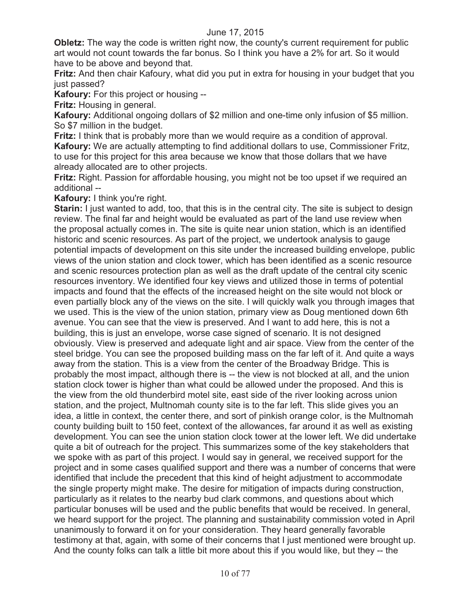**Obletz:** The way the code is written right now, the county's current requirement for public art would not count towards the far bonus. So I think you have a 2% for art. So it would have to be above and beyond that.

**Fritz:** And then chair Kafoury, what did you put in extra for housing in your budget that you just passed?

**Kafoury:** For this project or housing --

**Fritz:** Housing in general.

**Kafoury:** Additional ongoing dollars of \$2 million and one-time only infusion of \$5 million. So \$7 million in the budget.

**Fritz:** I think that is probably more than we would require as a condition of approval. **Kafoury:** We are actually attempting to find additional dollars to use, Commissioner Fritz, to use for this project for this area because we know that those dollars that we have already allocated are to other projects.

**Fritz:** Right. Passion for affordable housing, you might not be too upset if we required an additional --

**Kafoury:** I think you're right.

**Starin:** I just wanted to add, too, that this is in the central city. The site is subject to design review. The final far and height would be evaluated as part of the land use review when the proposal actually comes in. The site is quite near union station, which is an identified historic and scenic resources. As part of the project, we undertook analysis to gauge potential impacts of development on this site under the increased building envelope, public views of the union station and clock tower, which has been identified as a scenic resource and scenic resources protection plan as well as the draft update of the central city scenic resources inventory. We identified four key views and utilized those in terms of potential impacts and found that the effects of the increased height on the site would not block or even partially block any of the views on the site. I will quickly walk you through images that we used. This is the view of the union station, primary view as Doug mentioned down 6th avenue. You can see that the view is preserved. And I want to add here, this is not a building, this is just an envelope, worse case signed of scenario. It is not designed obviously. View is preserved and adequate light and air space. View from the center of the steel bridge. You can see the proposed building mass on the far left of it. And quite a ways away from the station. This is a view from the center of the Broadway Bridge. This is probably the most impact, although there is -- the view is not blocked at all, and the union station clock tower is higher than what could be allowed under the proposed. And this is the view from the old thunderbird motel site, east side of the river looking across union station, and the project, Multnomah county site is to the far left. This slide gives you an idea, a little in context, the center there, and sort of pinkish orange color, is the Multnomah county building built to 150 feet, context of the allowances, far around it as well as existing development. You can see the union station clock tower at the lower left. We did undertake quite a bit of outreach for the project. This summarizes some of the key stakeholders that we spoke with as part of this project. I would say in general, we received support for the project and in some cases qualified support and there was a number of concerns that were identified that include the precedent that this kind of height adjustment to accommodate the single property might make. The desire for mitigation of impacts during construction, particularly as it relates to the nearby bud clark commons, and questions about which particular bonuses will be used and the public benefits that would be received. In general, we heard support for the project. The planning and sustainability commission voted in April unanimously to forward it on for your consideration. They heard generally favorable testimony at that, again, with some of their concerns that I just mentioned were brought up. And the county folks can talk a little bit more about this if you would like, but they -- the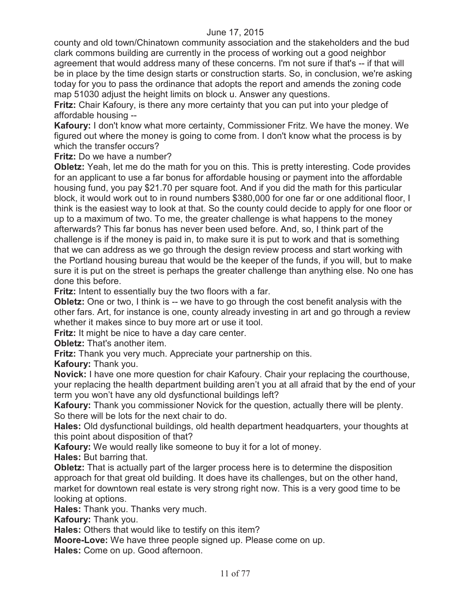county and old town/Chinatown community association and the stakeholders and the bud clark commons building are currently in the process of working out a good neighbor agreement that would address many of these concerns. I'm not sure if that's -- if that will be in place by the time design starts or construction starts. So, in conclusion, we're asking today for you to pass the ordinance that adopts the report and amends the zoning code map 51030 adjust the height limits on block u. Answer any questions.

**Fritz:** Chair Kafoury, is there any more certainty that you can put into your pledge of affordable housing --

**Kafoury:** I don't know what more certainty, Commissioner Fritz. We have the money. We figured out where the money is going to come from. I don't know what the process is by which the transfer occurs?

**Fritz:** Do we have a number?

**Obletz:** Yeah, let me do the math for you on this. This is pretty interesting. Code provides for an applicant to use a far bonus for affordable housing or payment into the affordable housing fund, you pay \$21.70 per square foot. And if you did the math for this particular block, it would work out to in round numbers \$380,000 for one far or one additional floor, I think is the easiest way to look at that. So the county could decide to apply for one floor or up to a maximum of two. To me, the greater challenge is what happens to the money afterwards? This far bonus has never been used before. And, so, I think part of the challenge is if the money is paid in, to make sure it is put to work and that is something that we can address as we go through the design review process and start working with the Portland housing bureau that would be the keeper of the funds, if you will, but to make sure it is put on the street is perhaps the greater challenge than anything else. No one has done this before.

**Fritz:** Intent to essentially buy the two floors with a far.

**Obletz:** One or two, I think is -- we have to go through the cost benefit analysis with the other fars. Art, for instance is one, county already investing in art and go through a review whether it makes since to buy more art or use it tool.

**Fritz:** It might be nice to have a day care center.

**Obletz:** That's another item.

**Fritz:** Thank you very much. Appreciate your partnership on this.

**Kafoury:** Thank you.

**Novick:** I have one more question for chair Kafoury. Chair your replacing the courthouse, your replacing the health department building aren't you at all afraid that by the end of your term you won't have any old dysfunctional buildings left?

**Kafoury:** Thank you commissioner Novick for the question, actually there will be plenty. So there will be lots for the next chair to do.

**Hales:** Old dysfunctional buildings, old health department headquarters, your thoughts at this point about disposition of that?

**Kafoury:** We would really like someone to buy it for a lot of money.

**Hales:** But barring that.

**Obletz:** That is actually part of the larger process here is to determine the disposition approach for that great old building. It does have its challenges, but on the other hand, market for downtown real estate is very strong right now. This is a very good time to be looking at options.

**Hales:** Thank you. Thanks very much.

**Kafoury:** Thank you.

**Hales:** Others that would like to testify on this item?

**Moore-Love:** We have three people signed up. Please come on up.

**Hales:** Come on up. Good afternoon.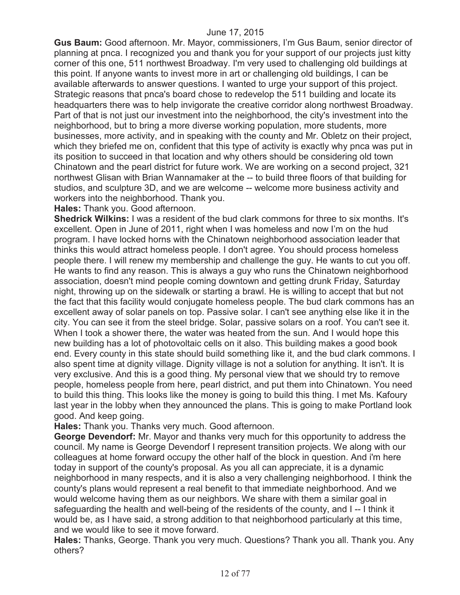**Gus Baum:** Good afternoon. Mr. Mayor, commissioners, I'm Gus Baum, senior director of planning at pnca. I recognized you and thank you for your support of our projects just kitty corner of this one, 511 northwest Broadway. I'm very used to challenging old buildings at this point. If anyone wants to invest more in art or challenging old buildings, I can be available afterwards to answer questions. I wanted to urge your support of this project. Strategic reasons that pnca's board chose to redevelop the 511 building and locate its headquarters there was to help invigorate the creative corridor along northwest Broadway. Part of that is not just our investment into the neighborhood, the city's investment into the neighborhood, but to bring a more diverse working population, more students, more businesses, more activity, and in speaking with the county and Mr. Obletz on their project, which they briefed me on, confident that this type of activity is exactly why pnca was put in its position to succeed in that location and why others should be considering old town Chinatown and the pearl district for future work. We are working on a second project, 321 northwest Glisan with Brian Wannamaker at the -- to build three floors of that building for studios, and sculpture 3D, and we are welcome -- welcome more business activity and workers into the neighborhood. Thank you.

**Hales:** Thank you. Good afternoon.

**Shedrick Wilkins:** I was a resident of the bud clark commons for three to six months. It's excellent. Open in June of 2011, right when I was homeless and now I'm on the hud program. I have locked horns with the Chinatown neighborhood association leader that thinks this would attract homeless people. I don't agree. You should process homeless people there. I will renew my membership and challenge the guy. He wants to cut you off. He wants to find any reason. This is always a guy who runs the Chinatown neighborhood association, doesn't mind people coming downtown and getting drunk Friday, Saturday night, throwing up on the sidewalk or starting a brawl. He is willing to accept that but not the fact that this facility would conjugate homeless people. The bud clark commons has an excellent away of solar panels on top. Passive solar. I can't see anything else like it in the city. You can see it from the steel bridge. Solar, passive solars on a roof. You can't see it. When I took a shower there, the water was heated from the sun. And I would hope this new building has a lot of photovoltaic cells on it also. This building makes a good book end. Every county in this state should build something like it, and the bud clark commons. I also spent time at dignity village. Dignity village is not a solution for anything. It isn't. It is very exclusive. And this is a good thing. My personal view that we should try to remove people, homeless people from here, pearl district, and put them into Chinatown. You need to build this thing. This looks like the money is going to build this thing. I met Ms. Kafoury last year in the lobby when they announced the plans. This is going to make Portland look good. And keep going.

**Hales:** Thank you. Thanks very much. Good afternoon.

**George Devendorf:** Mr. Mayor and thanks very much for this opportunity to address the council. My name is George Devendorf I represent transition projects. We along with our colleagues at home forward occupy the other half of the block in question. And i'm here today in support of the county's proposal. As you all can appreciate, it is a dynamic neighborhood in many respects, and it is also a very challenging neighborhood. I think the county's plans would represent a real benefit to that immediate neighborhood. And we would welcome having them as our neighbors. We share with them a similar goal in safeguarding the health and well-being of the residents of the county, and I -- I think it would be, as I have said, a strong addition to that neighborhood particularly at this time, and we would like to see it move forward.

**Hales:** Thanks, George. Thank you very much. Questions? Thank you all. Thank you. Any others?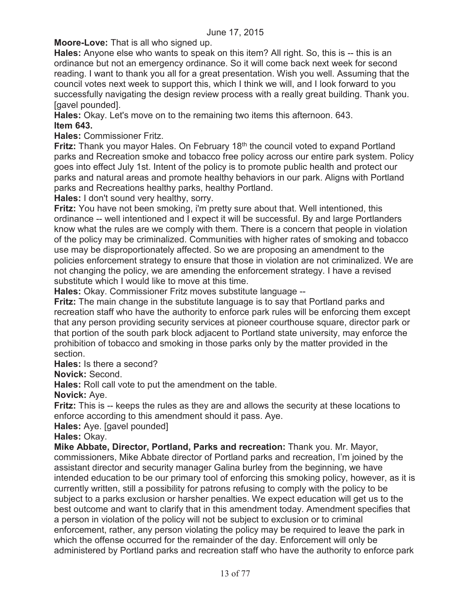**Moore-Love:** That is all who signed up.

**Hales:** Anyone else who wants to speak on this item? All right. So, this is -- this is an ordinance but not an emergency ordinance. So it will come back next week for second reading. I want to thank you all for a great presentation. Wish you well. Assuming that the council votes next week to support this, which I think we will, and I look forward to you successfully navigating the design review process with a really great building. Thank you. [gavel pounded].

**Hales:** Okay. Let's move on to the remaining two items this afternoon. 643. **Item 643.** 

**Hales:** Commissioner Fritz.

**Fritz:** Thank you mayor Hales. On February 18<sup>th</sup> the council voted to expand Portland parks and Recreation smoke and tobacco free policy across our entire park system. Policy goes into effect July 1st. Intent of the policy is to promote public health and protect our parks and natural areas and promote healthy behaviors in our park. Aligns with Portland parks and Recreations healthy parks, healthy Portland.

**Hales:** I don't sound very healthy, sorry.

**Fritz:** You have not been smoking, i'm pretty sure about that. Well intentioned, this ordinance -- well intentioned and I expect it will be successful. By and large Portlanders know what the rules are we comply with them. There is a concern that people in violation of the policy may be criminalized. Communities with higher rates of smoking and tobacco use may be disproportionately affected. So we are proposing an amendment to the policies enforcement strategy to ensure that those in violation are not criminalized. We are not changing the policy, we are amending the enforcement strategy. I have a revised substitute which I would like to move at this time.

**Hales:** Okay. Commissioner Fritz moves substitute language --

**Fritz:** The main change in the substitute language is to say that Portland parks and recreation staff who have the authority to enforce park rules will be enforcing them except that any person providing security services at pioneer courthouse square, director park or that portion of the south park block adjacent to Portland state university, may enforce the prohibition of tobacco and smoking in those parks only by the matter provided in the section.

**Hales:** Is there a second?

**Novick:** Second.

**Hales:** Roll call vote to put the amendment on the table.

**Novick:** Aye.

**Fritz:** This is -- keeps the rules as they are and allows the security at these locations to enforce according to this amendment should it pass. Aye.

**Hales:** Aye. [gavel pounded]

**Hales:** Okay.

**Mike Abbate, Director, Portland, Parks and recreation:** Thank you. Mr. Mayor, commissioners, Mike Abbate director of Portland parks and recreation, I'm joined by the assistant director and security manager Galina burley from the beginning, we have intended education to be our primary tool of enforcing this smoking policy, however, as it is currently written, still a possibility for patrons refusing to comply with the policy to be subject to a parks exclusion or harsher penalties. We expect education will get us to the best outcome and want to clarify that in this amendment today. Amendment specifies that a person in violation of the policy will not be subject to exclusion or to criminal enforcement, rather, any person violating the policy may be required to leave the park in which the offense occurred for the remainder of the day. Enforcement will only be administered by Portland parks and recreation staff who have the authority to enforce park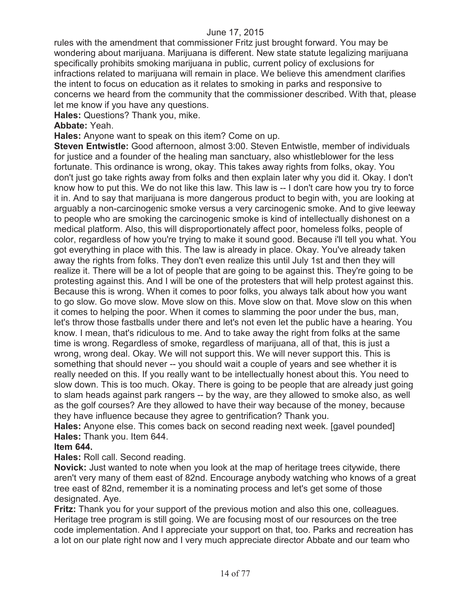rules with the amendment that commissioner Fritz just brought forward. You may be wondering about marijuana. Marijuana is different. New state statute legalizing marijuana specifically prohibits smoking marijuana in public, current policy of exclusions for infractions related to marijuana will remain in place. We believe this amendment clarifies the intent to focus on education as it relates to smoking in parks and responsive to concerns we heard from the community that the commissioner described. With that, please let me know if you have any questions.

**Hales:** Questions? Thank you, mike.

#### **Abbate:** Yeah.

**Hales:** Anyone want to speak on this item? Come on up.

**Steven Entwistle:** Good afternoon, almost 3:00. Steven Entwistle, member of individuals for justice and a founder of the healing man sanctuary, also whistleblower for the less fortunate. This ordinance is wrong, okay. This takes away rights from folks, okay. You don't just go take rights away from folks and then explain later why you did it. Okay. I don't know how to put this. We do not like this law. This law is -- I don't care how you try to force it in. And to say that marijuana is more dangerous product to begin with, you are looking at arguably a non-carcinogenic smoke versus a very carcinogenic smoke. And to give leeway to people who are smoking the carcinogenic smoke is kind of intellectually dishonest on a medical platform. Also, this will disproportionately affect poor, homeless folks, people of color, regardless of how you're trying to make it sound good. Because i'll tell you what. You got everything in place with this. The law is already in place. Okay. You've already taken away the rights from folks. They don't even realize this until July 1st and then they will realize it. There will be a lot of people that are going to be against this. They're going to be protesting against this. And I will be one of the protesters that will help protest against this. Because this is wrong. When it comes to poor folks, you always talk about how you want to go slow. Go move slow. Move slow on this. Move slow on that. Move slow on this when it comes to helping the poor. When it comes to slamming the poor under the bus, man, let's throw those fastballs under there and let's not even let the public have a hearing. You know. I mean, that's ridiculous to me. And to take away the right from folks at the same time is wrong. Regardless of smoke, regardless of marijuana, all of that, this is just a wrong, wrong deal. Okay. We will not support this. We will never support this. This is something that should never -- you should wait a couple of years and see whether it is really needed on this. If you really want to be intellectually honest about this. You need to slow down. This is too much. Okay. There is going to be people that are already just going to slam heads against park rangers -- by the way, are they allowed to smoke also, as well as the golf courses? Are they allowed to have their way because of the money, because they have influence because they agree to gentrification? Thank you.

**Hales:** Anyone else. This comes back on second reading next week. [gavel pounded] **Hales:** Thank you. Item 644.

#### **Item 644.**

**Hales:** Roll call. Second reading.

**Novick:** Just wanted to note when you look at the map of heritage trees citywide, there aren't very many of them east of 82nd. Encourage anybody watching who knows of a great tree east of 82nd, remember it is a nominating process and let's get some of those designated. Aye.

**Fritz:** Thank you for your support of the previous motion and also this one, colleagues. Heritage tree program is still going. We are focusing most of our resources on the tree code implementation. And I appreciate your support on that, too. Parks and recreation has a lot on our plate right now and I very much appreciate director Abbate and our team who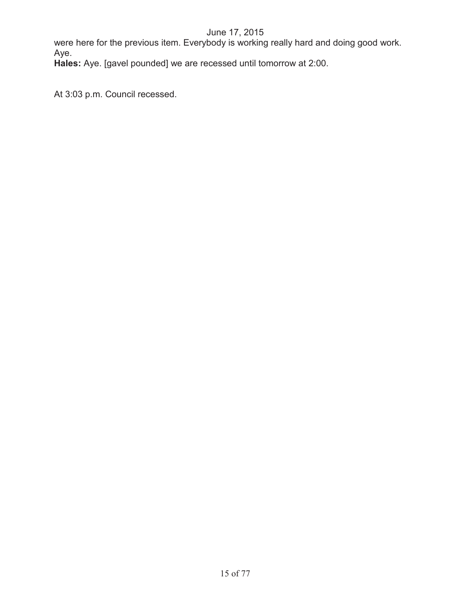were here for the previous item. Everybody is working really hard and doing good work. Aye.

**Hales:** Aye. [gavel pounded] we are recessed until tomorrow at 2:00.

At 3:03 p.m. Council recessed.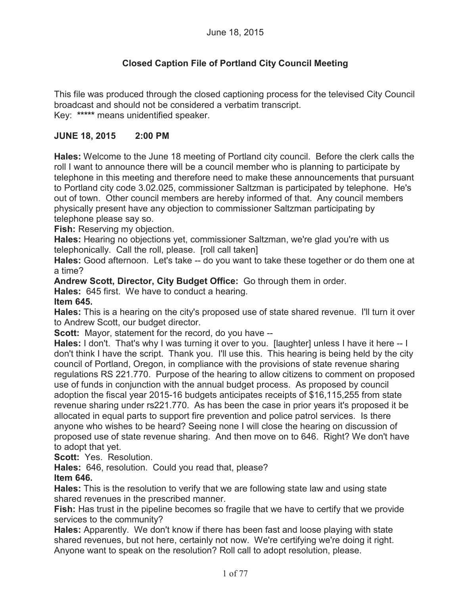# **Closed Caption File of Portland City Council Meeting**

This file was produced through the closed captioning process for the televised City Council broadcast and should not be considered a verbatim transcript. Key: **\*\*\*\*\*** means unidentified speaker.

### **JUNE 18, 2015 2:00 PM**

**Hales:** Welcome to the June 18 meeting of Portland city council. Before the clerk calls the roll I want to announce there will be a council member who is planning to participate by telephone in this meeting and therefore need to make these announcements that pursuant to Portland city code 3.02.025, commissioner Saltzman is participated by telephone. He's out of town. Other council members are hereby informed of that. Any council members physically present have any objection to commissioner Saltzman participating by telephone please say so.

**Fish:** Reserving my objection.

**Hales:** Hearing no objections yet, commissioner Saltzman, we're glad you're with us telephonically. Call the roll, please. [roll call taken]

**Hales:** Good afternoon. Let's take -- do you want to take these together or do them one at a time?

**Andrew Scott, Director, City Budget Office:** Go through them in order.

**Hales:** 645 first. We have to conduct a hearing.

#### **Item 645.**

**Hales:** This is a hearing on the city's proposed use of state shared revenue. I'll turn it over to Andrew Scott, our budget director.

**Scott:** Mayor, statement for the record, do you have --

**Hales:** I don't. That's why I was turning it over to you. [laughter] unless I have it here -- I don't think I have the script. Thank you. I'll use this. This hearing is being held by the city council of Portland, Oregon, in compliance with the provisions of state revenue sharing regulations RS 221.770. Purpose of the hearing to allow citizens to comment on proposed use of funds in conjunction with the annual budget process. As proposed by council adoption the fiscal year 2015-16 budgets anticipates receipts of \$16,115,255 from state revenue sharing under rs221.770. As has been the case in prior years it's proposed it be allocated in equal parts to support fire prevention and police patrol services. Is there anyone who wishes to be heard? Seeing none I will close the hearing on discussion of proposed use of state revenue sharing. And then move on to 646. Right? We don't have to adopt that yet.

**Scott:** Yes. Resolution.

**Hales:** 646, resolution. Could you read that, please?

**Item 646.**

**Hales:** This is the resolution to verify that we are following state law and using state shared revenues in the prescribed manner.

**Fish:** Has trust in the pipeline becomes so fragile that we have to certify that we provide services to the community?

**Hales:** Apparently. We don't know if there has been fast and loose playing with state shared revenues, but not here, certainly not now. We're certifying we're doing it right. Anyone want to speak on the resolution? Roll call to adopt resolution, please.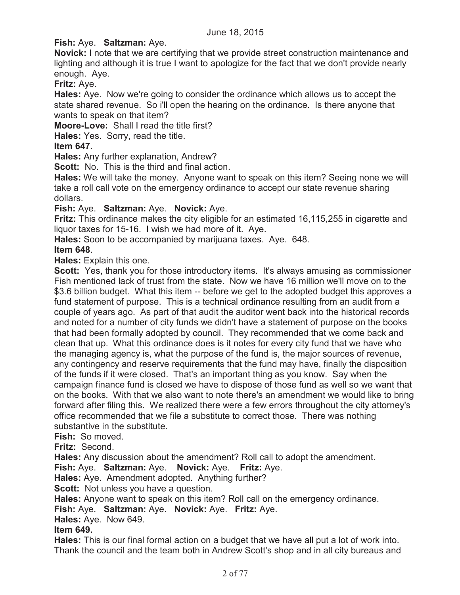## **Fish:** Aye. **Saltzman:** Aye.

**Novick:** I note that we are certifying that we provide street construction maintenance and lighting and although it is true I want to apologize for the fact that we don't provide nearly enough. Aye.

**Fritz:** Aye.

**Hales:** Aye. Now we're going to consider the ordinance which allows us to accept the state shared revenue. So i'll open the hearing on the ordinance. Is there anyone that wants to speak on that item?

**Moore-Love:** Shall I read the title first?

**Hales:** Yes. Sorry, read the title.

## **Item 647.**

**Hales:** Any further explanation, Andrew?

**Scott:** No. This is the third and final action.

**Hales:** We will take the money. Anyone want to speak on this item? Seeing none we will take a roll call vote on the emergency ordinance to accept our state revenue sharing dollars.

### **Fish:** Aye. **Saltzman:** Aye. **Novick:** Aye.

**Fritz:** This ordinance makes the city eligible for an estimated 16,115,255 in cigarette and liquor taxes for 15-16. I wish we had more of it. Aye.

**Hales:** Soon to be accompanied by marijuana taxes. Aye. 648.

### **Item 648**.

**Hales:** Explain this one.

**Scott:** Yes, thank you for those introductory items. It's always amusing as commissioner Fish mentioned lack of trust from the state. Now we have 16 million we'll move on to the \$3.6 billion budget. What this item -- before we get to the adopted budget this approves a fund statement of purpose. This is a technical ordinance resulting from an audit from a couple of years ago. As part of that audit the auditor went back into the historical records and noted for a number of city funds we didn't have a statement of purpose on the books that had been formally adopted by council. They recommended that we come back and clean that up. What this ordinance does is it notes for every city fund that we have who the managing agency is, what the purpose of the fund is, the major sources of revenue, any contingency and reserve requirements that the fund may have, finally the disposition of the funds if it were closed. That's an important thing as you know. Say when the campaign finance fund is closed we have to dispose of those fund as well so we want that on the books. With that we also want to note there's an amendment we would like to bring forward after filing this. We realized there were a few errors throughout the city attorney's office recommended that we file a substitute to correct those. There was nothing substantive in the substitute.

**Fish:** So moved.

**Fritz:** Second.

**Hales:** Any discussion about the amendment? Roll call to adopt the amendment.

**Fish:** Aye. **Saltzman:** Aye. **Novick:** Aye. **Fritz:** Aye.

**Hales:** Aye. Amendment adopted. Anything further?

**Scott:** Not unless you have a question.

**Hales:** Anyone want to speak on this item? Roll call on the emergency ordinance.

**Fish:** Aye. **Saltzman:** Aye. **Novick:** Aye. **Fritz:** Aye.

**Hales:** Aye. Now 649.

## **Item 649.**

**Hales:** This is our final formal action on a budget that we have all put a lot of work into. Thank the council and the team both in Andrew Scott's shop and in all city bureaus and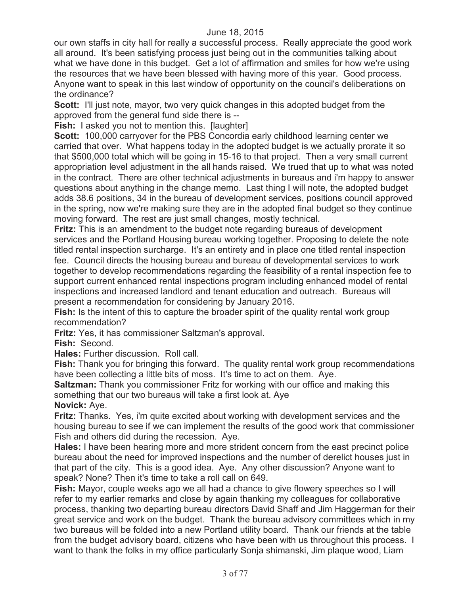our own staffs in city hall for really a successful process. Really appreciate the good work all around. It's been satisfying process just being out in the communities talking about what we have done in this budget. Get a lot of affirmation and smiles for how we're using the resources that we have been blessed with having more of this year. Good process. Anyone want to speak in this last window of opportunity on the council's deliberations on the ordinance?

**Scott:** I'll just note, mayor, two very quick changes in this adopted budget from the approved from the general fund side there is --

**Fish:** I asked you not to mention this. [laughter]

**Scott:** 100,000 carryover for the PBS Concordia early childhood learning center we carried that over. What happens today in the adopted budget is we actually prorate it so that \$500,000 total which will be going in 15-16 to that project. Then a very small current appropriation level adjustment in the all hands raised. We trued that up to what was noted in the contract. There are other technical adjustments in bureaus and i'm happy to answer questions about anything in the change memo. Last thing I will note, the adopted budget adds 38.6 positions, 34 in the bureau of development services, positions council approved in the spring, now we're making sure they are in the adopted final budget so they continue moving forward. The rest are just small changes, mostly technical.

**Fritz:** This is an amendment to the budget note regarding bureaus of development services and the Portland Housing bureau working together. Proposing to delete the note titled rental inspection surcharge. It's an entirety and in place one titled rental inspection fee. Council directs the housing bureau and bureau of developmental services to work together to develop recommendations regarding the feasibility of a rental inspection fee to support current enhanced rental inspections program including enhanced model of rental inspections and increased landlord and tenant education and outreach. Bureaus will present a recommendation for considering by January 2016.

**Fish:** Is the intent of this to capture the broader spirit of the quality rental work group recommendation?

**Fritz:** Yes, it has commissioner Saltzman's approval.

**Fish:** Second.

**Hales:** Further discussion. Roll call.

**Fish:** Thank you for bringing this forward. The quality rental work group recommendations have been collecting a little bits of moss. It's time to act on them. Aye.

**Saltzman:** Thank you commissioner Fritz for working with our office and making this something that our two bureaus will take a first look at. Aye

**Novick:** Aye.

**Fritz:** Thanks. Yes, i'm quite excited about working with development services and the housing bureau to see if we can implement the results of the good work that commissioner Fish and others did during the recession. Aye.

**Hales:** I have been hearing more and more strident concern from the east precinct police bureau about the need for improved inspections and the number of derelict houses just in that part of the city. This is a good idea. Aye. Any other discussion? Anyone want to speak? None? Then it's time to take a roll call on 649.

**Fish:** Mayor, couple weeks ago we all had a chance to give flowery speeches so I will refer to my earlier remarks and close by again thanking my colleagues for collaborative process, thanking two departing bureau directors David Shaff and Jim Haggerman for their great service and work on the budget. Thank the bureau advisory committees which in my two bureaus will be folded into a new Portland utility board. Thank our friends at the table from the budget advisory board, citizens who have been with us throughout this process. I want to thank the folks in my office particularly Sonja shimanski, Jim plaque wood, Liam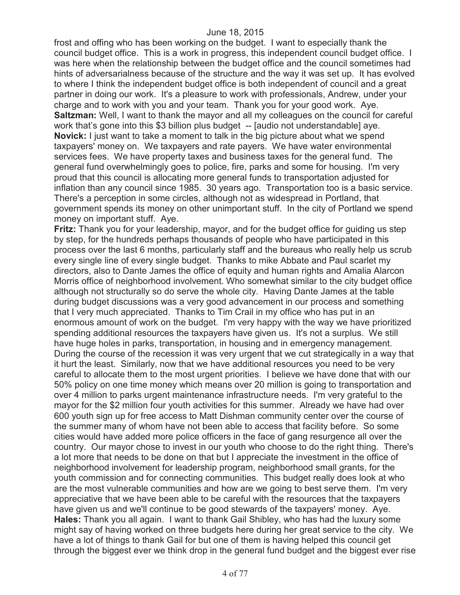frost and offing who has been working on the budget. I want to especially thank the council budget office. This is a work in progress, this independent council budget office. I was here when the relationship between the budget office and the council sometimes had hints of adversarialness because of the structure and the way it was set up. It has evolved to where I think the independent budget office is both independent of council and a great partner in doing our work. It's a pleasure to work with professionals, Andrew, under your charge and to work with you and your team. Thank you for your good work. Aye. **Saltzman:** Well, I want to thank the mayor and all my colleagues on the council for careful work that's gone into this \$3 billion plus budget -- [audio not understandable] aye. **Novick:** I just want to take a moment to talk in the big picture about what we spend taxpayers' money on. We taxpayers and rate payers. We have water environmental services fees. We have property taxes and business taxes for the general fund. The general fund overwhelmingly goes to police, fire, parks and some for housing. I'm very proud that this council is allocating more general funds to transportation adjusted for inflation than any council since 1985. 30 years ago. Transportation too is a basic service. There's a perception in some circles, although not as widespread in Portland, that government spends its money on other unimportant stuff. In the city of Portland we spend money on important stuff. Aye.

**Fritz:** Thank you for your leadership, mayor, and for the budget office for guiding us step by step, for the hundreds perhaps thousands of people who have participated in this process over the last 6 months, particularly staff and the bureaus who really help us scrub every single line of every single budget. Thanks to mike Abbate and Paul scarlet my directors, also to Dante James the office of equity and human rights and Amalia Alarcon Morris office of neighborhood involvement. Who somewhat similar to the city budget office although not structurally so do serve the whole city. Having Dante James at the table during budget discussions was a very good advancement in our process and something that I very much appreciated. Thanks to Tim Crail in my office who has put in an enormous amount of work on the budget. I'm very happy with the way we have prioritized spending additional resources the taxpayers have given us. It's not a surplus. We still have huge holes in parks, transportation, in housing and in emergency management. During the course of the recession it was very urgent that we cut strategically in a way that it hurt the least. Similarly, now that we have additional resources you need to be very careful to allocate them to the most urgent priorities. I believe we have done that with our 50% policy on one time money which means over 20 million is going to transportation and over 4 million to parks urgent maintenance infrastructure needs. I'm very grateful to the mayor for the \$2 million four youth activities for this summer. Already we have had over 600 youth sign up for free access to Matt Dishman community center over the course of the summer many of whom have not been able to access that facility before. So some cities would have added more police officers in the face of gang resurgence all over the country. Our mayor chose to invest in our youth who choose to do the right thing. There's a lot more that needs to be done on that but I appreciate the investment in the office of neighborhood involvement for leadership program, neighborhood small grants, for the youth commission and for connecting communities. This budget really does look at who are the most vulnerable communities and how are we going to best serve them. I'm very appreciative that we have been able to be careful with the resources that the taxpayers have given us and we'll continue to be good stewards of the taxpayers' money. Aye. **Hales:** Thank you all again. I want to thank Gail Shibley, who has had the luxury some might say of having worked on three budgets here during her great service to the city. We have a lot of things to thank Gail for but one of them is having helped this council get through the biggest ever we think drop in the general fund budget and the biggest ever rise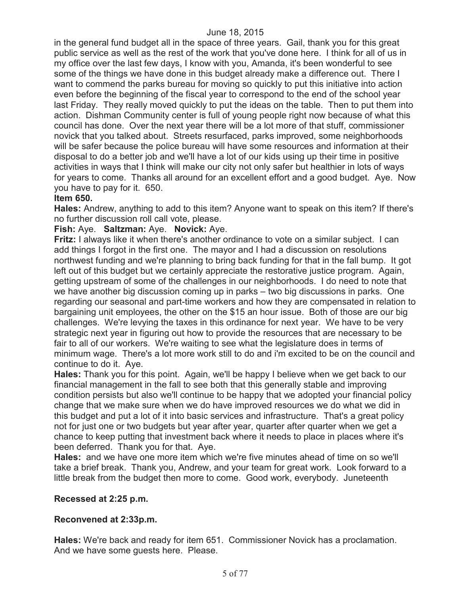in the general fund budget all in the space of three years. Gail, thank you for this great public service as well as the rest of the work that you've done here. I think for all of us in my office over the last few days, I know with you, Amanda, it's been wonderful to see some of the things we have done in this budget already make a difference out. There I want to commend the parks bureau for moving so quickly to put this initiative into action even before the beginning of the fiscal year to correspond to the end of the school year last Friday. They really moved quickly to put the ideas on the table. Then to put them into action. Dishman Community center is full of young people right now because of what this council has done. Over the next year there will be a lot more of that stuff, commissioner novick that you talked about. Streets resurfaced, parks improved, some neighborhoods will be safer because the police bureau will have some resources and information at their disposal to do a better job and we'll have a lot of our kids using up their time in positive activities in ways that I think will make our city not only safer but healthier in lots of ways for years to come. Thanks all around for an excellent effort and a good budget. Aye. Now you have to pay for it. 650.

# **Item 650.**

**Hales:** Andrew, anything to add to this item? Anyone want to speak on this item? If there's no further discussion roll call vote, please.

# **Fish:** Aye. **Saltzman:** Aye. **Novick:** Aye.

**Fritz:** I always like it when there's another ordinance to vote on a similar subject. I can add things I forgot in the first one. The mayor and I had a discussion on resolutions northwest funding and we're planning to bring back funding for that in the fall bump. It got left out of this budget but we certainly appreciate the restorative justice program. Again, getting upstream of some of the challenges in our neighborhoods. I do need to note that we have another big discussion coming up in parks – two big discussions in parks. One regarding our seasonal and part-time workers and how they are compensated in relation to bargaining unit employees, the other on the \$15 an hour issue. Both of those are our big challenges. We're levying the taxes in this ordinance for next year. We have to be very strategic next year in figuring out how to provide the resources that are necessary to be fair to all of our workers. We're waiting to see what the legislature does in terms of minimum wage. There's a lot more work still to do and i'm excited to be on the council and continue to do it. Aye.

**Hales:** Thank you for this point. Again, we'll be happy I believe when we get back to our financial management in the fall to see both that this generally stable and improving condition persists but also we'll continue to be happy that we adopted your financial policy change that we make sure when we do have improved resources we do what we did in this budget and put a lot of it into basic services and infrastructure. That's a great policy not for just one or two budgets but year after year, quarter after quarter when we get a chance to keep putting that investment back where it needs to place in places where it's been deferred. Thank you for that. Aye.

**Hales:** and we have one more item which we're five minutes ahead of time on so we'll take a brief break. Thank you, Andrew, and your team for great work. Look forward to a little break from the budget then more to come. Good work, everybody. Juneteenth

#### **Recessed at 2:25 p.m.**

# **Reconvened at 2:33p.m.**

**Hales:** We're back and ready for item 651. Commissioner Novick has a proclamation. And we have some guests here. Please.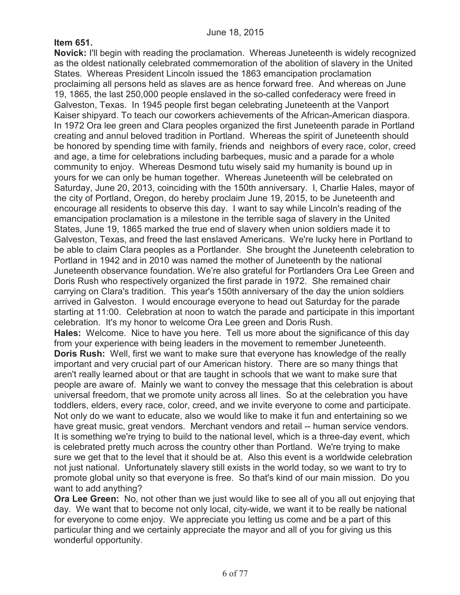# **Item 651.**

**Novick:** I'll begin with reading the proclamation. Whereas Juneteenth is widely recognized as the oldest nationally celebrated commemoration of the abolition of slavery in the United States. Whereas President Lincoln issued the 1863 emancipation proclamation proclaiming all persons held as slaves are as hence forward free. And whereas on June 19, 1865, the last 250,000 people enslaved in the so-called confederacy were freed in Galveston, Texas. In 1945 people first began celebrating Juneteenth at the Vanport Kaiser shipyard. To teach our coworkers achievements of the African-American diaspora. In 1972 Ora lee green and Clara peoples organized the first Juneteenth parade in Portland creating and annul beloved tradition in Portland. Whereas the spirit of Juneteenth should be honored by spending time with family, friends and neighbors of every race, color, creed and age, a time for celebrations including barbeques, music and a parade for a whole community to enjoy. Whereas Desmond tutu wisely said my humanity is bound up in yours for we can only be human together. Whereas Juneteenth will be celebrated on Saturday, June 20, 2013, coinciding with the 150th anniversary. I, Charlie Hales, mayor of the city of Portland, Oregon, do hereby proclaim June 19, 2015, to be Juneteenth and encourage all residents to observe this day. I want to say while Lincoln's reading of the emancipation proclamation is a milestone in the terrible saga of slavery in the United States, June 19, 1865 marked the true end of slavery when union soldiers made it to Galveston, Texas, and freed the last enslaved Americans. We're lucky here in Portland to be able to claim Clara peoples as a Portlander. She brought the Juneteenth celebration to Portland in 1942 and in 2010 was named the mother of Juneteenth by the national Juneteenth observance foundation. We're also grateful for Portlanders Ora Lee Green and Doris Rush who respectively organized the first parade in 1972. She remained chair carrying on Clara's tradition. This year's 150th anniversary of the day the union soldiers arrived in Galveston. I would encourage everyone to head out Saturday for the parade starting at 11:00. Celebration at noon to watch the parade and participate in this important celebration. It's my honor to welcome Ora Lee green and Doris Rush. **Hales:** Welcome. Nice to have you here. Tell us more about the significance of this day from your experience with being leaders in the movement to remember Juneteenth. **Doris Rush:** Well, first we want to make sure that everyone has knowledge of the really important and very crucial part of our American history. There are so many things that aren't really learned about or that are taught in schools that we want to make sure that people are aware of. Mainly we want to convey the message that this celebration is about

universal freedom, that we promote unity across all lines. So at the celebration you have toddlers, elders, every race, color, creed, and we invite everyone to come and participate. Not only do we want to educate, also we would like to make it fun and entertaining so we have great music, great vendors. Merchant vendors and retail -- human service vendors. It is something we're trying to build to the national level, which is a three-day event, which is celebrated pretty much across the country other than Portland. We're trying to make sure we get that to the level that it should be at. Also this event is a worldwide celebration not just national. Unfortunately slavery still exists in the world today, so we want to try to promote global unity so that everyone is free. So that's kind of our main mission. Do you want to add anything?

**Ora Lee Green:** No, not other than we just would like to see all of you all out enjoying that day. We want that to become not only local, city-wide, we want it to be really be national for everyone to come enjoy. We appreciate you letting us come and be a part of this particular thing and we certainly appreciate the mayor and all of you for giving us this wonderful opportunity.